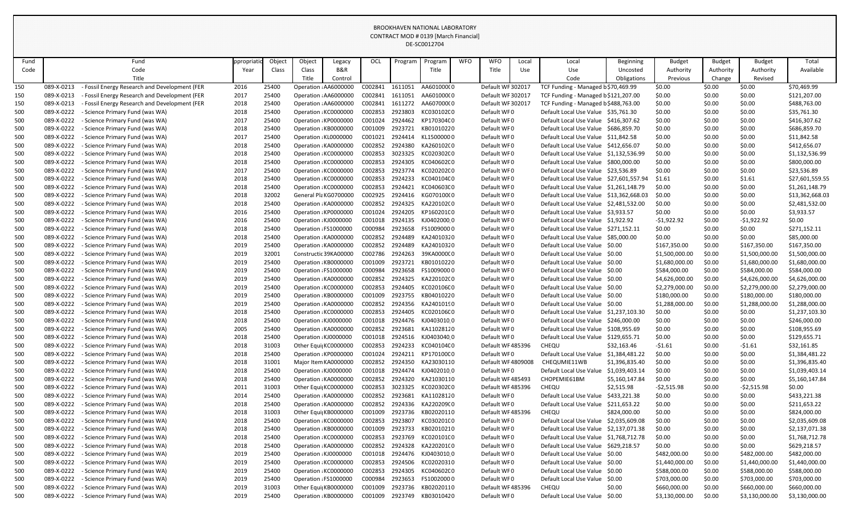| Fund<br>Object<br><b>WFO</b><br><b>WFO</b><br>Object<br>OCL<br><b>Budget</b><br><b>Budget</b><br>Total<br>Fund<br>Program<br>Local<br><b>Budget</b><br>ppropriat<br>Program<br>Local<br>Beginning<br>Legacy<br><b>B&amp;R</b><br>Code<br>Class<br>Title<br>Available<br>Code<br>Class<br>Title<br>Authority<br>Authority<br>Authority<br>Year<br>Use<br>Use<br>Uncosted<br>Title<br>Title<br>Obligations<br>Control<br>Code<br>Previous<br>Change<br>Revised<br>2016<br>25400<br>Operation : AA6000000<br>C002841<br>AA601000(0<br>Default WF302017<br>\$0.00<br>\$70,469.99<br>150<br>Fossil Energy Research and Development (FER<br>1611051<br>TCF Funding - Managed b \$70,469.99<br>\$0.00<br>089-X-0213<br>\$0.00<br>2017<br>25400<br>C002841<br>Default WF302017<br>\$121,207.00<br>150<br>089-X-0213<br>Fossil Energy Research and Development (FER<br>Operation : AA6000000<br>1611051<br>AA601000(0<br>TCF Funding - Managed b\$121,207.00<br>\$0.00<br>\$0.00<br>\$0.00<br>C002841<br>2018<br>25400<br>Operation : AA6000000<br>1611272<br>AA607000(0<br>\$0.00<br>\$488,763.00<br>150<br>089-X-0213<br>Fossil Energy Research and Development (FER<br>Default WF 302017<br>TCF Funding - Managed b\$488,763.00<br>\$0.00<br>\$0.00<br>C002853<br>\$0.00<br>\$35,761.30<br>500<br>089-X-0222<br>Science Primary Fund (was WA)<br>2018<br>25400<br>Operation : KC0000000<br>2923803<br>KC030102C0<br>Default WF0<br>Default Local Use Value \$35,761.30<br>\$0.00<br>\$0.00<br>500<br>25400<br>\$416,307.62<br>089-X-0222<br>Science Primary Fund (was WA)<br>2017<br>Operation : KP0000000<br>C001024<br>2924462<br>KP170304C0<br>Default WF0<br>Default Local Use Value \$416,307.62<br>\$0.00<br>\$0.00<br>\$0.00<br>500<br>089-X-0222<br>2018<br>25400<br>Operation : KB0000000<br>C001009<br>2923721<br>KB01010220<br>Default WF0<br>Default Local Use Value \$686,859.70<br>\$0.00<br>\$0.00<br>\$0.00<br>\$686,859.70<br>Science Primary Fund (was WA)<br>089-X-0222<br>25400<br>Operation : KL0000000<br>C001021<br>2924414<br>Default WF0<br>\$11,842.58<br>500<br>2017<br>KL15000000<br>Default Local Use Value \$11,842.58<br>\$0.00<br>- Science Primary Fund (was WA)<br>\$0.00<br>\$0.00<br>25400<br>C002852<br>\$0.00<br>\$412,656.07<br>500<br>089-X-0222<br>- Science Primary Fund (was WA)<br>2018<br>Operation : KA0000000<br>2924380<br>KA260102(0<br>Default WF0<br>Default Local Use Value \$412,656.07<br>\$0.00<br>\$0.00<br>500<br>089-X-0222<br>2018<br>25400<br>C002853<br>3023325<br>\$0.00<br>\$0.00<br>\$1,132,536.99<br>Operation : KC0000000<br>KC020302C0<br>Default WF0<br>Science Primary Fund (was WA)<br>Default Local Use Value \$1,132,536.99<br>\$0.00<br>2018<br>25400<br>Operation : KC0000000<br>C002853<br>\$800,000.00<br>500<br>089-X-0222<br>Science Primary Fund (was WA)<br>2924305<br>KC040602C0<br>Default WF0<br>Default Local Use Value \$800,000.00<br>\$0.00<br>\$0.00<br>\$0.00<br>2017<br>25400<br>Operation : KC0000000<br>C002853<br>2923774<br>\$0.00<br>500<br>089-X-0222<br>KC020202C0<br>Default WF0<br>Default Local Use Value \$23,536.89<br>\$0.00<br>\$0.00<br>\$23,536.89<br>- Science Primary Fund (was WA)<br>25400<br>Operation : KC0000000<br>C002853<br>\$0.00<br>\$27,601,559.55<br>500<br>089-X-0222<br>Science Primary Fund (was WA)<br>2018<br>2924233<br>KC040104C0<br>Default WF0<br>Default Local Use Value \$27,601,557.94<br>\$1.61<br>\$1.61<br>500<br>2018<br>25400<br>Operation : KC0000000<br>C002853<br>\$1,261,148.79<br>089-X-0222<br>- Science Primary Fund (was WA)<br>2924421<br>KC040603C0<br>Default WF0<br>Default Local Use Value \$1,261,148.79<br>\$0.00<br>\$0.00<br>\$0.00<br>32002<br>\$13,362,668.03<br>500<br>089-X-0222<br>2018<br>General Pla KG0700000<br>C002925<br>2924416<br>Default WF0<br>Default Local Use Value \$13,362,668.03<br>\$0.00<br>\$0.00<br>\$0.00<br>- Science Primary Fund (was WA)<br>KG070100(0<br>089-X-0222<br>C002852<br>2924325<br>500<br>2018<br>25400<br>Operation : KA0000000<br>KA220102(0<br>Default WF0<br>Default Local Use Value \$2,481,532.00<br>\$0.00<br>\$2,481,532.00<br>- Science Primary Fund (was WA)<br>\$0.00<br>\$0.00<br>2016<br>\$3,933.57<br>500<br>089-X-0222<br>25400<br>Operation : KP0000000<br>C001024<br>2924205<br>KP160201C0<br>Default WF0<br>Default Local Use Value \$3,933.57<br>\$0.00<br>\$0.00<br>\$0.00<br>- Science Primary Fund (was WA)<br>\$0.00<br>25400<br>\$0.00<br>500<br>089-X-0222<br>Science Primary Fund (was WA)<br>2016<br>Operation : KJ0000000<br>C001018<br>2924135<br>KJ0402000 0<br>Default WF0<br>Default Local Use Value \$1,922.92<br>$-51,922.92$<br>$-51,922.92$<br>500<br>2018<br>25400<br>C000984<br>2923658<br>Default WF0<br>\$0.00<br>089-X-0222<br>- Science Primary Fund (was WA)<br>Operation : FS1000000<br>FS10090000<br>Default Local Use Value \$271,152.11<br>\$0.00<br>\$0.00<br>\$271,152.11<br>500<br>089-X-0222<br>2018<br>25400<br>Operation : KA0000000<br>C002852<br>2924489<br>Default WF0<br>Default Local Use Value \$85,000.00<br>\$0.00<br>\$0.00<br>\$0.00<br>\$85,000.00<br>- Science Primary Fund (was WA)<br>KA24010320<br>089-X-0222<br>C002852<br>\$167,350.00<br>500<br>2019<br>25400<br>Operation : KA0000000<br>2924489<br>KA24010320<br>Default WF0<br>Default Local Use Value \$0.00<br>\$167,350.00<br>\$0.00<br>\$167,350.00<br>- Science Primary Fund (was WA)<br>32001<br>\$1,500,000.00<br>\$0.00<br>500<br>089-X-0222<br>2019<br>Constructic 39KA00000<br>C002786<br>2924263<br>39KA0000C0<br>Default WF0<br>Default Local Use Value \$0.00<br>\$1,500,000.00<br>\$1,500,000.00<br>- Science Primary Fund (was WA)<br>500<br>2019<br>25400<br>2923721<br>\$1,680,000.00<br>089-X-0222<br>Operation : KB0000000<br>C001009<br>KB01010220<br>Default WF0<br>Default Local Use Value \$0.00<br>\$0.00<br>\$1,680,000.00<br>\$1,680,000.00<br>Science Primary Fund (was WA)<br>2019<br>25400<br>Operation : FS1000000<br>C000984<br>2923658<br>FS10090000<br>\$584,000.00<br>500<br>089-X-0222<br>Science Primary Fund (was WA)<br>Default WF0<br>Default Local Use Value \$0.00<br>\$0.00<br>\$584,000.00<br>\$584,000.00<br>500<br>2019<br>25400<br>Operation : KA0000000<br>C002852<br>2924325<br>\$4,626,000.00<br>\$0.00<br>089-X-0222<br>KA220102(0<br>Default WF0<br>Default Local Use Value \$0.00<br>\$4,626,000.00<br>\$4,626,000.00<br>- Science Primary Fund (was WA)<br>25400<br>C002853<br>500<br>089-X-0222<br>Science Primary Fund (was WA)<br>2019<br>Operation : KC0000000<br>2924405<br>KC020106C0<br>Default WF0<br>Default Local Use Value \$0.00<br>\$2,279,000.00<br>\$0.00<br>\$2,279,000.00<br>\$2,279,000.00<br>500<br>2019<br>25400<br>\$180,000.00<br>\$0.00<br>\$180,000.00<br>089-X-0222<br>- Science Primary Fund (was WA)<br>Operation : KB0000000<br>C001009<br>2923755<br>KB04010220<br>Default WF0<br>Default Local Use Value \$0.00<br>\$180,000.00<br>500<br>2019<br>25400<br>Operation : KA0000000<br>C002852<br>Default WF0<br>\$1,288,000.00<br>\$0.00<br>\$1,288,000.00<br>\$1,288,000.00<br>089-X-0222<br>- Science Primary Fund (was WA)<br>2924356<br>KA2401019C<br>Default Local Use Value \$0.00<br>500<br>2018<br>Default WF0<br>\$0.00<br>\$1,237,103.30<br>089-X-0222<br>25400<br>Operation : KC0000000<br>C002853<br>KC020106C0<br>Default Local Use Value \$1,237,103.30<br>\$0.00<br>\$0.00<br>- Science Primary Fund (was WA)<br>2924405<br>25400<br>Default WF0<br>\$0.00<br>\$246,000.00<br>500<br>089-X-0222<br>2018<br>Operation : KJ0000000<br>C001018<br>2924476<br>KJ040301000<br>Default Local Use Value \$246,000.00<br>\$0.00<br>\$0.00<br>Science Primary Fund (was WA)<br>089-X-0222<br>2005<br>25400<br>C002852<br>\$108,955.69<br>500<br>Science Primary Fund (was WA)<br>Operation : KA0000000<br>2923681<br>Default WF0<br>Default Local Use Value \$108,955.69<br>\$0.00<br>\$0.00<br>\$0.00<br>KA11028120<br>089-X-0222<br>25400<br>Operation : KJ0000000<br>2924516<br>Default WF0<br>\$129,655.71<br>500<br>Science Primary Fund (was WA)<br>2018<br>C001018<br>KJ040304000<br>\$0.00<br>\$0.00<br>Default Local Use Value<br>\$129,655.71<br>\$0.00<br>31003<br>C002853<br>CHEQU<br>\$32,161.85<br>500<br>089-X-0222<br>- Science Primary Fund (was WA)<br>2018<br>Other Equi KC0000000<br>2924233<br>KC040104C0<br>Default WF485396<br>\$32,163.46<br>\$0.00<br>$-51.61$<br>$-51.61$<br>25400<br>Default WF0<br>\$0.00<br>\$1,384,481.22<br>500<br>089-X-0222<br>Science Primary Fund (was WA)<br>2018<br>Operation : KP0000000<br>C001024<br>2924211<br>KP170100C0<br>Default Local Use Value<br>\$1,384,481.22<br>\$0.00<br>\$0.00<br>089-X-0222<br>31001<br>Default WF4809008<br>\$1,396,835.40<br>500<br>- Science Primary Fund (was WA)<br>2018<br>Major Item KA0000000<br>C002852<br>2924350<br>KA23030110<br>CHEQUMIE11WB<br>\$1,396,835.40<br>\$0.00<br>\$0.00<br>\$0.00<br>089-X-0222<br>500<br>2018<br>25400<br>Operation : KJ0000000<br>C001018<br>2924474<br>KJ040201000<br>Default WF0<br>Default Local Use Value<br>\$1,039,403.14<br>\$0.00<br>\$1,039,403.14<br>Science Primary Fund (was WA)<br>\$0.00<br>\$0.00<br>089-X-0222<br>Operation : KA0000000<br>C002852<br>\$5,160,147.84<br>500<br>- Science Primary Fund (was WA)<br>2018<br>25400<br>2924320<br>KA21030110<br>Default WF485493<br>CHOPEMIE61BM<br>\$5,160,147.84<br>\$0.00<br>\$0.00<br>\$0.00<br>500<br>2011<br>31003<br>C002853<br>CHEQU<br>\$0.00<br>089-X-0222<br>Science Primary Fund (was WA)<br>Other Equi  KC0000000<br>3023325<br>KC020302C0<br>Default WF485396<br>\$2,515.98<br>$-52,515.98$<br>\$0.00<br>$-52,515.98$<br>089-X-0222<br>2014<br>25400<br>C002852<br>2923681<br>\$0.00<br>\$433,221.38<br>500<br>Science Primary Fund (was WA)<br>Operation : KA0000000<br>KA11028120<br>Default WF0<br>Default Local Use Value<br>\$433,221.38<br>\$0.00<br>\$0.00<br>089-X-0222<br>Operation : KA0000000<br>C002852<br>2924336<br>KA220209(0<br>Default WF0<br>\$211,653.22<br>500<br>Science Primary Fund (was WA)<br>2018<br>25400<br>Default Local Use Value<br>\$0.00<br>\$211,653.22<br>\$0.00<br>\$0.00<br>089-X-0222<br>31003<br>\$824,000.00<br>500<br>2018<br>Other Equi KB0000000<br>C001009<br>2923736<br>KB02020110<br>Default WF485396<br><b>CHEQU</b><br>\$824,000.00<br>\$0.00<br>\$0.00<br>\$0.00<br>Science Primary Fund (was WA)<br>089-X-0222<br>25400<br>Operation : KC0000000<br>C002853<br>2923807<br>Default WF0<br>\$2,035,609.08<br>500<br>Science Primary Fund (was WA)<br>2018<br>KC030201C0<br>Default Local Use Value \$2,035,609.08<br>\$0.00<br>\$0.00<br>\$0.00<br>500<br>2018<br>25400<br>Operation : KB0000000<br>2923733<br>Default WF0<br>\$2,137,071.38<br>089-X-0222<br>Science Primary Fund (was WA)<br>C001009<br>KB02010210<br>Default Local Use Value \$2,137,071.38<br>\$0.00<br>\$0.00<br>\$0.00<br>25400<br>C002853<br>2923769<br>\$1,768,712.78<br>500<br>089-X-0222<br>Science Primary Fund (was WA)<br>2018<br>Operation : KC0000000<br>KC020101C0<br>Default WF0<br>Default Local Use Value \$1,768,712.78<br>\$0.00<br>\$0.00<br>\$0.00<br>089-X-0222<br>25400<br>Operation : KA0000000<br>C002852<br>2924328<br>KA220201(0<br>Default WF0<br>\$629,218.57<br>500<br>- Science Primary Fund (was WA)<br>2018<br>Default Local Use Value \$629,218.57<br>\$0.00<br>\$0.00<br>\$0.00<br>2019<br>25400<br>\$0.00<br>\$482,000.00<br>500<br>089-X-0222<br>Science Primary Fund (was WA)<br>Operation : KJ0000000<br>C001018<br>2924476<br>KJ04030100<br>Default WF0<br>Default Local Use Value \$0.00<br>\$482,000.00<br>\$482,000.00<br>089-X-0222<br>2019<br>25400<br>C002853<br>\$1,440,000.00<br>\$0.00<br>500<br>Science Primary Fund (was WA)<br>Operation : KC0000000<br>2924506<br>KC02020310<br>Default WF0<br>Default Local Use Value \$0.00<br>\$1,440,000.00<br>\$1,440,000.00<br>Operation : KC0000000<br>Default WF0<br>Default Local Use Value \$0.00<br>\$588,000.00<br>500<br>089-X-0222<br>- Science Primary Fund (was WA)<br>2019<br>25400<br>C002853<br>2924305<br>KC040602C0<br>\$0.00<br>\$588,000.00<br>\$588,000.00<br>089-X-0222<br>2923653<br>500<br>- Science Primary Fund (was WA)<br>2019<br>25400<br>Operation : FS1000000<br>C000984<br>FS10020000<br>Default WF0<br>Default Local Use Value \$0.00<br>\$703,000.00<br>\$0.00<br>\$703,000.00<br>\$703,000.00<br>500<br>089-X-0222<br>- Science Primary Fund (was WA)<br>2019<br>31003<br>Other Equi KB0000000<br>C001009<br>2923736<br>KB02020110<br>Default WF485396<br><b>CHEQU</b><br>\$0.00<br>\$660,000.00<br>\$0.00<br>\$660,000.00<br>\$660,000.00<br>500<br>089-X-0222<br>Science Primary Fund (was WA)<br>2019<br>25400<br>Operation : KB0000000<br>C001009<br>2923749<br>KB03010420<br>Default WF0<br>Default Local Use Value<br>\$3,130,000.00<br>\$0.00<br>\$3,130,000.00<br>\$3,130,000.00<br>\$0.00 |  |  |  |  | DE-SCOUTZ704 |  |  |  |  |  |
|-------------------------------------------------------------------------------------------------------------------------------------------------------------------------------------------------------------------------------------------------------------------------------------------------------------------------------------------------------------------------------------------------------------------------------------------------------------------------------------------------------------------------------------------------------------------------------------------------------------------------------------------------------------------------------------------------------------------------------------------------------------------------------------------------------------------------------------------------------------------------------------------------------------------------------------------------------------------------------------------------------------------------------------------------------------------------------------------------------------------------------------------------------------------------------------------------------------------------------------------------------------------------------------------------------------------------------------------------------------------------------------------------------------------------------------------------------------------------------------------------------------------------------------------------------------------------------------------------------------------------------------------------------------------------------------------------------------------------------------------------------------------------------------------------------------------------------------------------------------------------------------------------------------------------------------------------------------------------------------------------------------------------------------------------------------------------------------------------------------------------------------------------------------------------------------------------------------------------------------------------------------------------------------------------------------------------------------------------------------------------------------------------------------------------------------------------------------------------------------------------------------------------------------------------------------------------------------------------------------------------------------------------------------------------------------------------------------------------------------------------------------------------------------------------------------------------------------------------------------------------------------------------------------------------------------------------------------------------------------------------------------------------------------------------------------------------------------------------------------------------------------------------------------------------------------------------------------------------------------------------------------------------------------------------------------------------------------------------------------------------------------------------------------------------------------------------------------------------------------------------------------------------------------------------------------------------------------------------------------------------------------------------------------------------------------------------------------------------------------------------------------------------------------------------------------------------------------------------------------------------------------------------------------------------------------------------------------------------------------------------------------------------------------------------------------------------------------------------------------------------------------------------------------------------------------------------------------------------------------------------------------------------------------------------------------------------------------------------------------------------------------------------------------------------------------------------------------------------------------------------------------------------------------------------------------------------------------------------------------------------------------------------------------------------------------------------------------------------------------------------------------------------------------------------------------------------------------------------------------------------------------------------------------------------------------------------------------------------------------------------------------------------------------------------------------------------------------------------------------------------------------------------------------------------------------------------------------------------------------------------------------------------------------------------------------------------------------------------------------------------------------------------------------------------------------------------------------------------------------------------------------------------------------------------------------------------------------------------------------------------------------------------------------------------------------------------------------------------------------------------------------------------------------------------------------------------------------------------------------------------------------------------------------------------------------------------------------------------------------------------------------------------------------------------------------------------------------------------------------------------------------------------------------------------------------------------------------------------------------------------------------------------------------------------------------------------------------------------------------------------------------------------------------------------------------------------------------------------------------------------------------------------------------------------------------------------------------------------------------------------------------------------------------------------------------------------------------------------------------------------------------------------------------------------------------------------------------------------------------------------------------------------------------------------------------------------------------------------------------------------------------------------------------------------------------------------------------------------------------------------------------------------------------------------------------------------------------------------------------------------------------------------------------------------------------------------------------------------------------------------------------------------------------------------------------------------------------------------------------------------------------------------------------------------------------------------------------------------------------------------------------------------------------------------------------------------------------------------------------------------------------------------------------------------------------------------------------------------------------------------------------------------------------------------------------------------------------------------------------------------------------------------------------------------------------------------------------------------------------------------------------------------------------------------------------------------------------------------------------------------------------------------------------------------------------------------------------------------------------------------------------------------------------------------------------------------------------------------------------------------------------------------------------------------------------------------------------------------------------------------------------------------------------------------------------------------------------------------------------------------------------------------------------------------------------------------------------------------------------------------------------------------------------------------------------------------------------------------------------------------------------------------------------------------------------------------------------------------------------------------------------------------------------------------------------------------------------------------------------------------------------------------------------------------------------------------------------------------------------------------------------------------------------------------------------------------------------------------------------------------------------------------------------------------------------------------------------------------------------------------------------------------------------------------------------------------------------------------------------------------------------------------------------------------------------------------------------------------------------------------------------------------------------------------------------------------------------------------------------------------------------------------------------------------------------------------------------------------------------------------------------------------------------------------------------------------------------------------------------------------------------------------------------------------------------------------------------------------------------------------------------------------------------------------------------------------------------------------------------------------------------------------------------------------------------------------------------------------------------------------------------------------------------------------------------------------------------------------------------------------------------------------------------------------------------------------------------------------------------------------------------------------------------------------------------------------------------------------------------------------------------------------------------------------------------------------------------------------------------------------------------------------------------------------------------------------------------------------------------------------------------------------------------------------------------------------------------------------------------------------------------------------------------------------------------------------------------------------------------------------------------------------------------------------------------------------------------------------------------------------------------------------------------------------------------------------------------------------------------------------------------------------------------------------------------------------------------------------------------------------------------------------------------------------------------------------------------------------------------------------------------------------------------------------------------------------------------------------------------------------------------------------------------------------------------------------------------------------------------------------------------------------------------------------------------------------------------------------------------------------------------------------------------------------------------------------------------------------------------------------------------------------------------------------------------------------------------------------------------------------------------------------------------------------------------------------------------------------------------------------------------------------------------------------------------------------------------------------------------------------|--|--|--|--|--------------|--|--|--|--|--|
|                                                                                                                                                                                                                                                                                                                                                                                                                                                                                                                                                                                                                                                                                                                                                                                                                                                                                                                                                                                                                                                                                                                                                                                                                                                                                                                                                                                                                                                                                                                                                                                                                                                                                                                                                                                                                                                                                                                                                                                                                                                                                                                                                                                                                                                                                                                                                                                                                                                                                                                                                                                                                                                                                                                                                                                                                                                                                                                                                                                                                                                                                                                                                                                                                                                                                                                                                                                                                                                                                                                                                                                                                                                                                                                                                                                                                                                                                                                                                                                                                                                                                                                                                                                                                                                                                                                                                                                                                                                                                                                                                                                                                                                                                                                                                                                                                                                                                                                                                                                                                                                                                                                                                                                                                                                                                                                                                                                                                                                                                                                                                                                                                                                                                                                                                                                                                                                                                                                                                                                                                                                                                                                                                                                                                                                                                                                                                                                                                                                                                                                                                                                                                                                                                                                                                                                                                                                                                                                                                                                                                                                                                                                                                                                                                                                                                                                                                                                                                                                                                                                                                                                                                                                                                                                                                                                                                                                                                                                                                                                                                                                                                                                                                                                                                                                                                                                                                                                                                                                                                                                                                                                                                                                                                                                                                                                                                                                                                                                                                                                                                                                                                                                                                                                                                                                                                                                                                                                                                                                                                                                                                                                                                                                                                                                                                                                                                                                                                                                                                                                                                                                                                                                                                                                                                                                                                                                                                                                                                                                                                                                                                                                                                                                                                                                                                                                                                                                                                                                                                                                                                                                                                                                                                                                                                                                                                                                                                                                                                                                                                                                                                                                                                                                                                                                                                                                                                                                                                                                                                                                                                                                                                                                                                                                                                                                                                                                                                                                                                                                                                                                                                                                                                                                                                                                                                                                                                                                                         |  |  |  |  |              |  |  |  |  |  |
|                                                                                                                                                                                                                                                                                                                                                                                                                                                                                                                                                                                                                                                                                                                                                                                                                                                                                                                                                                                                                                                                                                                                                                                                                                                                                                                                                                                                                                                                                                                                                                                                                                                                                                                                                                                                                                                                                                                                                                                                                                                                                                                                                                                                                                                                                                                                                                                                                                                                                                                                                                                                                                                                                                                                                                                                                                                                                                                                                                                                                                                                                                                                                                                                                                                                                                                                                                                                                                                                                                                                                                                                                                                                                                                                                                                                                                                                                                                                                                                                                                                                                                                                                                                                                                                                                                                                                                                                                                                                                                                                                                                                                                                                                                                                                                                                                                                                                                                                                                                                                                                                                                                                                                                                                                                                                                                                                                                                                                                                                                                                                                                                                                                                                                                                                                                                                                                                                                                                                                                                                                                                                                                                                                                                                                                                                                                                                                                                                                                                                                                                                                                                                                                                                                                                                                                                                                                                                                                                                                                                                                                                                                                                                                                                                                                                                                                                                                                                                                                                                                                                                                                                                                                                                                                                                                                                                                                                                                                                                                                                                                                                                                                                                                                                                                                                                                                                                                                                                                                                                                                                                                                                                                                                                                                                                                                                                                                                                                                                                                                                                                                                                                                                                                                                                                                                                                                                                                                                                                                                                                                                                                                                                                                                                                                                                                                                                                                                                                                                                                                                                                                                                                                                                                                                                                                                                                                                                                                                                                                                                                                                                                                                                                                                                                                                                                                                                                                                                                                                                                                                                                                                                                                                                                                                                                                                                                                                                                                                                                                                                                                                                                                                                                                                                                                                                                                                                                                                                                                                                                                                                                                                                                                                                                                                                                                                                                                                                                                                                                                                                                                                                                                                                                                                                                                                                                                                                                                                         |  |  |  |  |              |  |  |  |  |  |
|                                                                                                                                                                                                                                                                                                                                                                                                                                                                                                                                                                                                                                                                                                                                                                                                                                                                                                                                                                                                                                                                                                                                                                                                                                                                                                                                                                                                                                                                                                                                                                                                                                                                                                                                                                                                                                                                                                                                                                                                                                                                                                                                                                                                                                                                                                                                                                                                                                                                                                                                                                                                                                                                                                                                                                                                                                                                                                                                                                                                                                                                                                                                                                                                                                                                                                                                                                                                                                                                                                                                                                                                                                                                                                                                                                                                                                                                                                                                                                                                                                                                                                                                                                                                                                                                                                                                                                                                                                                                                                                                                                                                                                                                                                                                                                                                                                                                                                                                                                                                                                                                                                                                                                                                                                                                                                                                                                                                                                                                                                                                                                                                                                                                                                                                                                                                                                                                                                                                                                                                                                                                                                                                                                                                                                                                                                                                                                                                                                                                                                                                                                                                                                                                                                                                                                                                                                                                                                                                                                                                                                                                                                                                                                                                                                                                                                                                                                                                                                                                                                                                                                                                                                                                                                                                                                                                                                                                                                                                                                                                                                                                                                                                                                                                                                                                                                                                                                                                                                                                                                                                                                                                                                                                                                                                                                                                                                                                                                                                                                                                                                                                                                                                                                                                                                                                                                                                                                                                                                                                                                                                                                                                                                                                                                                                                                                                                                                                                                                                                                                                                                                                                                                                                                                                                                                                                                                                                                                                                                                                                                                                                                                                                                                                                                                                                                                                                                                                                                                                                                                                                                                                                                                                                                                                                                                                                                                                                                                                                                                                                                                                                                                                                                                                                                                                                                                                                                                                                                                                                                                                                                                                                                                                                                                                                                                                                                                                                                                                                                                                                                                                                                                                                                                                                                                                                                                                                                                                         |  |  |  |  |              |  |  |  |  |  |
|                                                                                                                                                                                                                                                                                                                                                                                                                                                                                                                                                                                                                                                                                                                                                                                                                                                                                                                                                                                                                                                                                                                                                                                                                                                                                                                                                                                                                                                                                                                                                                                                                                                                                                                                                                                                                                                                                                                                                                                                                                                                                                                                                                                                                                                                                                                                                                                                                                                                                                                                                                                                                                                                                                                                                                                                                                                                                                                                                                                                                                                                                                                                                                                                                                                                                                                                                                                                                                                                                                                                                                                                                                                                                                                                                                                                                                                                                                                                                                                                                                                                                                                                                                                                                                                                                                                                                                                                                                                                                                                                                                                                                                                                                                                                                                                                                                                                                                                                                                                                                                                                                                                                                                                                                                                                                                                                                                                                                                                                                                                                                                                                                                                                                                                                                                                                                                                                                                                                                                                                                                                                                                                                                                                                                                                                                                                                                                                                                                                                                                                                                                                                                                                                                                                                                                                                                                                                                                                                                                                                                                                                                                                                                                                                                                                                                                                                                                                                                                                                                                                                                                                                                                                                                                                                                                                                                                                                                                                                                                                                                                                                                                                                                                                                                                                                                                                                                                                                                                                                                                                                                                                                                                                                                                                                                                                                                                                                                                                                                                                                                                                                                                                                                                                                                                                                                                                                                                                                                                                                                                                                                                                                                                                                                                                                                                                                                                                                                                                                                                                                                                                                                                                                                                                                                                                                                                                                                                                                                                                                                                                                                                                                                                                                                                                                                                                                                                                                                                                                                                                                                                                                                                                                                                                                                                                                                                                                                                                                                                                                                                                                                                                                                                                                                                                                                                                                                                                                                                                                                                                                                                                                                                                                                                                                                                                                                                                                                                                                                                                                                                                                                                                                                                                                                                                                                                                                                                                                         |  |  |  |  |              |  |  |  |  |  |
|                                                                                                                                                                                                                                                                                                                                                                                                                                                                                                                                                                                                                                                                                                                                                                                                                                                                                                                                                                                                                                                                                                                                                                                                                                                                                                                                                                                                                                                                                                                                                                                                                                                                                                                                                                                                                                                                                                                                                                                                                                                                                                                                                                                                                                                                                                                                                                                                                                                                                                                                                                                                                                                                                                                                                                                                                                                                                                                                                                                                                                                                                                                                                                                                                                                                                                                                                                                                                                                                                                                                                                                                                                                                                                                                                                                                                                                                                                                                                                                                                                                                                                                                                                                                                                                                                                                                                                                                                                                                                                                                                                                                                                                                                                                                                                                                                                                                                                                                                                                                                                                                                                                                                                                                                                                                                                                                                                                                                                                                                                                                                                                                                                                                                                                                                                                                                                                                                                                                                                                                                                                                                                                                                                                                                                                                                                                                                                                                                                                                                                                                                                                                                                                                                                                                                                                                                                                                                                                                                                                                                                                                                                                                                                                                                                                                                                                                                                                                                                                                                                                                                                                                                                                                                                                                                                                                                                                                                                                                                                                                                                                                                                                                                                                                                                                                                                                                                                                                                                                                                                                                                                                                                                                                                                                                                                                                                                                                                                                                                                                                                                                                                                                                                                                                                                                                                                                                                                                                                                                                                                                                                                                                                                                                                                                                                                                                                                                                                                                                                                                                                                                                                                                                                                                                                                                                                                                                                                                                                                                                                                                                                                                                                                                                                                                                                                                                                                                                                                                                                                                                                                                                                                                                                                                                                                                                                                                                                                                                                                                                                                                                                                                                                                                                                                                                                                                                                                                                                                                                                                                                                                                                                                                                                                                                                                                                                                                                                                                                                                                                                                                                                                                                                                                                                                                                                                                                                                                                         |  |  |  |  |              |  |  |  |  |  |
|                                                                                                                                                                                                                                                                                                                                                                                                                                                                                                                                                                                                                                                                                                                                                                                                                                                                                                                                                                                                                                                                                                                                                                                                                                                                                                                                                                                                                                                                                                                                                                                                                                                                                                                                                                                                                                                                                                                                                                                                                                                                                                                                                                                                                                                                                                                                                                                                                                                                                                                                                                                                                                                                                                                                                                                                                                                                                                                                                                                                                                                                                                                                                                                                                                                                                                                                                                                                                                                                                                                                                                                                                                                                                                                                                                                                                                                                                                                                                                                                                                                                                                                                                                                                                                                                                                                                                                                                                                                                                                                                                                                                                                                                                                                                                                                                                                                                                                                                                                                                                                                                                                                                                                                                                                                                                                                                                                                                                                                                                                                                                                                                                                                                                                                                                                                                                                                                                                                                                                                                                                                                                                                                                                                                                                                                                                                                                                                                                                                                                                                                                                                                                                                                                                                                                                                                                                                                                                                                                                                                                                                                                                                                                                                                                                                                                                                                                                                                                                                                                                                                                                                                                                                                                                                                                                                                                                                                                                                                                                                                                                                                                                                                                                                                                                                                                                                                                                                                                                                                                                                                                                                                                                                                                                                                                                                                                                                                                                                                                                                                                                                                                                                                                                                                                                                                                                                                                                                                                                                                                                                                                                                                                                                                                                                                                                                                                                                                                                                                                                                                                                                                                                                                                                                                                                                                                                                                                                                                                                                                                                                                                                                                                                                                                                                                                                                                                                                                                                                                                                                                                                                                                                                                                                                                                                                                                                                                                                                                                                                                                                                                                                                                                                                                                                                                                                                                                                                                                                                                                                                                                                                                                                                                                                                                                                                                                                                                                                                                                                                                                                                                                                                                                                                                                                                                                                                                                                                                         |  |  |  |  |              |  |  |  |  |  |
|                                                                                                                                                                                                                                                                                                                                                                                                                                                                                                                                                                                                                                                                                                                                                                                                                                                                                                                                                                                                                                                                                                                                                                                                                                                                                                                                                                                                                                                                                                                                                                                                                                                                                                                                                                                                                                                                                                                                                                                                                                                                                                                                                                                                                                                                                                                                                                                                                                                                                                                                                                                                                                                                                                                                                                                                                                                                                                                                                                                                                                                                                                                                                                                                                                                                                                                                                                                                                                                                                                                                                                                                                                                                                                                                                                                                                                                                                                                                                                                                                                                                                                                                                                                                                                                                                                                                                                                                                                                                                                                                                                                                                                                                                                                                                                                                                                                                                                                                                                                                                                                                                                                                                                                                                                                                                                                                                                                                                                                                                                                                                                                                                                                                                                                                                                                                                                                                                                                                                                                                                                                                                                                                                                                                                                                                                                                                                                                                                                                                                                                                                                                                                                                                                                                                                                                                                                                                                                                                                                                                                                                                                                                                                                                                                                                                                                                                                                                                                                                                                                                                                                                                                                                                                                                                                                                                                                                                                                                                                                                                                                                                                                                                                                                                                                                                                                                                                                                                                                                                                                                                                                                                                                                                                                                                                                                                                                                                                                                                                                                                                                                                                                                                                                                                                                                                                                                                                                                                                                                                                                                                                                                                                                                                                                                                                                                                                                                                                                                                                                                                                                                                                                                                                                                                                                                                                                                                                                                                                                                                                                                                                                                                                                                                                                                                                                                                                                                                                                                                                                                                                                                                                                                                                                                                                                                                                                                                                                                                                                                                                                                                                                                                                                                                                                                                                                                                                                                                                                                                                                                                                                                                                                                                                                                                                                                                                                                                                                                                                                                                                                                                                                                                                                                                                                                                                                                                                                                                         |  |  |  |  |              |  |  |  |  |  |
|                                                                                                                                                                                                                                                                                                                                                                                                                                                                                                                                                                                                                                                                                                                                                                                                                                                                                                                                                                                                                                                                                                                                                                                                                                                                                                                                                                                                                                                                                                                                                                                                                                                                                                                                                                                                                                                                                                                                                                                                                                                                                                                                                                                                                                                                                                                                                                                                                                                                                                                                                                                                                                                                                                                                                                                                                                                                                                                                                                                                                                                                                                                                                                                                                                                                                                                                                                                                                                                                                                                                                                                                                                                                                                                                                                                                                                                                                                                                                                                                                                                                                                                                                                                                                                                                                                                                                                                                                                                                                                                                                                                                                                                                                                                                                                                                                                                                                                                                                                                                                                                                                                                                                                                                                                                                                                                                                                                                                                                                                                                                                                                                                                                                                                                                                                                                                                                                                                                                                                                                                                                                                                                                                                                                                                                                                                                                                                                                                                                                                                                                                                                                                                                                                                                                                                                                                                                                                                                                                                                                                                                                                                                                                                                                                                                                                                                                                                                                                                                                                                                                                                                                                                                                                                                                                                                                                                                                                                                                                                                                                                                                                                                                                                                                                                                                                                                                                                                                                                                                                                                                                                                                                                                                                                                                                                                                                                                                                                                                                                                                                                                                                                                                                                                                                                                                                                                                                                                                                                                                                                                                                                                                                                                                                                                                                                                                                                                                                                                                                                                                                                                                                                                                                                                                                                                                                                                                                                                                                                                                                                                                                                                                                                                                                                                                                                                                                                                                                                                                                                                                                                                                                                                                                                                                                                                                                                                                                                                                                                                                                                                                                                                                                                                                                                                                                                                                                                                                                                                                                                                                                                                                                                                                                                                                                                                                                                                                                                                                                                                                                                                                                                                                                                                                                                                                                                                                                                                                         |  |  |  |  |              |  |  |  |  |  |
|                                                                                                                                                                                                                                                                                                                                                                                                                                                                                                                                                                                                                                                                                                                                                                                                                                                                                                                                                                                                                                                                                                                                                                                                                                                                                                                                                                                                                                                                                                                                                                                                                                                                                                                                                                                                                                                                                                                                                                                                                                                                                                                                                                                                                                                                                                                                                                                                                                                                                                                                                                                                                                                                                                                                                                                                                                                                                                                                                                                                                                                                                                                                                                                                                                                                                                                                                                                                                                                                                                                                                                                                                                                                                                                                                                                                                                                                                                                                                                                                                                                                                                                                                                                                                                                                                                                                                                                                                                                                                                                                                                                                                                                                                                                                                                                                                                                                                                                                                                                                                                                                                                                                                                                                                                                                                                                                                                                                                                                                                                                                                                                                                                                                                                                                                                                                                                                                                                                                                                                                                                                                                                                                                                                                                                                                                                                                                                                                                                                                                                                                                                                                                                                                                                                                                                                                                                                                                                                                                                                                                                                                                                                                                                                                                                                                                                                                                                                                                                                                                                                                                                                                                                                                                                                                                                                                                                                                                                                                                                                                                                                                                                                                                                                                                                                                                                                                                                                                                                                                                                                                                                                                                                                                                                                                                                                                                                                                                                                                                                                                                                                                                                                                                                                                                                                                                                                                                                                                                                                                                                                                                                                                                                                                                                                                                                                                                                                                                                                                                                                                                                                                                                                                                                                                                                                                                                                                                                                                                                                                                                                                                                                                                                                                                                                                                                                                                                                                                                                                                                                                                                                                                                                                                                                                                                                                                                                                                                                                                                                                                                                                                                                                                                                                                                                                                                                                                                                                                                                                                                                                                                                                                                                                                                                                                                                                                                                                                                                                                                                                                                                                                                                                                                                                                                                                                                                                                                                                         |  |  |  |  |              |  |  |  |  |  |
|                                                                                                                                                                                                                                                                                                                                                                                                                                                                                                                                                                                                                                                                                                                                                                                                                                                                                                                                                                                                                                                                                                                                                                                                                                                                                                                                                                                                                                                                                                                                                                                                                                                                                                                                                                                                                                                                                                                                                                                                                                                                                                                                                                                                                                                                                                                                                                                                                                                                                                                                                                                                                                                                                                                                                                                                                                                                                                                                                                                                                                                                                                                                                                                                                                                                                                                                                                                                                                                                                                                                                                                                                                                                                                                                                                                                                                                                                                                                                                                                                                                                                                                                                                                                                                                                                                                                                                                                                                                                                                                                                                                                                                                                                                                                                                                                                                                                                                                                                                                                                                                                                                                                                                                                                                                                                                                                                                                                                                                                                                                                                                                                                                                                                                                                                                                                                                                                                                                                                                                                                                                                                                                                                                                                                                                                                                                                                                                                                                                                                                                                                                                                                                                                                                                                                                                                                                                                                                                                                                                                                                                                                                                                                                                                                                                                                                                                                                                                                                                                                                                                                                                                                                                                                                                                                                                                                                                                                                                                                                                                                                                                                                                                                                                                                                                                                                                                                                                                                                                                                                                                                                                                                                                                                                                                                                                                                                                                                                                                                                                                                                                                                                                                                                                                                                                                                                                                                                                                                                                                                                                                                                                                                                                                                                                                                                                                                                                                                                                                                                                                                                                                                                                                                                                                                                                                                                                                                                                                                                                                                                                                                                                                                                                                                                                                                                                                                                                                                                                                                                                                                                                                                                                                                                                                                                                                                                                                                                                                                                                                                                                                                                                                                                                                                                                                                                                                                                                                                                                                                                                                                                                                                                                                                                                                                                                                                                                                                                                                                                                                                                                                                                                                                                                                                                                                                                                                                                                                         |  |  |  |  |              |  |  |  |  |  |
|                                                                                                                                                                                                                                                                                                                                                                                                                                                                                                                                                                                                                                                                                                                                                                                                                                                                                                                                                                                                                                                                                                                                                                                                                                                                                                                                                                                                                                                                                                                                                                                                                                                                                                                                                                                                                                                                                                                                                                                                                                                                                                                                                                                                                                                                                                                                                                                                                                                                                                                                                                                                                                                                                                                                                                                                                                                                                                                                                                                                                                                                                                                                                                                                                                                                                                                                                                                                                                                                                                                                                                                                                                                                                                                                                                                                                                                                                                                                                                                                                                                                                                                                                                                                                                                                                                                                                                                                                                                                                                                                                                                                                                                                                                                                                                                                                                                                                                                                                                                                                                                                                                                                                                                                                                                                                                                                                                                                                                                                                                                                                                                                                                                                                                                                                                                                                                                                                                                                                                                                                                                                                                                                                                                                                                                                                                                                                                                                                                                                                                                                                                                                                                                                                                                                                                                                                                                                                                                                                                                                                                                                                                                                                                                                                                                                                                                                                                                                                                                                                                                                                                                                                                                                                                                                                                                                                                                                                                                                                                                                                                                                                                                                                                                                                                                                                                                                                                                                                                                                                                                                                                                                                                                                                                                                                                                                                                                                                                                                                                                                                                                                                                                                                                                                                                                                                                                                                                                                                                                                                                                                                                                                                                                                                                                                                                                                                                                                                                                                                                                                                                                                                                                                                                                                                                                                                                                                                                                                                                                                                                                                                                                                                                                                                                                                                                                                                                                                                                                                                                                                                                                                                                                                                                                                                                                                                                                                                                                                                                                                                                                                                                                                                                                                                                                                                                                                                                                                                                                                                                                                                                                                                                                                                                                                                                                                                                                                                                                                                                                                                                                                                                                                                                                                                                                                                                                                                                                                         |  |  |  |  |              |  |  |  |  |  |
|                                                                                                                                                                                                                                                                                                                                                                                                                                                                                                                                                                                                                                                                                                                                                                                                                                                                                                                                                                                                                                                                                                                                                                                                                                                                                                                                                                                                                                                                                                                                                                                                                                                                                                                                                                                                                                                                                                                                                                                                                                                                                                                                                                                                                                                                                                                                                                                                                                                                                                                                                                                                                                                                                                                                                                                                                                                                                                                                                                                                                                                                                                                                                                                                                                                                                                                                                                                                                                                                                                                                                                                                                                                                                                                                                                                                                                                                                                                                                                                                                                                                                                                                                                                                                                                                                                                                                                                                                                                                                                                                                                                                                                                                                                                                                                                                                                                                                                                                                                                                                                                                                                                                                                                                                                                                                                                                                                                                                                                                                                                                                                                                                                                                                                                                                                                                                                                                                                                                                                                                                                                                                                                                                                                                                                                                                                                                                                                                                                                                                                                                                                                                                                                                                                                                                                                                                                                                                                                                                                                                                                                                                                                                                                                                                                                                                                                                                                                                                                                                                                                                                                                                                                                                                                                                                                                                                                                                                                                                                                                                                                                                                                                                                                                                                                                                                                                                                                                                                                                                                                                                                                                                                                                                                                                                                                                                                                                                                                                                                                                                                                                                                                                                                                                                                                                                                                                                                                                                                                                                                                                                                                                                                                                                                                                                                                                                                                                                                                                                                                                                                                                                                                                                                                                                                                                                                                                                                                                                                                                                                                                                                                                                                                                                                                                                                                                                                                                                                                                                                                                                                                                                                                                                                                                                                                                                                                                                                                                                                                                                                                                                                                                                                                                                                                                                                                                                                                                                                                                                                                                                                                                                                                                                                                                                                                                                                                                                                                                                                                                                                                                                                                                                                                                                                                                                                                                                                                                                         |  |  |  |  |              |  |  |  |  |  |
|                                                                                                                                                                                                                                                                                                                                                                                                                                                                                                                                                                                                                                                                                                                                                                                                                                                                                                                                                                                                                                                                                                                                                                                                                                                                                                                                                                                                                                                                                                                                                                                                                                                                                                                                                                                                                                                                                                                                                                                                                                                                                                                                                                                                                                                                                                                                                                                                                                                                                                                                                                                                                                                                                                                                                                                                                                                                                                                                                                                                                                                                                                                                                                                                                                                                                                                                                                                                                                                                                                                                                                                                                                                                                                                                                                                                                                                                                                                                                                                                                                                                                                                                                                                                                                                                                                                                                                                                                                                                                                                                                                                                                                                                                                                                                                                                                                                                                                                                                                                                                                                                                                                                                                                                                                                                                                                                                                                                                                                                                                                                                                                                                                                                                                                                                                                                                                                                                                                                                                                                                                                                                                                                                                                                                                                                                                                                                                                                                                                                                                                                                                                                                                                                                                                                                                                                                                                                                                                                                                                                                                                                                                                                                                                                                                                                                                                                                                                                                                                                                                                                                                                                                                                                                                                                                                                                                                                                                                                                                                                                                                                                                                                                                                                                                                                                                                                                                                                                                                                                                                                                                                                                                                                                                                                                                                                                                                                                                                                                                                                                                                                                                                                                                                                                                                                                                                                                                                                                                                                                                                                                                                                                                                                                                                                                                                                                                                                                                                                                                                                                                                                                                                                                                                                                                                                                                                                                                                                                                                                                                                                                                                                                                                                                                                                                                                                                                                                                                                                                                                                                                                                                                                                                                                                                                                                                                                                                                                                                                                                                                                                                                                                                                                                                                                                                                                                                                                                                                                                                                                                                                                                                                                                                                                                                                                                                                                                                                                                                                                                                                                                                                                                                                                                                                                                                                                                                                                                                         |  |  |  |  |              |  |  |  |  |  |
|                                                                                                                                                                                                                                                                                                                                                                                                                                                                                                                                                                                                                                                                                                                                                                                                                                                                                                                                                                                                                                                                                                                                                                                                                                                                                                                                                                                                                                                                                                                                                                                                                                                                                                                                                                                                                                                                                                                                                                                                                                                                                                                                                                                                                                                                                                                                                                                                                                                                                                                                                                                                                                                                                                                                                                                                                                                                                                                                                                                                                                                                                                                                                                                                                                                                                                                                                                                                                                                                                                                                                                                                                                                                                                                                                                                                                                                                                                                                                                                                                                                                                                                                                                                                                                                                                                                                                                                                                                                                                                                                                                                                                                                                                                                                                                                                                                                                                                                                                                                                                                                                                                                                                                                                                                                                                                                                                                                                                                                                                                                                                                                                                                                                                                                                                                                                                                                                                                                                                                                                                                                                                                                                                                                                                                                                                                                                                                                                                                                                                                                                                                                                                                                                                                                                                                                                                                                                                                                                                                                                                                                                                                                                                                                                                                                                                                                                                                                                                                                                                                                                                                                                                                                                                                                                                                                                                                                                                                                                                                                                                                                                                                                                                                                                                                                                                                                                                                                                                                                                                                                                                                                                                                                                                                                                                                                                                                                                                                                                                                                                                                                                                                                                                                                                                                                                                                                                                                                                                                                                                                                                                                                                                                                                                                                                                                                                                                                                                                                                                                                                                                                                                                                                                                                                                                                                                                                                                                                                                                                                                                                                                                                                                                                                                                                                                                                                                                                                                                                                                                                                                                                                                                                                                                                                                                                                                                                                                                                                                                                                                                                                                                                                                                                                                                                                                                                                                                                                                                                                                                                                                                                                                                                                                                                                                                                                                                                                                                                                                                                                                                                                                                                                                                                                                                                                                                                                                                                                         |  |  |  |  |              |  |  |  |  |  |
|                                                                                                                                                                                                                                                                                                                                                                                                                                                                                                                                                                                                                                                                                                                                                                                                                                                                                                                                                                                                                                                                                                                                                                                                                                                                                                                                                                                                                                                                                                                                                                                                                                                                                                                                                                                                                                                                                                                                                                                                                                                                                                                                                                                                                                                                                                                                                                                                                                                                                                                                                                                                                                                                                                                                                                                                                                                                                                                                                                                                                                                                                                                                                                                                                                                                                                                                                                                                                                                                                                                                                                                                                                                                                                                                                                                                                                                                                                                                                                                                                                                                                                                                                                                                                                                                                                                                                                                                                                                                                                                                                                                                                                                                                                                                                                                                                                                                                                                                                                                                                                                                                                                                                                                                                                                                                                                                                                                                                                                                                                                                                                                                                                                                                                                                                                                                                                                                                                                                                                                                                                                                                                                                                                                                                                                                                                                                                                                                                                                                                                                                                                                                                                                                                                                                                                                                                                                                                                                                                                                                                                                                                                                                                                                                                                                                                                                                                                                                                                                                                                                                                                                                                                                                                                                                                                                                                                                                                                                                                                                                                                                                                                                                                                                                                                                                                                                                                                                                                                                                                                                                                                                                                                                                                                                                                                                                                                                                                                                                                                                                                                                                                                                                                                                                                                                                                                                                                                                                                                                                                                                                                                                                                                                                                                                                                                                                                                                                                                                                                                                                                                                                                                                                                                                                                                                                                                                                                                                                                                                                                                                                                                                                                                                                                                                                                                                                                                                                                                                                                                                                                                                                                                                                                                                                                                                                                                                                                                                                                                                                                                                                                                                                                                                                                                                                                                                                                                                                                                                                                                                                                                                                                                                                                                                                                                                                                                                                                                                                                                                                                                                                                                                                                                                                                                                                                                                                                                                                         |  |  |  |  |              |  |  |  |  |  |
|                                                                                                                                                                                                                                                                                                                                                                                                                                                                                                                                                                                                                                                                                                                                                                                                                                                                                                                                                                                                                                                                                                                                                                                                                                                                                                                                                                                                                                                                                                                                                                                                                                                                                                                                                                                                                                                                                                                                                                                                                                                                                                                                                                                                                                                                                                                                                                                                                                                                                                                                                                                                                                                                                                                                                                                                                                                                                                                                                                                                                                                                                                                                                                                                                                                                                                                                                                                                                                                                                                                                                                                                                                                                                                                                                                                                                                                                                                                                                                                                                                                                                                                                                                                                                                                                                                                                                                                                                                                                                                                                                                                                                                                                                                                                                                                                                                                                                                                                                                                                                                                                                                                                                                                                                                                                                                                                                                                                                                                                                                                                                                                                                                                                                                                                                                                                                                                                                                                                                                                                                                                                                                                                                                                                                                                                                                                                                                                                                                                                                                                                                                                                                                                                                                                                                                                                                                                                                                                                                                                                                                                                                                                                                                                                                                                                                                                                                                                                                                                                                                                                                                                                                                                                                                                                                                                                                                                                                                                                                                                                                                                                                                                                                                                                                                                                                                                                                                                                                                                                                                                                                                                                                                                                                                                                                                                                                                                                                                                                                                                                                                                                                                                                                                                                                                                                                                                                                                                                                                                                                                                                                                                                                                                                                                                                                                                                                                                                                                                                                                                                                                                                                                                                                                                                                                                                                                                                                                                                                                                                                                                                                                                                                                                                                                                                                                                                                                                                                                                                                                                                                                                                                                                                                                                                                                                                                                                                                                                                                                                                                                                                                                                                                                                                                                                                                                                                                                                                                                                                                                                                                                                                                                                                                                                                                                                                                                                                                                                                                                                                                                                                                                                                                                                                                                                                                                                                                                                                         |  |  |  |  |              |  |  |  |  |  |
|                                                                                                                                                                                                                                                                                                                                                                                                                                                                                                                                                                                                                                                                                                                                                                                                                                                                                                                                                                                                                                                                                                                                                                                                                                                                                                                                                                                                                                                                                                                                                                                                                                                                                                                                                                                                                                                                                                                                                                                                                                                                                                                                                                                                                                                                                                                                                                                                                                                                                                                                                                                                                                                                                                                                                                                                                                                                                                                                                                                                                                                                                                                                                                                                                                                                                                                                                                                                                                                                                                                                                                                                                                                                                                                                                                                                                                                                                                                                                                                                                                                                                                                                                                                                                                                                                                                                                                                                                                                                                                                                                                                                                                                                                                                                                                                                                                                                                                                                                                                                                                                                                                                                                                                                                                                                                                                                                                                                                                                                                                                                                                                                                                                                                                                                                                                                                                                                                                                                                                                                                                                                                                                                                                                                                                                                                                                                                                                                                                                                                                                                                                                                                                                                                                                                                                                                                                                                                                                                                                                                                                                                                                                                                                                                                                                                                                                                                                                                                                                                                                                                                                                                                                                                                                                                                                                                                                                                                                                                                                                                                                                                                                                                                                                                                                                                                                                                                                                                                                                                                                                                                                                                                                                                                                                                                                                                                                                                                                                                                                                                                                                                                                                                                                                                                                                                                                                                                                                                                                                                                                                                                                                                                                                                                                                                                                                                                                                                                                                                                                                                                                                                                                                                                                                                                                                                                                                                                                                                                                                                                                                                                                                                                                                                                                                                                                                                                                                                                                                                                                                                                                                                                                                                                                                                                                                                                                                                                                                                                                                                                                                                                                                                                                                                                                                                                                                                                                                                                                                                                                                                                                                                                                                                                                                                                                                                                                                                                                                                                                                                                                                                                                                                                                                                                                                                                                                                                                                                         |  |  |  |  |              |  |  |  |  |  |
|                                                                                                                                                                                                                                                                                                                                                                                                                                                                                                                                                                                                                                                                                                                                                                                                                                                                                                                                                                                                                                                                                                                                                                                                                                                                                                                                                                                                                                                                                                                                                                                                                                                                                                                                                                                                                                                                                                                                                                                                                                                                                                                                                                                                                                                                                                                                                                                                                                                                                                                                                                                                                                                                                                                                                                                                                                                                                                                                                                                                                                                                                                                                                                                                                                                                                                                                                                                                                                                                                                                                                                                                                                                                                                                                                                                                                                                                                                                                                                                                                                                                                                                                                                                                                                                                                                                                                                                                                                                                                                                                                                                                                                                                                                                                                                                                                                                                                                                                                                                                                                                                                                                                                                                                                                                                                                                                                                                                                                                                                                                                                                                                                                                                                                                                                                                                                                                                                                                                                                                                                                                                                                                                                                                                                                                                                                                                                                                                                                                                                                                                                                                                                                                                                                                                                                                                                                                                                                                                                                                                                                                                                                                                                                                                                                                                                                                                                                                                                                                                                                                                                                                                                                                                                                                                                                                                                                                                                                                                                                                                                                                                                                                                                                                                                                                                                                                                                                                                                                                                                                                                                                                                                                                                                                                                                                                                                                                                                                                                                                                                                                                                                                                                                                                                                                                                                                                                                                                                                                                                                                                                                                                                                                                                                                                                                                                                                                                                                                                                                                                                                                                                                                                                                                                                                                                                                                                                                                                                                                                                                                                                                                                                                                                                                                                                                                                                                                                                                                                                                                                                                                                                                                                                                                                                                                                                                                                                                                                                                                                                                                                                                                                                                                                                                                                                                                                                                                                                                                                                                                                                                                                                                                                                                                                                                                                                                                                                                                                                                                                                                                                                                                                                                                                                                                                                                                                                                                                                         |  |  |  |  |              |  |  |  |  |  |
|                                                                                                                                                                                                                                                                                                                                                                                                                                                                                                                                                                                                                                                                                                                                                                                                                                                                                                                                                                                                                                                                                                                                                                                                                                                                                                                                                                                                                                                                                                                                                                                                                                                                                                                                                                                                                                                                                                                                                                                                                                                                                                                                                                                                                                                                                                                                                                                                                                                                                                                                                                                                                                                                                                                                                                                                                                                                                                                                                                                                                                                                                                                                                                                                                                                                                                                                                                                                                                                                                                                                                                                                                                                                                                                                                                                                                                                                                                                                                                                                                                                                                                                                                                                                                                                                                                                                                                                                                                                                                                                                                                                                                                                                                                                                                                                                                                                                                                                                                                                                                                                                                                                                                                                                                                                                                                                                                                                                                                                                                                                                                                                                                                                                                                                                                                                                                                                                                                                                                                                                                                                                                                                                                                                                                                                                                                                                                                                                                                                                                                                                                                                                                                                                                                                                                                                                                                                                                                                                                                                                                                                                                                                                                                                                                                                                                                                                                                                                                                                                                                                                                                                                                                                                                                                                                                                                                                                                                                                                                                                                                                                                                                                                                                                                                                                                                                                                                                                                                                                                                                                                                                                                                                                                                                                                                                                                                                                                                                                                                                                                                                                                                                                                                                                                                                                                                                                                                                                                                                                                                                                                                                                                                                                                                                                                                                                                                                                                                                                                                                                                                                                                                                                                                                                                                                                                                                                                                                                                                                                                                                                                                                                                                                                                                                                                                                                                                                                                                                                                                                                                                                                                                                                                                                                                                                                                                                                                                                                                                                                                                                                                                                                                                                                                                                                                                                                                                                                                                                                                                                                                                                                                                                                                                                                                                                                                                                                                                                                                                                                                                                                                                                                                                                                                                                                                                                                                                                                                         |  |  |  |  |              |  |  |  |  |  |
|                                                                                                                                                                                                                                                                                                                                                                                                                                                                                                                                                                                                                                                                                                                                                                                                                                                                                                                                                                                                                                                                                                                                                                                                                                                                                                                                                                                                                                                                                                                                                                                                                                                                                                                                                                                                                                                                                                                                                                                                                                                                                                                                                                                                                                                                                                                                                                                                                                                                                                                                                                                                                                                                                                                                                                                                                                                                                                                                                                                                                                                                                                                                                                                                                                                                                                                                                                                                                                                                                                                                                                                                                                                                                                                                                                                                                                                                                                                                                                                                                                                                                                                                                                                                                                                                                                                                                                                                                                                                                                                                                                                                                                                                                                                                                                                                                                                                                                                                                                                                                                                                                                                                                                                                                                                                                                                                                                                                                                                                                                                                                                                                                                                                                                                                                                                                                                                                                                                                                                                                                                                                                                                                                                                                                                                                                                                                                                                                                                                                                                                                                                                                                                                                                                                                                                                                                                                                                                                                                                                                                                                                                                                                                                                                                                                                                                                                                                                                                                                                                                                                                                                                                                                                                                                                                                                                                                                                                                                                                                                                                                                                                                                                                                                                                                                                                                                                                                                                                                                                                                                                                                                                                                                                                                                                                                                                                                                                                                                                                                                                                                                                                                                                                                                                                                                                                                                                                                                                                                                                                                                                                                                                                                                                                                                                                                                                                                                                                                                                                                                                                                                                                                                                                                                                                                                                                                                                                                                                                                                                                                                                                                                                                                                                                                                                                                                                                                                                                                                                                                                                                                                                                                                                                                                                                                                                                                                                                                                                                                                                                                                                                                                                                                                                                                                                                                                                                                                                                                                                                                                                                                                                                                                                                                                                                                                                                                                                                                                                                                                                                                                                                                                                                                                                                                                                                                                                                                                                         |  |  |  |  |              |  |  |  |  |  |
|                                                                                                                                                                                                                                                                                                                                                                                                                                                                                                                                                                                                                                                                                                                                                                                                                                                                                                                                                                                                                                                                                                                                                                                                                                                                                                                                                                                                                                                                                                                                                                                                                                                                                                                                                                                                                                                                                                                                                                                                                                                                                                                                                                                                                                                                                                                                                                                                                                                                                                                                                                                                                                                                                                                                                                                                                                                                                                                                                                                                                                                                                                                                                                                                                                                                                                                                                                                                                                                                                                                                                                                                                                                                                                                                                                                                                                                                                                                                                                                                                                                                                                                                                                                                                                                                                                                                                                                                                                                                                                                                                                                                                                                                                                                                                                                                                                                                                                                                                                                                                                                                                                                                                                                                                                                                                                                                                                                                                                                                                                                                                                                                                                                                                                                                                                                                                                                                                                                                                                                                                                                                                                                                                                                                                                                                                                                                                                                                                                                                                                                                                                                                                                                                                                                                                                                                                                                                                                                                                                                                                                                                                                                                                                                                                                                                                                                                                                                                                                                                                                                                                                                                                                                                                                                                                                                                                                                                                                                                                                                                                                                                                                                                                                                                                                                                                                                                                                                                                                                                                                                                                                                                                                                                                                                                                                                                                                                                                                                                                                                                                                                                                                                                                                                                                                                                                                                                                                                                                                                                                                                                                                                                                                                                                                                                                                                                                                                                                                                                                                                                                                                                                                                                                                                                                                                                                                                                                                                                                                                                                                                                                                                                                                                                                                                                                                                                                                                                                                                                                                                                                                                                                                                                                                                                                                                                                                                                                                                                                                                                                                                                                                                                                                                                                                                                                                                                                                                                                                                                                                                                                                                                                                                                                                                                                                                                                                                                                                                                                                                                                                                                                                                                                                                                                                                                                                                                                                                                         |  |  |  |  |              |  |  |  |  |  |
|                                                                                                                                                                                                                                                                                                                                                                                                                                                                                                                                                                                                                                                                                                                                                                                                                                                                                                                                                                                                                                                                                                                                                                                                                                                                                                                                                                                                                                                                                                                                                                                                                                                                                                                                                                                                                                                                                                                                                                                                                                                                                                                                                                                                                                                                                                                                                                                                                                                                                                                                                                                                                                                                                                                                                                                                                                                                                                                                                                                                                                                                                                                                                                                                                                                                                                                                                                                                                                                                                                                                                                                                                                                                                                                                                                                                                                                                                                                                                                                                                                                                                                                                                                                                                                                                                                                                                                                                                                                                                                                                                                                                                                                                                                                                                                                                                                                                                                                                                                                                                                                                                                                                                                                                                                                                                                                                                                                                                                                                                                                                                                                                                                                                                                                                                                                                                                                                                                                                                                                                                                                                                                                                                                                                                                                                                                                                                                                                                                                                                                                                                                                                                                                                                                                                                                                                                                                                                                                                                                                                                                                                                                                                                                                                                                                                                                                                                                                                                                                                                                                                                                                                                                                                                                                                                                                                                                                                                                                                                                                                                                                                                                                                                                                                                                                                                                                                                                                                                                                                                                                                                                                                                                                                                                                                                                                                                                                                                                                                                                                                                                                                                                                                                                                                                                                                                                                                                                                                                                                                                                                                                                                                                                                                                                                                                                                                                                                                                                                                                                                                                                                                                                                                                                                                                                                                                                                                                                                                                                                                                                                                                                                                                                                                                                                                                                                                                                                                                                                                                                                                                                                                                                                                                                                                                                                                                                                                                                                                                                                                                                                                                                                                                                                                                                                                                                                                                                                                                                                                                                                                                                                                                                                                                                                                                                                                                                                                                                                                                                                                                                                                                                                                                                                                                                                                                                                                                                                                         |  |  |  |  |              |  |  |  |  |  |
|                                                                                                                                                                                                                                                                                                                                                                                                                                                                                                                                                                                                                                                                                                                                                                                                                                                                                                                                                                                                                                                                                                                                                                                                                                                                                                                                                                                                                                                                                                                                                                                                                                                                                                                                                                                                                                                                                                                                                                                                                                                                                                                                                                                                                                                                                                                                                                                                                                                                                                                                                                                                                                                                                                                                                                                                                                                                                                                                                                                                                                                                                                                                                                                                                                                                                                                                                                                                                                                                                                                                                                                                                                                                                                                                                                                                                                                                                                                                                                                                                                                                                                                                                                                                                                                                                                                                                                                                                                                                                                                                                                                                                                                                                                                                                                                                                                                                                                                                                                                                                                                                                                                                                                                                                                                                                                                                                                                                                                                                                                                                                                                                                                                                                                                                                                                                                                                                                                                                                                                                                                                                                                                                                                                                                                                                                                                                                                                                                                                                                                                                                                                                                                                                                                                                                                                                                                                                                                                                                                                                                                                                                                                                                                                                                                                                                                                                                                                                                                                                                                                                                                                                                                                                                                                                                                                                                                                                                                                                                                                                                                                                                                                                                                                                                                                                                                                                                                                                                                                                                                                                                                                                                                                                                                                                                                                                                                                                                                                                                                                                                                                                                                                                                                                                                                                                                                                                                                                                                                                                                                                                                                                                                                                                                                                                                                                                                                                                                                                                                                                                                                                                                                                                                                                                                                                                                                                                                                                                                                                                                                                                                                                                                                                                                                                                                                                                                                                                                                                                                                                                                                                                                                                                                                                                                                                                                                                                                                                                                                                                                                                                                                                                                                                                                                                                                                                                                                                                                                                                                                                                                                                                                                                                                                                                                                                                                                                                                                                                                                                                                                                                                                                                                                                                                                                                                                                                                                                                         |  |  |  |  |              |  |  |  |  |  |
|                                                                                                                                                                                                                                                                                                                                                                                                                                                                                                                                                                                                                                                                                                                                                                                                                                                                                                                                                                                                                                                                                                                                                                                                                                                                                                                                                                                                                                                                                                                                                                                                                                                                                                                                                                                                                                                                                                                                                                                                                                                                                                                                                                                                                                                                                                                                                                                                                                                                                                                                                                                                                                                                                                                                                                                                                                                                                                                                                                                                                                                                                                                                                                                                                                                                                                                                                                                                                                                                                                                                                                                                                                                                                                                                                                                                                                                                                                                                                                                                                                                                                                                                                                                                                                                                                                                                                                                                                                                                                                                                                                                                                                                                                                                                                                                                                                                                                                                                                                                                                                                                                                                                                                                                                                                                                                                                                                                                                                                                                                                                                                                                                                                                                                                                                                                                                                                                                                                                                                                                                                                                                                                                                                                                                                                                                                                                                                                                                                                                                                                                                                                                                                                                                                                                                                                                                                                                                                                                                                                                                                                                                                                                                                                                                                                                                                                                                                                                                                                                                                                                                                                                                                                                                                                                                                                                                                                                                                                                                                                                                                                                                                                                                                                                                                                                                                                                                                                                                                                                                                                                                                                                                                                                                                                                                                                                                                                                                                                                                                                                                                                                                                                                                                                                                                                                                                                                                                                                                                                                                                                                                                                                                                                                                                                                                                                                                                                                                                                                                                                                                                                                                                                                                                                                                                                                                                                                                                                                                                                                                                                                                                                                                                                                                                                                                                                                                                                                                                                                                                                                                                                                                                                                                                                                                                                                                                                                                                                                                                                                                                                                                                                                                                                                                                                                                                                                                                                                                                                                                                                                                                                                                                                                                                                                                                                                                                                                                                                                                                                                                                                                                                                                                                                                                                                                                                                                                                                                         |  |  |  |  |              |  |  |  |  |  |
|                                                                                                                                                                                                                                                                                                                                                                                                                                                                                                                                                                                                                                                                                                                                                                                                                                                                                                                                                                                                                                                                                                                                                                                                                                                                                                                                                                                                                                                                                                                                                                                                                                                                                                                                                                                                                                                                                                                                                                                                                                                                                                                                                                                                                                                                                                                                                                                                                                                                                                                                                                                                                                                                                                                                                                                                                                                                                                                                                                                                                                                                                                                                                                                                                                                                                                                                                                                                                                                                                                                                                                                                                                                                                                                                                                                                                                                                                                                                                                                                                                                                                                                                                                                                                                                                                                                                                                                                                                                                                                                                                                                                                                                                                                                                                                                                                                                                                                                                                                                                                                                                                                                                                                                                                                                                                                                                                                                                                                                                                                                                                                                                                                                                                                                                                                                                                                                                                                                                                                                                                                                                                                                                                                                                                                                                                                                                                                                                                                                                                                                                                                                                                                                                                                                                                                                                                                                                                                                                                                                                                                                                                                                                                                                                                                                                                                                                                                                                                                                                                                                                                                                                                                                                                                                                                                                                                                                                                                                                                                                                                                                                                                                                                                                                                                                                                                                                                                                                                                                                                                                                                                                                                                                                                                                                                                                                                                                                                                                                                                                                                                                                                                                                                                                                                                                                                                                                                                                                                                                                                                                                                                                                                                                                                                                                                                                                                                                                                                                                                                                                                                                                                                                                                                                                                                                                                                                                                                                                                                                                                                                                                                                                                                                                                                                                                                                                                                                                                                                                                                                                                                                                                                                                                                                                                                                                                                                                                                                                                                                                                                                                                                                                                                                                                                                                                                                                                                                                                                                                                                                                                                                                                                                                                                                                                                                                                                                                                                                                                                                                                                                                                                                                                                                                                                                                                                                                                                                                         |  |  |  |  |              |  |  |  |  |  |
|                                                                                                                                                                                                                                                                                                                                                                                                                                                                                                                                                                                                                                                                                                                                                                                                                                                                                                                                                                                                                                                                                                                                                                                                                                                                                                                                                                                                                                                                                                                                                                                                                                                                                                                                                                                                                                                                                                                                                                                                                                                                                                                                                                                                                                                                                                                                                                                                                                                                                                                                                                                                                                                                                                                                                                                                                                                                                                                                                                                                                                                                                                                                                                                                                                                                                                                                                                                                                                                                                                                                                                                                                                                                                                                                                                                                                                                                                                                                                                                                                                                                                                                                                                                                                                                                                                                                                                                                                                                                                                                                                                                                                                                                                                                                                                                                                                                                                                                                                                                                                                                                                                                                                                                                                                                                                                                                                                                                                                                                                                                                                                                                                                                                                                                                                                                                                                                                                                                                                                                                                                                                                                                                                                                                                                                                                                                                                                                                                                                                                                                                                                                                                                                                                                                                                                                                                                                                                                                                                                                                                                                                                                                                                                                                                                                                                                                                                                                                                                                                                                                                                                                                                                                                                                                                                                                                                                                                                                                                                                                                                                                                                                                                                                                                                                                                                                                                                                                                                                                                                                                                                                                                                                                                                                                                                                                                                                                                                                                                                                                                                                                                                                                                                                                                                                                                                                                                                                                                                                                                                                                                                                                                                                                                                                                                                                                                                                                                                                                                                                                                                                                                                                                                                                                                                                                                                                                                                                                                                                                                                                                                                                                                                                                                                                                                                                                                                                                                                                                                                                                                                                                                                                                                                                                                                                                                                                                                                                                                                                                                                                                                                                                                                                                                                                                                                                                                                                                                                                                                                                                                                                                                                                                                                                                                                                                                                                                                                                                                                                                                                                                                                                                                                                                                                                                                                                                                                                                                         |  |  |  |  |              |  |  |  |  |  |
|                                                                                                                                                                                                                                                                                                                                                                                                                                                                                                                                                                                                                                                                                                                                                                                                                                                                                                                                                                                                                                                                                                                                                                                                                                                                                                                                                                                                                                                                                                                                                                                                                                                                                                                                                                                                                                                                                                                                                                                                                                                                                                                                                                                                                                                                                                                                                                                                                                                                                                                                                                                                                                                                                                                                                                                                                                                                                                                                                                                                                                                                                                                                                                                                                                                                                                                                                                                                                                                                                                                                                                                                                                                                                                                                                                                                                                                                                                                                                                                                                                                                                                                                                                                                                                                                                                                                                                                                                                                                                                                                                                                                                                                                                                                                                                                                                                                                                                                                                                                                                                                                                                                                                                                                                                                                                                                                                                                                                                                                                                                                                                                                                                                                                                                                                                                                                                                                                                                                                                                                                                                                                                                                                                                                                                                                                                                                                                                                                                                                                                                                                                                                                                                                                                                                                                                                                                                                                                                                                                                                                                                                                                                                                                                                                                                                                                                                                                                                                                                                                                                                                                                                                                                                                                                                                                                                                                                                                                                                                                                                                                                                                                                                                                                                                                                                                                                                                                                                                                                                                                                                                                                                                                                                                                                                                                                                                                                                                                                                                                                                                                                                                                                                                                                                                                                                                                                                                                                                                                                                                                                                                                                                                                                                                                                                                                                                                                                                                                                                                                                                                                                                                                                                                                                                                                                                                                                                                                                                                                                                                                                                                                                                                                                                                                                                                                                                                                                                                                                                                                                                                                                                                                                                                                                                                                                                                                                                                                                                                                                                                                                                                                                                                                                                                                                                                                                                                                                                                                                                                                                                                                                                                                                                                                                                                                                                                                                                                                                                                                                                                                                                                                                                                                                                                                                                                                                                                                                                         |  |  |  |  |              |  |  |  |  |  |
|                                                                                                                                                                                                                                                                                                                                                                                                                                                                                                                                                                                                                                                                                                                                                                                                                                                                                                                                                                                                                                                                                                                                                                                                                                                                                                                                                                                                                                                                                                                                                                                                                                                                                                                                                                                                                                                                                                                                                                                                                                                                                                                                                                                                                                                                                                                                                                                                                                                                                                                                                                                                                                                                                                                                                                                                                                                                                                                                                                                                                                                                                                                                                                                                                                                                                                                                                                                                                                                                                                                                                                                                                                                                                                                                                                                                                                                                                                                                                                                                                                                                                                                                                                                                                                                                                                                                                                                                                                                                                                                                                                                                                                                                                                                                                                                                                                                                                                                                                                                                                                                                                                                                                                                                                                                                                                                                                                                                                                                                                                                                                                                                                                                                                                                                                                                                                                                                                                                                                                                                                                                                                                                                                                                                                                                                                                                                                                                                                                                                                                                                                                                                                                                                                                                                                                                                                                                                                                                                                                                                                                                                                                                                                                                                                                                                                                                                                                                                                                                                                                                                                                                                                                                                                                                                                                                                                                                                                                                                                                                                                                                                                                                                                                                                                                                                                                                                                                                                                                                                                                                                                                                                                                                                                                                                                                                                                                                                                                                                                                                                                                                                                                                                                                                                                                                                                                                                                                                                                                                                                                                                                                                                                                                                                                                                                                                                                                                                                                                                                                                                                                                                                                                                                                                                                                                                                                                                                                                                                                                                                                                                                                                                                                                                                                                                                                                                                                                                                                                                                                                                                                                                                                                                                                                                                                                                                                                                                                                                                                                                                                                                                                                                                                                                                                                                                                                                                                                                                                                                                                                                                                                                                                                                                                                                                                                                                                                                                                                                                                                                                                                                                                                                                                                                                                                                                                                                                                                                         |  |  |  |  |              |  |  |  |  |  |
|                                                                                                                                                                                                                                                                                                                                                                                                                                                                                                                                                                                                                                                                                                                                                                                                                                                                                                                                                                                                                                                                                                                                                                                                                                                                                                                                                                                                                                                                                                                                                                                                                                                                                                                                                                                                                                                                                                                                                                                                                                                                                                                                                                                                                                                                                                                                                                                                                                                                                                                                                                                                                                                                                                                                                                                                                                                                                                                                                                                                                                                                                                                                                                                                                                                                                                                                                                                                                                                                                                                                                                                                                                                                                                                                                                                                                                                                                                                                                                                                                                                                                                                                                                                                                                                                                                                                                                                                                                                                                                                                                                                                                                                                                                                                                                                                                                                                                                                                                                                                                                                                                                                                                                                                                                                                                                                                                                                                                                                                                                                                                                                                                                                                                                                                                                                                                                                                                                                                                                                                                                                                                                                                                                                                                                                                                                                                                                                                                                                                                                                                                                                                                                                                                                                                                                                                                                                                                                                                                                                                                                                                                                                                                                                                                                                                                                                                                                                                                                                                                                                                                                                                                                                                                                                                                                                                                                                                                                                                                                                                                                                                                                                                                                                                                                                                                                                                                                                                                                                                                                                                                                                                                                                                                                                                                                                                                                                                                                                                                                                                                                                                                                                                                                                                                                                                                                                                                                                                                                                                                                                                                                                                                                                                                                                                                                                                                                                                                                                                                                                                                                                                                                                                                                                                                                                                                                                                                                                                                                                                                                                                                                                                                                                                                                                                                                                                                                                                                                                                                                                                                                                                                                                                                                                                                                                                                                                                                                                                                                                                                                                                                                                                                                                                                                                                                                                                                                                                                                                                                                                                                                                                                                                                                                                                                                                                                                                                                                                                                                                                                                                                                                                                                                                                                                                                                                                                                                                                         |  |  |  |  |              |  |  |  |  |  |
|                                                                                                                                                                                                                                                                                                                                                                                                                                                                                                                                                                                                                                                                                                                                                                                                                                                                                                                                                                                                                                                                                                                                                                                                                                                                                                                                                                                                                                                                                                                                                                                                                                                                                                                                                                                                                                                                                                                                                                                                                                                                                                                                                                                                                                                                                                                                                                                                                                                                                                                                                                                                                                                                                                                                                                                                                                                                                                                                                                                                                                                                                                                                                                                                                                                                                                                                                                                                                                                                                                                                                                                                                                                                                                                                                                                                                                                                                                                                                                                                                                                                                                                                                                                                                                                                                                                                                                                                                                                                                                                                                                                                                                                                                                                                                                                                                                                                                                                                                                                                                                                                                                                                                                                                                                                                                                                                                                                                                                                                                                                                                                                                                                                                                                                                                                                                                                                                                                                                                                                                                                                                                                                                                                                                                                                                                                                                                                                                                                                                                                                                                                                                                                                                                                                                                                                                                                                                                                                                                                                                                                                                                                                                                                                                                                                                                                                                                                                                                                                                                                                                                                                                                                                                                                                                                                                                                                                                                                                                                                                                                                                                                                                                                                                                                                                                                                                                                                                                                                                                                                                                                                                                                                                                                                                                                                                                                                                                                                                                                                                                                                                                                                                                                                                                                                                                                                                                                                                                                                                                                                                                                                                                                                                                                                                                                                                                                                                                                                                                                                                                                                                                                                                                                                                                                                                                                                                                                                                                                                                                                                                                                                                                                                                                                                                                                                                                                                                                                                                                                                                                                                                                                                                                                                                                                                                                                                                                                                                                                                                                                                                                                                                                                                                                                                                                                                                                                                                                                                                                                                                                                                                                                                                                                                                                                                                                                                                                                                                                                                                                                                                                                                                                                                                                                                                                                                                                                                                                         |  |  |  |  |              |  |  |  |  |  |
|                                                                                                                                                                                                                                                                                                                                                                                                                                                                                                                                                                                                                                                                                                                                                                                                                                                                                                                                                                                                                                                                                                                                                                                                                                                                                                                                                                                                                                                                                                                                                                                                                                                                                                                                                                                                                                                                                                                                                                                                                                                                                                                                                                                                                                                                                                                                                                                                                                                                                                                                                                                                                                                                                                                                                                                                                                                                                                                                                                                                                                                                                                                                                                                                                                                                                                                                                                                                                                                                                                                                                                                                                                                                                                                                                                                                                                                                                                                                                                                                                                                                                                                                                                                                                                                                                                                                                                                                                                                                                                                                                                                                                                                                                                                                                                                                                                                                                                                                                                                                                                                                                                                                                                                                                                                                                                                                                                                                                                                                                                                                                                                                                                                                                                                                                                                                                                                                                                                                                                                                                                                                                                                                                                                                                                                                                                                                                                                                                                                                                                                                                                                                                                                                                                                                                                                                                                                                                                                                                                                                                                                                                                                                                                                                                                                                                                                                                                                                                                                                                                                                                                                                                                                                                                                                                                                                                                                                                                                                                                                                                                                                                                                                                                                                                                                                                                                                                                                                                                                                                                                                                                                                                                                                                                                                                                                                                                                                                                                                                                                                                                                                                                                                                                                                                                                                                                                                                                                                                                                                                                                                                                                                                                                                                                                                                                                                                                                                                                                                                                                                                                                                                                                                                                                                                                                                                                                                                                                                                                                                                                                                                                                                                                                                                                                                                                                                                                                                                                                                                                                                                                                                                                                                                                                                                                                                                                                                                                                                                                                                                                                                                                                                                                                                                                                                                                                                                                                                                                                                                                                                                                                                                                                                                                                                                                                                                                                                                                                                                                                                                                                                                                                                                                                                                                                                                                                                                                                                         |  |  |  |  |              |  |  |  |  |  |
|                                                                                                                                                                                                                                                                                                                                                                                                                                                                                                                                                                                                                                                                                                                                                                                                                                                                                                                                                                                                                                                                                                                                                                                                                                                                                                                                                                                                                                                                                                                                                                                                                                                                                                                                                                                                                                                                                                                                                                                                                                                                                                                                                                                                                                                                                                                                                                                                                                                                                                                                                                                                                                                                                                                                                                                                                                                                                                                                                                                                                                                                                                                                                                                                                                                                                                                                                                                                                                                                                                                                                                                                                                                                                                                                                                                                                                                                                                                                                                                                                                                                                                                                                                                                                                                                                                                                                                                                                                                                                                                                                                                                                                                                                                                                                                                                                                                                                                                                                                                                                                                                                                                                                                                                                                                                                                                                                                                                                                                                                                                                                                                                                                                                                                                                                                                                                                                                                                                                                                                                                                                                                                                                                                                                                                                                                                                                                                                                                                                                                                                                                                                                                                                                                                                                                                                                                                                                                                                                                                                                                                                                                                                                                                                                                                                                                                                                                                                                                                                                                                                                                                                                                                                                                                                                                                                                                                                                                                                                                                                                                                                                                                                                                                                                                                                                                                                                                                                                                                                                                                                                                                                                                                                                                                                                                                                                                                                                                                                                                                                                                                                                                                                                                                                                                                                                                                                                                                                                                                                                                                                                                                                                                                                                                                                                                                                                                                                                                                                                                                                                                                                                                                                                                                                                                                                                                                                                                                                                                                                                                                                                                                                                                                                                                                                                                                                                                                                                                                                                                                                                                                                                                                                                                                                                                                                                                                                                                                                                                                                                                                                                                                                                                                                                                                                                                                                                                                                                                                                                                                                                                                                                                                                                                                                                                                                                                                                                                                                                                                                                                                                                                                                                                                                                                                                                                                                                                                                                         |  |  |  |  |              |  |  |  |  |  |
|                                                                                                                                                                                                                                                                                                                                                                                                                                                                                                                                                                                                                                                                                                                                                                                                                                                                                                                                                                                                                                                                                                                                                                                                                                                                                                                                                                                                                                                                                                                                                                                                                                                                                                                                                                                                                                                                                                                                                                                                                                                                                                                                                                                                                                                                                                                                                                                                                                                                                                                                                                                                                                                                                                                                                                                                                                                                                                                                                                                                                                                                                                                                                                                                                                                                                                                                                                                                                                                                                                                                                                                                                                                                                                                                                                                                                                                                                                                                                                                                                                                                                                                                                                                                                                                                                                                                                                                                                                                                                                                                                                                                                                                                                                                                                                                                                                                                                                                                                                                                                                                                                                                                                                                                                                                                                                                                                                                                                                                                                                                                                                                                                                                                                                                                                                                                                                                                                                                                                                                                                                                                                                                                                                                                                                                                                                                                                                                                                                                                                                                                                                                                                                                                                                                                                                                                                                                                                                                                                                                                                                                                                                                                                                                                                                                                                                                                                                                                                                                                                                                                                                                                                                                                                                                                                                                                                                                                                                                                                                                                                                                                                                                                                                                                                                                                                                                                                                                                                                                                                                                                                                                                                                                                                                                                                                                                                                                                                                                                                                                                                                                                                                                                                                                                                                                                                                                                                                                                                                                                                                                                                                                                                                                                                                                                                                                                                                                                                                                                                                                                                                                                                                                                                                                                                                                                                                                                                                                                                                                                                                                                                                                                                                                                                                                                                                                                                                                                                                                                                                                                                                                                                                                                                                                                                                                                                                                                                                                                                                                                                                                                                                                                                                                                                                                                                                                                                                                                                                                                                                                                                                                                                                                                                                                                                                                                                                                                                                                                                                                                                                                                                                                                                                                                                                                                                                                                                                                                         |  |  |  |  |              |  |  |  |  |  |
|                                                                                                                                                                                                                                                                                                                                                                                                                                                                                                                                                                                                                                                                                                                                                                                                                                                                                                                                                                                                                                                                                                                                                                                                                                                                                                                                                                                                                                                                                                                                                                                                                                                                                                                                                                                                                                                                                                                                                                                                                                                                                                                                                                                                                                                                                                                                                                                                                                                                                                                                                                                                                                                                                                                                                                                                                                                                                                                                                                                                                                                                                                                                                                                                                                                                                                                                                                                                                                                                                                                                                                                                                                                                                                                                                                                                                                                                                                                                                                                                                                                                                                                                                                                                                                                                                                                                                                                                                                                                                                                                                                                                                                                                                                                                                                                                                                                                                                                                                                                                                                                                                                                                                                                                                                                                                                                                                                                                                                                                                                                                                                                                                                                                                                                                                                                                                                                                                                                                                                                                                                                                                                                                                                                                                                                                                                                                                                                                                                                                                                                                                                                                                                                                                                                                                                                                                                                                                                                                                                                                                                                                                                                                                                                                                                                                                                                                                                                                                                                                                                                                                                                                                                                                                                                                                                                                                                                                                                                                                                                                                                                                                                                                                                                                                                                                                                                                                                                                                                                                                                                                                                                                                                                                                                                                                                                                                                                                                                                                                                                                                                                                                                                                                                                                                                                                                                                                                                                                                                                                                                                                                                                                                                                                                                                                                                                                                                                                                                                                                                                                                                                                                                                                                                                                                                                                                                                                                                                                                                                                                                                                                                                                                                                                                                                                                                                                                                                                                                                                                                                                                                                                                                                                                                                                                                                                                                                                                                                                                                                                                                                                                                                                                                                                                                                                                                                                                                                                                                                                                                                                                                                                                                                                                                                                                                                                                                                                                                                                                                                                                                                                                                                                                                                                                                                                                                                                                                                                         |  |  |  |  |              |  |  |  |  |  |
|                                                                                                                                                                                                                                                                                                                                                                                                                                                                                                                                                                                                                                                                                                                                                                                                                                                                                                                                                                                                                                                                                                                                                                                                                                                                                                                                                                                                                                                                                                                                                                                                                                                                                                                                                                                                                                                                                                                                                                                                                                                                                                                                                                                                                                                                                                                                                                                                                                                                                                                                                                                                                                                                                                                                                                                                                                                                                                                                                                                                                                                                                                                                                                                                                                                                                                                                                                                                                                                                                                                                                                                                                                                                                                                                                                                                                                                                                                                                                                                                                                                                                                                                                                                                                                                                                                                                                                                                                                                                                                                                                                                                                                                                                                                                                                                                                                                                                                                                                                                                                                                                                                                                                                                                                                                                                                                                                                                                                                                                                                                                                                                                                                                                                                                                                                                                                                                                                                                                                                                                                                                                                                                                                                                                                                                                                                                                                                                                                                                                                                                                                                                                                                                                                                                                                                                                                                                                                                                                                                                                                                                                                                                                                                                                                                                                                                                                                                                                                                                                                                                                                                                                                                                                                                                                                                                                                                                                                                                                                                                                                                                                                                                                                                                                                                                                                                                                                                                                                                                                                                                                                                                                                                                                                                                                                                                                                                                                                                                                                                                                                                                                                                                                                                                                                                                                                                                                                                                                                                                                                                                                                                                                                                                                                                                                                                                                                                                                                                                                                                                                                                                                                                                                                                                                                                                                                                                                                                                                                                                                                                                                                                                                                                                                                                                                                                                                                                                                                                                                                                                                                                                                                                                                                                                                                                                                                                                                                                                                                                                                                                                                                                                                                                                                                                                                                                                                                                                                                                                                                                                                                                                                                                                                                                                                                                                                                                                                                                                                                                                                                                                                                                                                                                                                                                                                                                                                                                                                         |  |  |  |  |              |  |  |  |  |  |
|                                                                                                                                                                                                                                                                                                                                                                                                                                                                                                                                                                                                                                                                                                                                                                                                                                                                                                                                                                                                                                                                                                                                                                                                                                                                                                                                                                                                                                                                                                                                                                                                                                                                                                                                                                                                                                                                                                                                                                                                                                                                                                                                                                                                                                                                                                                                                                                                                                                                                                                                                                                                                                                                                                                                                                                                                                                                                                                                                                                                                                                                                                                                                                                                                                                                                                                                                                                                                                                                                                                                                                                                                                                                                                                                                                                                                                                                                                                                                                                                                                                                                                                                                                                                                                                                                                                                                                                                                                                                                                                                                                                                                                                                                                                                                                                                                                                                                                                                                                                                                                                                                                                                                                                                                                                                                                                                                                                                                                                                                                                                                                                                                                                                                                                                                                                                                                                                                                                                                                                                                                                                                                                                                                                                                                                                                                                                                                                                                                                                                                                                                                                                                                                                                                                                                                                                                                                                                                                                                                                                                                                                                                                                                                                                                                                                                                                                                                                                                                                                                                                                                                                                                                                                                                                                                                                                                                                                                                                                                                                                                                                                                                                                                                                                                                                                                                                                                                                                                                                                                                                                                                                                                                                                                                                                                                                                                                                                                                                                                                                                                                                                                                                                                                                                                                                                                                                                                                                                                                                                                                                                                                                                                                                                                                                                                                                                                                                                                                                                                                                                                                                                                                                                                                                                                                                                                                                                                                                                                                                                                                                                                                                                                                                                                                                                                                                                                                                                                                                                                                                                                                                                                                                                                                                                                                                                                                                                                                                                                                                                                                                                                                                                                                                                                                                                                                                                                                                                                                                                                                                                                                                                                                                                                                                                                                                                                                                                                                                                                                                                                                                                                                                                                                                                                                                                                                                                                                                                         |  |  |  |  |              |  |  |  |  |  |
|                                                                                                                                                                                                                                                                                                                                                                                                                                                                                                                                                                                                                                                                                                                                                                                                                                                                                                                                                                                                                                                                                                                                                                                                                                                                                                                                                                                                                                                                                                                                                                                                                                                                                                                                                                                                                                                                                                                                                                                                                                                                                                                                                                                                                                                                                                                                                                                                                                                                                                                                                                                                                                                                                                                                                                                                                                                                                                                                                                                                                                                                                                                                                                                                                                                                                                                                                                                                                                                                                                                                                                                                                                                                                                                                                                                                                                                                                                                                                                                                                                                                                                                                                                                                                                                                                                                                                                                                                                                                                                                                                                                                                                                                                                                                                                                                                                                                                                                                                                                                                                                                                                                                                                                                                                                                                                                                                                                                                                                                                                                                                                                                                                                                                                                                                                                                                                                                                                                                                                                                                                                                                                                                                                                                                                                                                                                                                                                                                                                                                                                                                                                                                                                                                                                                                                                                                                                                                                                                                                                                                                                                                                                                                                                                                                                                                                                                                                                                                                                                                                                                                                                                                                                                                                                                                                                                                                                                                                                                                                                                                                                                                                                                                                                                                                                                                                                                                                                                                                                                                                                                                                                                                                                                                                                                                                                                                                                                                                                                                                                                                                                                                                                                                                                                                                                                                                                                                                                                                                                                                                                                                                                                                                                                                                                                                                                                                                                                                                                                                                                                                                                                                                                                                                                                                                                                                                                                                                                                                                                                                                                                                                                                                                                                                                                                                                                                                                                                                                                                                                                                                                                                                                                                                                                                                                                                                                                                                                                                                                                                                                                                                                                                                                                                                                                                                                                                                                                                                                                                                                                                                                                                                                                                                                                                                                                                                                                                                                                                                                                                                                                                                                                                                                                                                                                                                                                                                                                                         |  |  |  |  |              |  |  |  |  |  |
|                                                                                                                                                                                                                                                                                                                                                                                                                                                                                                                                                                                                                                                                                                                                                                                                                                                                                                                                                                                                                                                                                                                                                                                                                                                                                                                                                                                                                                                                                                                                                                                                                                                                                                                                                                                                                                                                                                                                                                                                                                                                                                                                                                                                                                                                                                                                                                                                                                                                                                                                                                                                                                                                                                                                                                                                                                                                                                                                                                                                                                                                                                                                                                                                                                                                                                                                                                                                                                                                                                                                                                                                                                                                                                                                                                                                                                                                                                                                                                                                                                                                                                                                                                                                                                                                                                                                                                                                                                                                                                                                                                                                                                                                                                                                                                                                                                                                                                                                                                                                                                                                                                                                                                                                                                                                                                                                                                                                                                                                                                                                                                                                                                                                                                                                                                                                                                                                                                                                                                                                                                                                                                                                                                                                                                                                                                                                                                                                                                                                                                                                                                                                                                                                                                                                                                                                                                                                                                                                                                                                                                                                                                                                                                                                                                                                                                                                                                                                                                                                                                                                                                                                                                                                                                                                                                                                                                                                                                                                                                                                                                                                                                                                                                                                                                                                                                                                                                                                                                                                                                                                                                                                                                                                                                                                                                                                                                                                                                                                                                                                                                                                                                                                                                                                                                                                                                                                                                                                                                                                                                                                                                                                                                                                                                                                                                                                                                                                                                                                                                                                                                                                                                                                                                                                                                                                                                                                                                                                                                                                                                                                                                                                                                                                                                                                                                                                                                                                                                                                                                                                                                                                                                                                                                                                                                                                                                                                                                                                                                                                                                                                                                                                                                                                                                                                                                                                                                                                                                                                                                                                                                                                                                                                                                                                                                                                                                                                                                                                                                                                                                                                                                                                                                                                                                                                                                                                                                                                         |  |  |  |  |              |  |  |  |  |  |
|                                                                                                                                                                                                                                                                                                                                                                                                                                                                                                                                                                                                                                                                                                                                                                                                                                                                                                                                                                                                                                                                                                                                                                                                                                                                                                                                                                                                                                                                                                                                                                                                                                                                                                                                                                                                                                                                                                                                                                                                                                                                                                                                                                                                                                                                                                                                                                                                                                                                                                                                                                                                                                                                                                                                                                                                                                                                                                                                                                                                                                                                                                                                                                                                                                                                                                                                                                                                                                                                                                                                                                                                                                                                                                                                                                                                                                                                                                                                                                                                                                                                                                                                                                                                                                                                                                                                                                                                                                                                                                                                                                                                                                                                                                                                                                                                                                                                                                                                                                                                                                                                                                                                                                                                                                                                                                                                                                                                                                                                                                                                                                                                                                                                                                                                                                                                                                                                                                                                                                                                                                                                                                                                                                                                                                                                                                                                                                                                                                                                                                                                                                                                                                                                                                                                                                                                                                                                                                                                                                                                                                                                                                                                                                                                                                                                                                                                                                                                                                                                                                                                                                                                                                                                                                                                                                                                                                                                                                                                                                                                                                                                                                                                                                                                                                                                                                                                                                                                                                                                                                                                                                                                                                                                                                                                                                                                                                                                                                                                                                                                                                                                                                                                                                                                                                                                                                                                                                                                                                                                                                                                                                                                                                                                                                                                                                                                                                                                                                                                                                                                                                                                                                                                                                                                                                                                                                                                                                                                                                                                                                                                                                                                                                                                                                                                                                                                                                                                                                                                                                                                                                                                                                                                                                                                                                                                                                                                                                                                                                                                                                                                                                                                                                                                                                                                                                                                                                                                                                                                                                                                                                                                                                                                                                                                                                                                                                                                                                                                                                                                                                                                                                                                                                                                                                                                                                                                                                                                         |  |  |  |  |              |  |  |  |  |  |
|                                                                                                                                                                                                                                                                                                                                                                                                                                                                                                                                                                                                                                                                                                                                                                                                                                                                                                                                                                                                                                                                                                                                                                                                                                                                                                                                                                                                                                                                                                                                                                                                                                                                                                                                                                                                                                                                                                                                                                                                                                                                                                                                                                                                                                                                                                                                                                                                                                                                                                                                                                                                                                                                                                                                                                                                                                                                                                                                                                                                                                                                                                                                                                                                                                                                                                                                                                                                                                                                                                                                                                                                                                                                                                                                                                                                                                                                                                                                                                                                                                                                                                                                                                                                                                                                                                                                                                                                                                                                                                                                                                                                                                                                                                                                                                                                                                                                                                                                                                                                                                                                                                                                                                                                                                                                                                                                                                                                                                                                                                                                                                                                                                                                                                                                                                                                                                                                                                                                                                                                                                                                                                                                                                                                                                                                                                                                                                                                                                                                                                                                                                                                                                                                                                                                                                                                                                                                                                                                                                                                                                                                                                                                                                                                                                                                                                                                                                                                                                                                                                                                                                                                                                                                                                                                                                                                                                                                                                                                                                                                                                                                                                                                                                                                                                                                                                                                                                                                                                                                                                                                                                                                                                                                                                                                                                                                                                                                                                                                                                                                                                                                                                                                                                                                                                                                                                                                                                                                                                                                                                                                                                                                                                                                                                                                                                                                                                                                                                                                                                                                                                                                                                                                                                                                                                                                                                                                                                                                                                                                                                                                                                                                                                                                                                                                                                                                                                                                                                                                                                                                                                                                                                                                                                                                                                                                                                                                                                                                                                                                                                                                                                                                                                                                                                                                                                                                                                                                                                                                                                                                                                                                                                                                                                                                                                                                                                                                                                                                                                                                                                                                                                                                                                                                                                                                                                                                                                                                         |  |  |  |  |              |  |  |  |  |  |
|                                                                                                                                                                                                                                                                                                                                                                                                                                                                                                                                                                                                                                                                                                                                                                                                                                                                                                                                                                                                                                                                                                                                                                                                                                                                                                                                                                                                                                                                                                                                                                                                                                                                                                                                                                                                                                                                                                                                                                                                                                                                                                                                                                                                                                                                                                                                                                                                                                                                                                                                                                                                                                                                                                                                                                                                                                                                                                                                                                                                                                                                                                                                                                                                                                                                                                                                                                                                                                                                                                                                                                                                                                                                                                                                                                                                                                                                                                                                                                                                                                                                                                                                                                                                                                                                                                                                                                                                                                                                                                                                                                                                                                                                                                                                                                                                                                                                                                                                                                                                                                                                                                                                                                                                                                                                                                                                                                                                                                                                                                                                                                                                                                                                                                                                                                                                                                                                                                                                                                                                                                                                                                                                                                                                                                                                                                                                                                                                                                                                                                                                                                                                                                                                                                                                                                                                                                                                                                                                                                                                                                                                                                                                                                                                                                                                                                                                                                                                                                                                                                                                                                                                                                                                                                                                                                                                                                                                                                                                                                                                                                                                                                                                                                                                                                                                                                                                                                                                                                                                                                                                                                                                                                                                                                                                                                                                                                                                                                                                                                                                                                                                                                                                                                                                                                                                                                                                                                                                                                                                                                                                                                                                                                                                                                                                                                                                                                                                                                                                                                                                                                                                                                                                                                                                                                                                                                                                                                                                                                                                                                                                                                                                                                                                                                                                                                                                                                                                                                                                                                                                                                                                                                                                                                                                                                                                                                                                                                                                                                                                                                                                                                                                                                                                                                                                                                                                                                                                                                                                                                                                                                                                                                                                                                                                                                                                                                                                                                                                                                                                                                                                                                                                                                                                                                                                                                                                                                                                         |  |  |  |  |              |  |  |  |  |  |
|                                                                                                                                                                                                                                                                                                                                                                                                                                                                                                                                                                                                                                                                                                                                                                                                                                                                                                                                                                                                                                                                                                                                                                                                                                                                                                                                                                                                                                                                                                                                                                                                                                                                                                                                                                                                                                                                                                                                                                                                                                                                                                                                                                                                                                                                                                                                                                                                                                                                                                                                                                                                                                                                                                                                                                                                                                                                                                                                                                                                                                                                                                                                                                                                                                                                                                                                                                                                                                                                                                                                                                                                                                                                                                                                                                                                                                                                                                                                                                                                                                                                                                                                                                                                                                                                                                                                                                                                                                                                                                                                                                                                                                                                                                                                                                                                                                                                                                                                                                                                                                                                                                                                                                                                                                                                                                                                                                                                                                                                                                                                                                                                                                                                                                                                                                                                                                                                                                                                                                                                                                                                                                                                                                                                                                                                                                                                                                                                                                                                                                                                                                                                                                                                                                                                                                                                                                                                                                                                                                                                                                                                                                                                                                                                                                                                                                                                                                                                                                                                                                                                                                                                                                                                                                                                                                                                                                                                                                                                                                                                                                                                                                                                                                                                                                                                                                                                                                                                                                                                                                                                                                                                                                                                                                                                                                                                                                                                                                                                                                                                                                                                                                                                                                                                                                                                                                                                                                                                                                                                                                                                                                                                                                                                                                                                                                                                                                                                                                                                                                                                                                                                                                                                                                                                                                                                                                                                                                                                                                                                                                                                                                                                                                                                                                                                                                                                                                                                                                                                                                                                                                                                                                                                                                                                                                                                                                                                                                                                                                                                                                                                                                                                                                                                                                                                                                                                                                                                                                                                                                                                                                                                                                                                                                                                                                                                                                                                                                                                                                                                                                                                                                                                                                                                                                                                                                                                                                                                         |  |  |  |  |              |  |  |  |  |  |
|                                                                                                                                                                                                                                                                                                                                                                                                                                                                                                                                                                                                                                                                                                                                                                                                                                                                                                                                                                                                                                                                                                                                                                                                                                                                                                                                                                                                                                                                                                                                                                                                                                                                                                                                                                                                                                                                                                                                                                                                                                                                                                                                                                                                                                                                                                                                                                                                                                                                                                                                                                                                                                                                                                                                                                                                                                                                                                                                                                                                                                                                                                                                                                                                                                                                                                                                                                                                                                                                                                                                                                                                                                                                                                                                                                                                                                                                                                                                                                                                                                                                                                                                                                                                                                                                                                                                                                                                                                                                                                                                                                                                                                                                                                                                                                                                                                                                                                                                                                                                                                                                                                                                                                                                                                                                                                                                                                                                                                                                                                                                                                                                                                                                                                                                                                                                                                                                                                                                                                                                                                                                                                                                                                                                                                                                                                                                                                                                                                                                                                                                                                                                                                                                                                                                                                                                                                                                                                                                                                                                                                                                                                                                                                                                                                                                                                                                                                                                                                                                                                                                                                                                                                                                                                                                                                                                                                                                                                                                                                                                                                                                                                                                                                                                                                                                                                                                                                                                                                                                                                                                                                                                                                                                                                                                                                                                                                                                                                                                                                                                                                                                                                                                                                                                                                                                                                                                                                                                                                                                                                                                                                                                                                                                                                                                                                                                                                                                                                                                                                                                                                                                                                                                                                                                                                                                                                                                                                                                                                                                                                                                                                                                                                                                                                                                                                                                                                                                                                                                                                                                                                                                                                                                                                                                                                                                                                                                                                                                                                                                                                                                                                                                                                                                                                                                                                                                                                                                                                                                                                                                                                                                                                                                                                                                                                                                                                                                                                                                                                                                                                                                                                                                                                                                                                                                                                                                                                                                         |  |  |  |  |              |  |  |  |  |  |
|                                                                                                                                                                                                                                                                                                                                                                                                                                                                                                                                                                                                                                                                                                                                                                                                                                                                                                                                                                                                                                                                                                                                                                                                                                                                                                                                                                                                                                                                                                                                                                                                                                                                                                                                                                                                                                                                                                                                                                                                                                                                                                                                                                                                                                                                                                                                                                                                                                                                                                                                                                                                                                                                                                                                                                                                                                                                                                                                                                                                                                                                                                                                                                                                                                                                                                                                                                                                                                                                                                                                                                                                                                                                                                                                                                                                                                                                                                                                                                                                                                                                                                                                                                                                                                                                                                                                                                                                                                                                                                                                                                                                                                                                                                                                                                                                                                                                                                                                                                                                                                                                                                                                                                                                                                                                                                                                                                                                                                                                                                                                                                                                                                                                                                                                                                                                                                                                                                                                                                                                                                                                                                                                                                                                                                                                                                                                                                                                                                                                                                                                                                                                                                                                                                                                                                                                                                                                                                                                                                                                                                                                                                                                                                                                                                                                                                                                                                                                                                                                                                                                                                                                                                                                                                                                                                                                                                                                                                                                                                                                                                                                                                                                                                                                                                                                                                                                                                                                                                                                                                                                                                                                                                                                                                                                                                                                                                                                                                                                                                                                                                                                                                                                                                                                                                                                                                                                                                                                                                                                                                                                                                                                                                                                                                                                                                                                                                                                                                                                                                                                                                                                                                                                                                                                                                                                                                                                                                                                                                                                                                                                                                                                                                                                                                                                                                                                                                                                                                                                                                                                                                                                                                                                                                                                                                                                                                                                                                                                                                                                                                                                                                                                                                                                                                                                                                                                                                                                                                                                                                                                                                                                                                                                                                                                                                                                                                                                                                                                                                                                                                                                                                                                                                                                                                                                                                                                                                                                         |  |  |  |  |              |  |  |  |  |  |
|                                                                                                                                                                                                                                                                                                                                                                                                                                                                                                                                                                                                                                                                                                                                                                                                                                                                                                                                                                                                                                                                                                                                                                                                                                                                                                                                                                                                                                                                                                                                                                                                                                                                                                                                                                                                                                                                                                                                                                                                                                                                                                                                                                                                                                                                                                                                                                                                                                                                                                                                                                                                                                                                                                                                                                                                                                                                                                                                                                                                                                                                                                                                                                                                                                                                                                                                                                                                                                                                                                                                                                                                                                                                                                                                                                                                                                                                                                                                                                                                                                                                                                                                                                                                                                                                                                                                                                                                                                                                                                                                                                                                                                                                                                                                                                                                                                                                                                                                                                                                                                                                                                                                                                                                                                                                                                                                                                                                                                                                                                                                                                                                                                                                                                                                                                                                                                                                                                                                                                                                                                                                                                                                                                                                                                                                                                                                                                                                                                                                                                                                                                                                                                                                                                                                                                                                                                                                                                                                                                                                                                                                                                                                                                                                                                                                                                                                                                                                                                                                                                                                                                                                                                                                                                                                                                                                                                                                                                                                                                                                                                                                                                                                                                                                                                                                                                                                                                                                                                                                                                                                                                                                                                                                                                                                                                                                                                                                                                                                                                                                                                                                                                                                                                                                                                                                                                                                                                                                                                                                                                                                                                                                                                                                                                                                                                                                                                                                                                                                                                                                                                                                                                                                                                                                                                                                                                                                                                                                                                                                                                                                                                                                                                                                                                                                                                                                                                                                                                                                                                                                                                                                                                                                                                                                                                                                                                                                                                                                                                                                                                                                                                                                                                                                                                                                                                                                                                                                                                                                                                                                                                                                                                                                                                                                                                                                                                                                                                                                                                                                                                                                                                                                                                                                                                                                                                                                                                                                         |  |  |  |  |              |  |  |  |  |  |
|                                                                                                                                                                                                                                                                                                                                                                                                                                                                                                                                                                                                                                                                                                                                                                                                                                                                                                                                                                                                                                                                                                                                                                                                                                                                                                                                                                                                                                                                                                                                                                                                                                                                                                                                                                                                                                                                                                                                                                                                                                                                                                                                                                                                                                                                                                                                                                                                                                                                                                                                                                                                                                                                                                                                                                                                                                                                                                                                                                                                                                                                                                                                                                                                                                                                                                                                                                                                                                                                                                                                                                                                                                                                                                                                                                                                                                                                                                                                                                                                                                                                                                                                                                                                                                                                                                                                                                                                                                                                                                                                                                                                                                                                                                                                                                                                                                                                                                                                                                                                                                                                                                                                                                                                                                                                                                                                                                                                                                                                                                                                                                                                                                                                                                                                                                                                                                                                                                                                                                                                                                                                                                                                                                                                                                                                                                                                                                                                                                                                                                                                                                                                                                                                                                                                                                                                                                                                                                                                                                                                                                                                                                                                                                                                                                                                                                                                                                                                                                                                                                                                                                                                                                                                                                                                                                                                                                                                                                                                                                                                                                                                                                                                                                                                                                                                                                                                                                                                                                                                                                                                                                                                                                                                                                                                                                                                                                                                                                                                                                                                                                                                                                                                                                                                                                                                                                                                                                                                                                                                                                                                                                                                                                                                                                                                                                                                                                                                                                                                                                                                                                                                                                                                                                                                                                                                                                                                                                                                                                                                                                                                                                                                                                                                                                                                                                                                                                                                                                                                                                                                                                                                                                                                                                                                                                                                                                                                                                                                                                                                                                                                                                                                                                                                                                                                                                                                                                                                                                                                                                                                                                                                                                                                                                                                                                                                                                                                                                                                                                                                                                                                                                                                                                                                                                                                                                                                                                                                         |  |  |  |  |              |  |  |  |  |  |
|                                                                                                                                                                                                                                                                                                                                                                                                                                                                                                                                                                                                                                                                                                                                                                                                                                                                                                                                                                                                                                                                                                                                                                                                                                                                                                                                                                                                                                                                                                                                                                                                                                                                                                                                                                                                                                                                                                                                                                                                                                                                                                                                                                                                                                                                                                                                                                                                                                                                                                                                                                                                                                                                                                                                                                                                                                                                                                                                                                                                                                                                                                                                                                                                                                                                                                                                                                                                                                                                                                                                                                                                                                                                                                                                                                                                                                                                                                                                                                                                                                                                                                                                                                                                                                                                                                                                                                                                                                                                                                                                                                                                                                                                                                                                                                                                                                                                                                                                                                                                                                                                                                                                                                                                                                                                                                                                                                                                                                                                                                                                                                                                                                                                                                                                                                                                                                                                                                                                                                                                                                                                                                                                                                                                                                                                                                                                                                                                                                                                                                                                                                                                                                                                                                                                                                                                                                                                                                                                                                                                                                                                                                                                                                                                                                                                                                                                                                                                                                                                                                                                                                                                                                                                                                                                                                                                                                                                                                                                                                                                                                                                                                                                                                                                                                                                                                                                                                                                                                                                                                                                                                                                                                                                                                                                                                                                                                                                                                                                                                                                                                                                                                                                                                                                                                                                                                                                                                                                                                                                                                                                                                                                                                                                                                                                                                                                                                                                                                                                                                                                                                                                                                                                                                                                                                                                                                                                                                                                                                                                                                                                                                                                                                                                                                                                                                                                                                                                                                                                                                                                                                                                                                                                                                                                                                                                                                                                                                                                                                                                                                                                                                                                                                                                                                                                                                                                                                                                                                                                                                                                                                                                                                                                                                                                                                                                                                                                                                                                                                                                                                                                                                                                                                                                                                                                                                                                                                                                         |  |  |  |  |              |  |  |  |  |  |
|                                                                                                                                                                                                                                                                                                                                                                                                                                                                                                                                                                                                                                                                                                                                                                                                                                                                                                                                                                                                                                                                                                                                                                                                                                                                                                                                                                                                                                                                                                                                                                                                                                                                                                                                                                                                                                                                                                                                                                                                                                                                                                                                                                                                                                                                                                                                                                                                                                                                                                                                                                                                                                                                                                                                                                                                                                                                                                                                                                                                                                                                                                                                                                                                                                                                                                                                                                                                                                                                                                                                                                                                                                                                                                                                                                                                                                                                                                                                                                                                                                                                                                                                                                                                                                                                                                                                                                                                                                                                                                                                                                                                                                                                                                                                                                                                                                                                                                                                                                                                                                                                                                                                                                                                                                                                                                                                                                                                                                                                                                                                                                                                                                                                                                                                                                                                                                                                                                                                                                                                                                                                                                                                                                                                                                                                                                                                                                                                                                                                                                                                                                                                                                                                                                                                                                                                                                                                                                                                                                                                                                                                                                                                                                                                                                                                                                                                                                                                                                                                                                                                                                                                                                                                                                                                                                                                                                                                                                                                                                                                                                                                                                                                                                                                                                                                                                                                                                                                                                                                                                                                                                                                                                                                                                                                                                                                                                                                                                                                                                                                                                                                                                                                                                                                                                                                                                                                                                                                                                                                                                                                                                                                                                                                                                                                                                                                                                                                                                                                                                                                                                                                                                                                                                                                                                                                                                                                                                                                                                                                                                                                                                                                                                                                                                                                                                                                                                                                                                                                                                                                                                                                                                                                                                                                                                                                                                                                                                                                                                                                                                                                                                                                                                                                                                                                                                                                                                                                                                                                                                                                                                                                                                                                                                                                                                                                                                                                                                                                                                                                                                                                                                                                                                                                                                                                                                                                                                                                         |  |  |  |  |              |  |  |  |  |  |
|                                                                                                                                                                                                                                                                                                                                                                                                                                                                                                                                                                                                                                                                                                                                                                                                                                                                                                                                                                                                                                                                                                                                                                                                                                                                                                                                                                                                                                                                                                                                                                                                                                                                                                                                                                                                                                                                                                                                                                                                                                                                                                                                                                                                                                                                                                                                                                                                                                                                                                                                                                                                                                                                                                                                                                                                                                                                                                                                                                                                                                                                                                                                                                                                                                                                                                                                                                                                                                                                                                                                                                                                                                                                                                                                                                                                                                                                                                                                                                                                                                                                                                                                                                                                                                                                                                                                                                                                                                                                                                                                                                                                                                                                                                                                                                                                                                                                                                                                                                                                                                                                                                                                                                                                                                                                                                                                                                                                                                                                                                                                                                                                                                                                                                                                                                                                                                                                                                                                                                                                                                                                                                                                                                                                                                                                                                                                                                                                                                                                                                                                                                                                                                                                                                                                                                                                                                                                                                                                                                                                                                                                                                                                                                                                                                                                                                                                                                                                                                                                                                                                                                                                                                                                                                                                                                                                                                                                                                                                                                                                                                                                                                                                                                                                                                                                                                                                                                                                                                                                                                                                                                                                                                                                                                                                                                                                                                                                                                                                                                                                                                                                                                                                                                                                                                                                                                                                                                                                                                                                                                                                                                                                                                                                                                                                                                                                                                                                                                                                                                                                                                                                                                                                                                                                                                                                                                                                                                                                                                                                                                                                                                                                                                                                                                                                                                                                                                                                                                                                                                                                                                                                                                                                                                                                                                                                                                                                                                                                                                                                                                                                                                                                                                                                                                                                                                                                                                                                                                                                                                                                                                                                                                                                                                                                                                                                                                                                                                                                                                                                                                                                                                                                                                                                                                                                                                                                                                                                         |  |  |  |  |              |  |  |  |  |  |
|                                                                                                                                                                                                                                                                                                                                                                                                                                                                                                                                                                                                                                                                                                                                                                                                                                                                                                                                                                                                                                                                                                                                                                                                                                                                                                                                                                                                                                                                                                                                                                                                                                                                                                                                                                                                                                                                                                                                                                                                                                                                                                                                                                                                                                                                                                                                                                                                                                                                                                                                                                                                                                                                                                                                                                                                                                                                                                                                                                                                                                                                                                                                                                                                                                                                                                                                                                                                                                                                                                                                                                                                                                                                                                                                                                                                                                                                                                                                                                                                                                                                                                                                                                                                                                                                                                                                                                                                                                                                                                                                                                                                                                                                                                                                                                                                                                                                                                                                                                                                                                                                                                                                                                                                                                                                                                                                                                                                                                                                                                                                                                                                                                                                                                                                                                                                                                                                                                                                                                                                                                                                                                                                                                                                                                                                                                                                                                                                                                                                                                                                                                                                                                                                                                                                                                                                                                                                                                                                                                                                                                                                                                                                                                                                                                                                                                                                                                                                                                                                                                                                                                                                                                                                                                                                                                                                                                                                                                                                                                                                                                                                                                                                                                                                                                                                                                                                                                                                                                                                                                                                                                                                                                                                                                                                                                                                                                                                                                                                                                                                                                                                                                                                                                                                                                                                                                                                                                                                                                                                                                                                                                                                                                                                                                                                                                                                                                                                                                                                                                                                                                                                                                                                                                                                                                                                                                                                                                                                                                                                                                                                                                                                                                                                                                                                                                                                                                                                                                                                                                                                                                                                                                                                                                                                                                                                                                                                                                                                                                                                                                                                                                                                                                                                                                                                                                                                                                                                                                                                                                                                                                                                                                                                                                                                                                                                                                                                                                                                                                                                                                                                                                                                                                                                                                                                                                                                                                                                         |  |  |  |  |              |  |  |  |  |  |
|                                                                                                                                                                                                                                                                                                                                                                                                                                                                                                                                                                                                                                                                                                                                                                                                                                                                                                                                                                                                                                                                                                                                                                                                                                                                                                                                                                                                                                                                                                                                                                                                                                                                                                                                                                                                                                                                                                                                                                                                                                                                                                                                                                                                                                                                                                                                                                                                                                                                                                                                                                                                                                                                                                                                                                                                                                                                                                                                                                                                                                                                                                                                                                                                                                                                                                                                                                                                                                                                                                                                                                                                                                                                                                                                                                                                                                                                                                                                                                                                                                                                                                                                                                                                                                                                                                                                                                                                                                                                                                                                                                                                                                                                                                                                                                                                                                                                                                                                                                                                                                                                                                                                                                                                                                                                                                                                                                                                                                                                                                                                                                                                                                                                                                                                                                                                                                                                                                                                                                                                                                                                                                                                                                                                                                                                                                                                                                                                                                                                                                                                                                                                                                                                                                                                                                                                                                                                                                                                                                                                                                                                                                                                                                                                                                                                                                                                                                                                                                                                                                                                                                                                                                                                                                                                                                                                                                                                                                                                                                                                                                                                                                                                                                                                                                                                                                                                                                                                                                                                                                                                                                                                                                                                                                                                                                                                                                                                                                                                                                                                                                                                                                                                                                                                                                                                                                                                                                                                                                                                                                                                                                                                                                                                                                                                                                                                                                                                                                                                                                                                                                                                                                                                                                                                                                                                                                                                                                                                                                                                                                                                                                                                                                                                                                                                                                                                                                                                                                                                                                                                                                                                                                                                                                                                                                                                                                                                                                                                                                                                                                                                                                                                                                                                                                                                                                                                                                                                                                                                                                                                                                                                                                                                                                                                                                                                                                                                                                                                                                                                                                                                                                                                                                                                                                                                                                                                                                                                         |  |  |  |  |              |  |  |  |  |  |
|                                                                                                                                                                                                                                                                                                                                                                                                                                                                                                                                                                                                                                                                                                                                                                                                                                                                                                                                                                                                                                                                                                                                                                                                                                                                                                                                                                                                                                                                                                                                                                                                                                                                                                                                                                                                                                                                                                                                                                                                                                                                                                                                                                                                                                                                                                                                                                                                                                                                                                                                                                                                                                                                                                                                                                                                                                                                                                                                                                                                                                                                                                                                                                                                                                                                                                                                                                                                                                                                                                                                                                                                                                                                                                                                                                                                                                                                                                                                                                                                                                                                                                                                                                                                                                                                                                                                                                                                                                                                                                                                                                                                                                                                                                                                                                                                                                                                                                                                                                                                                                                                                                                                                                                                                                                                                                                                                                                                                                                                                                                                                                                                                                                                                                                                                                                                                                                                                                                                                                                                                                                                                                                                                                                                                                                                                                                                                                                                                                                                                                                                                                                                                                                                                                                                                                                                                                                                                                                                                                                                                                                                                                                                                                                                                                                                                                                                                                                                                                                                                                                                                                                                                                                                                                                                                                                                                                                                                                                                                                                                                                                                                                                                                                                                                                                                                                                                                                                                                                                                                                                                                                                                                                                                                                                                                                                                                                                                                                                                                                                                                                                                                                                                                                                                                                                                                                                                                                                                                                                                                                                                                                                                                                                                                                                                                                                                                                                                                                                                                                                                                                                                                                                                                                                                                                                                                                                                                                                                                                                                                                                                                                                                                                                                                                                                                                                                                                                                                                                                                                                                                                                                                                                                                                                                                                                                                                                                                                                                                                                                                                                                                                                                                                                                                                                                                                                                                                                                                                                                                                                                                                                                                                                                                                                                                                                                                                                                                                                                                                                                                                                                                                                                                                                                                                                                                                                                                                                                         |  |  |  |  |              |  |  |  |  |  |
|                                                                                                                                                                                                                                                                                                                                                                                                                                                                                                                                                                                                                                                                                                                                                                                                                                                                                                                                                                                                                                                                                                                                                                                                                                                                                                                                                                                                                                                                                                                                                                                                                                                                                                                                                                                                                                                                                                                                                                                                                                                                                                                                                                                                                                                                                                                                                                                                                                                                                                                                                                                                                                                                                                                                                                                                                                                                                                                                                                                                                                                                                                                                                                                                                                                                                                                                                                                                                                                                                                                                                                                                                                                                                                                                                                                                                                                                                                                                                                                                                                                                                                                                                                                                                                                                                                                                                                                                                                                                                                                                                                                                                                                                                                                                                                                                                                                                                                                                                                                                                                                                                                                                                                                                                                                                                                                                                                                                                                                                                                                                                                                                                                                                                                                                                                                                                                                                                                                                                                                                                                                                                                                                                                                                                                                                                                                                                                                                                                                                                                                                                                                                                                                                                                                                                                                                                                                                                                                                                                                                                                                                                                                                                                                                                                                                                                                                                                                                                                                                                                                                                                                                                                                                                                                                                                                                                                                                                                                                                                                                                                                                                                                                                                                                                                                                                                                                                                                                                                                                                                                                                                                                                                                                                                                                                                                                                                                                                                                                                                                                                                                                                                                                                                                                                                                                                                                                                                                                                                                                                                                                                                                                                                                                                                                                                                                                                                                                                                                                                                                                                                                                                                                                                                                                                                                                                                                                                                                                                                                                                                                                                                                                                                                                                                                                                                                                                                                                                                                                                                                                                                                                                                                                                                                                                                                                                                                                                                                                                                                                                                                                                                                                                                                                                                                                                                                                                                                                                                                                                                                                                                                                                                                                                                                                                                                                                                                                                                                                                                                                                                                                                                                                                                                                                                                                                                                                                                                                         |  |  |  |  |              |  |  |  |  |  |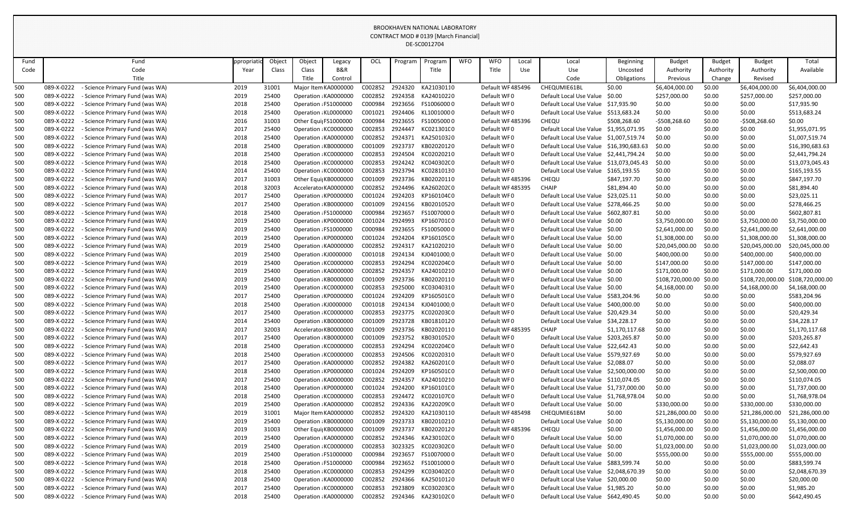|      |            |                                      |           |        |                       |                      |         |         | DE-SC0012704        |            |                  |       |                                         |                  |                  |               |                  |                  |
|------|------------|--------------------------------------|-----------|--------|-----------------------|----------------------|---------|---------|---------------------|------------|------------------|-------|-----------------------------------------|------------------|------------------|---------------|------------------|------------------|
| Fund |            | Fund                                 | ppropriat | Object | Object                | Legacy               | OCL     | Program | Program             | <b>WFO</b> | <b>WFO</b>       | Local | Local                                   | <b>Beginning</b> | <b>Budget</b>    | <b>Budget</b> | <b>Budget</b>    | Total            |
| Code |            | Code                                 | Year      | Class  | Class                 | <b>B&amp;R</b>       |         |         | Title               |            | Title            | Use   | Use                                     | Uncosted         | Authority        | Authority     | Authority        | Available        |
|      |            | Title                                |           |        | Title                 | Control              |         |         |                     |            |                  |       | Code                                    | Obligations      | Previous         | Change        | Revised          |                  |
| 500  | 089-X-0222 | Science Primary Fund (was WA)        | 2019      | 31001  |                       | Major Item KA0000000 | C002852 | 2924320 | KA21030110          |            | Default WF485496 |       | CHEQUMIE61BL                            | \$0.00           | \$6,404,000.00   | \$0.00        | \$6,404,000.00   | \$6,404,000.00   |
| 500  | 089-X-0222 | - Science Primary Fund (was WA)      | 2019      | 25400  | Operation : KA0000000 |                      | C002852 | 2924358 | KA24010220          |            | Default WF0      |       | Default Local Use Value                 | \$0.00           | \$257,000.00     | \$0.00        | \$257,000.00     | \$257,000.00     |
| 500  | 089-X-0222 | - Science Primary Fund (was WA)      | 2018      | 25400  | Operation : FS1000000 |                      | C000984 | 2923656 | FS10060000          |            | Default WF0      |       | Default Local Use Value                 | \$17.935.90      | \$0.00           | \$0.00        | \$0.00           | \$17,935.90      |
| 500  | 089-X-0222 | - Science Primary Fund (was WA)      | 2018      | 25400  | Operation : KL0000000 |                      | C001021 | 2924406 | KL10010000          |            | Default WF0      |       | Default Local Use Value                 | \$513,683.24     | \$0.00           | \$0.00        | \$0.00           | \$513,683.24     |
| 500  | 089-X-0222 | Science Primary Fund (was WA)        | 2016      | 31003  | Other Equi FS1000000  |                      | C000984 | 2923655 | FS10050000          |            | Default WF485396 |       | <b>CHEQU</b>                            | \$508,268.60     | -\$508,268.60    | \$0.00        | $-5508,268.60$   | \$0.00           |
| 500  | 089-X-0222 | - Science Primary Fund (was WA)      | 2017      | 25400  | Operation : KC0000000 |                      | C002853 | 2924447 | KC021301C0          |            | Default WF0      |       | Default Local Use Value                 | \$1,955,071.95   | \$0.00           | \$0.00        | \$0.00           | \$1,955,071.95   |
| 500  | 089-X-0222 | - Science Primary Fund (was WA)      | 2018      | 25400  | Operation : KA0000000 |                      | C002852 | 2924371 | KA25010320          |            | Default WF0      |       | Default Local Use Value \$1,007,519.74  |                  | \$0.00           | \$0.00        | \$0.00           | \$1,007,519.74   |
| 500  | 089-X-0222 | - Science Primary Fund (was WA)      | 2018      | 25400  | Operation : KB0000000 |                      | C001009 | 2923737 | KB02020120          |            | Default WF0      |       | Default Local Use Value                 | \$16,390,683.63  | \$0.00           | \$0.00        | \$0.00           | \$16,390,683.63  |
| 500  | 089-X-0222 | - Science Primary Fund (was WA)      | 2018      | 25400  | Operation : KC0000000 |                      | C002853 | 2924504 | KC02020210          |            | Default WF0      |       | Default Local Use Value                 | \$2,441,794.24   | \$0.00           | \$0.00        | \$0.00           | \$2,441,794.24   |
| 500  | 089-X-0222 | Science Primary Fund (was WA)        | 2018      | 25400  | Operation : KC0000000 |                      | C002853 | 2924242 | KC040302C0          |            | Default WF0      |       | Default Local Use Value \$13,073,045.43 |                  | \$0.00           | \$0.00        | \$0.00           | \$13,073,045.43  |
| 500  | 089-X-0222 | - Science Primary Fund (was WA)      | 2014      | 25400  | Operation : KC0000000 |                      | C002853 | 2923794 | KC02810130          |            | Default WF0      |       | Default Local Use Value                 | \$165,193.55     | \$0.00           | \$0.00        | \$0.00           | \$165,193.55     |
| 500  | 089-X-0222 | - Science Primary Fund (was WA)      | 2017      | 31003  | Other Equi KB0000000  |                      | C001009 | 2923736 | KB02020110          |            | Default WF485396 |       | CHEQU                                   | \$847,197.70     | \$0.00           | \$0.00        | \$0.00           | \$847,197.70     |
| 500  | 089-X-0222 | - Science Primary Fund (was WA)      | 2018      | 32003  | Accelerator KA0000000 |                      | C002852 | 2924496 | KA260202(0          |            | Default WF485395 |       | <b>CHAIP</b>                            | \$81,894.40      | \$0.00           | \$0.00        | \$0.00           | \$81,894.40      |
| 500  | 089-X-0222 | Science Primary Fund (was WA)        | 2017      | 25400  | Operation : KP0000000 |                      | C001024 | 2924203 | KP160104C0          |            | Default WF0      |       | Default Local Use Value                 | \$23,025.11      | \$0.00           | \$0.00        | \$0.00           | \$23,025.11      |
| 500  | 089-X-0222 | Science Primary Fund (was WA)        | 2017      | 25400  | Operation : KB0000000 |                      | C001009 | 2924156 | KB02010520          |            | Default WF0      |       | Default Local Use Value \$278,466.25    |                  | \$0.00           | \$0.00        | \$0.00           | \$278,466.25     |
| 500  | 089-X-0222 | - Science Primary Fund (was WA)      | 2018      | 25400  | Operation : FS1000000 |                      | C000984 | 2923657 | FS10070000          |            | Default WF0      |       | Default Local Use Value \$602,807.81    |                  | \$0.00           | \$0.00        | \$0.00           | \$602,807.81     |
| 500  | 089-X-0222 | - Science Primary Fund (was WA)      | 2019      | 25400  | Operation : KP0000000 |                      | C001024 | 2924993 | KP160701C0          |            | Default WF0      |       | Default Local Use Value \$0.00          |                  | \$3,750,000.00   | \$0.00        | \$3,750,000.00   | \$3,750,000.00   |
| 500  | 089-X-0222 | - Science Primary Fund (was WA)      | 2019      | 25400  | Operation : FS1000000 |                      | C000984 | 2923655 | FS10050000          |            | Default WF0      |       | Default Local Use Value \$0.00          |                  | \$2,641,000.00   | \$0.00        | \$2,641,000.00   | \$2,641,000.00   |
| 500  | 089-X-0222 | - Science Primary Fund (was WA)      | 2019      | 25400  | Operation : KP0000000 |                      | C001024 | 2924204 | KP160105C0          |            | Default WF0      |       | Default Local Use Value \$0.00          |                  | \$1,308,000.00   | \$0.00        | \$1,308,000.00   | \$1,308,000.00   |
| 500  | 089-X-0222 | Science Primary Fund (was WA)        | 2019      | 25400  | Operation : KA0000000 |                      | C002852 | 2924317 | KA21020210          |            | Default WF0      |       | Default Local Use Value \$0.00          |                  | \$20,045,000.00  | \$0.00        | \$20,045,000.00  | \$20,045,000.00  |
| 500  | 089-X-0222 | - Science Primary Fund (was WA)      | 2019      | 25400  | Operation : KJ0000000 |                      | C001018 | 2924134 | KJ04010000          |            | Default WF0      |       | Default Local Use Value \$0.00          |                  | \$400,000.00     | \$0.00        | \$400,000.00     | \$400,000.00     |
| 500  | 089-X-0222 | Science Primary Fund (was WA)        | 2019      | 25400  | Operation : KC0000000 |                      | C002853 | 2924294 | KC020204C0          |            | Default WF0      |       | Default Local Use Value \$0.00          |                  | \$147,000.00     | \$0.00        | \$147,000.00     | \$147,000.00     |
| 500  | 089-X-0222 | - Science Primary Fund (was WA)      | 2019      | 25400  | Operation : KA0000000 |                      | C002852 | 2924357 | KA24010210          |            | Default WF0      |       | Default Local Use Value \$0.00          |                  | \$171,000.00     | \$0.00        | \$171,000.00     | \$171,000.00     |
| 500  | 089-X-0222 | - Science Primary Fund (was WA)      | 2019      | 25400  | Operation : KB0000000 |                      | C001009 | 2923736 | KB02020110          |            | Default WF0      |       | Default Local Use Value                 | S0.00            | \$108,720,000.00 | \$0.00        | \$108,720,000.00 | \$108,720,000.00 |
| 500  | 089-X-0222 | - Science Primary Fund (was WA)      | 2019      | 25400  | Operation : KC0000000 |                      | C002853 | 2925000 | KC03040310          |            | Default WF0      |       | Default Local Use Value \$0.00          |                  | \$4,168,000.00   | \$0.00        | \$4,168,000.00   | \$4,168,000.00   |
| 500  | 089-X-0222 | <b>Science Primary Fund (was WA)</b> | 2017      | 25400  | Operation : KP0000000 |                      | C001024 | 2924209 | KP160501C0          |            | Default WF0      |       | Default Local Use Value \$583,204.96    |                  | \$0.00           | \$0.00        | \$0.00           | \$583,204.96     |
| 500  | 089-X-0222 | - Science Primary Fund (was WA)      | 2018      | 25400  | Operation : KJ0000000 |                      | C001018 |         | 2924134 KJ0401000 0 |            | Default WF0      |       | Default Local Use Value \$400,000.00    |                  | \$0.00           | \$0.00        | \$0.00           | \$400,000.00     |
| 500  | 089-X-0222 | Science Primary Fund (was WA)        | 2017      | 25400  | Operation : KC0000000 |                      | C002853 | 2923775 | KC020203C0          |            | Default WF0      |       | Default Local Use Value                 | \$20,429.34      | \$0.00           | \$0.00        | \$0.00           | \$20,429.34      |
| 500  | 089-X-0222 | - Science Primary Fund (was WA)      | 2014      | 25400  | Operation : KB0000000 |                      | C001009 | 2923728 | KB01810120          |            | Default WF0      |       | Default Local Use Value                 | \$34,228.17      | \$0.00           | \$0.00        | \$0.00           | \$34,228.17      |
| 500  | 089-X-0222 | Science Primary Fund (was WA)        | 2017      | 32003  | Accelerator KB0000000 |                      | C001009 | 2923736 | KB02020110          |            | Default WF485395 |       | <b>CHAIP</b>                            | \$1,170,117.68   | \$0.00           | \$0.00        | \$0.00           | \$1,170,117.68   |
| 500  | 089-X-0222 | - Science Primary Fund (was WA)      | 2017      | 25400  | Operation : KB0000000 |                      | C001009 | 2923752 | KB03010520          |            | Default WF0      |       | Default Local Use Value                 | \$203,265.87     | \$0.00           | \$0.00        | \$0.00           | \$203,265.87     |
| 500  | 089-X-0222 | - Science Primary Fund (was WA)      | 2018      | 25400  | Operation : KC0000000 |                      | C002853 | 2924294 | KC020204C0          |            | Default WF0      |       | Default Local Use Value \$22,642.43     |                  | \$0.00           | \$0.00        | \$0.00           | \$22,642.43      |
| 500  | 089-X-0222 | <b>Science Primary Fund (was WA)</b> | 2018      | 25400  | Operation : KC0000000 |                      | C002853 | 2924506 | KC02020310          |            | Default WF0      |       | Default Local Use Value \$579,927.69    |                  | \$0.00           | \$0.00        | \$0.00           | \$579,927.69     |
| 500  | 089-X-0222 | Science Primary Fund (was WA)        | 2017      | 25400  | Operation : KA0000000 |                      | C002852 | 2924382 | KA260201(0          |            | Default WF0      |       | Default Local Use Value \$2,088.07      |                  | \$0.00           | \$0.00        | \$0.00           | \$2,088.07       |
| 500  | 089-X-0222 | - Science Primary Fund (was WA)      | 2018      | 25400  | Operation : KP0000000 |                      | C001024 | 2924209 | KP160501C0          |            | Default WF0      |       | Default Local Use Value \$2,500,000.00  |                  | \$0.00           | \$0.00        | \$0.00           | \$2,500,000.00   |
| 500  | 089-X-0222 | - Science Primary Fund (was WA)      | 2017      | 25400  | Operation : KA0000000 |                      | C002852 | 2924357 | KA24010210          |            | Default WF0      |       | Default Local Use Value \$110,074.05    |                  | \$0.00           | \$0.00        | \$0.00           | \$110,074.05     |
| 500  | 089-X-0222 | - Science Primary Fund (was WA)      | 2018      | 25400  | Operation : KP0000000 |                      | C001024 | 2924200 | KP160101C0          |            | Default WF0      |       | Default Local Use Value \$1,737,000.00  |                  | \$0.00           | \$0.00        | \$0.00           | \$1,737,000.00   |
| 500  | 089-X-0222 | - Science Primary Fund (was WA)      | 2018      | 25400  | Operation : KC0000000 |                      | C002853 | 2924472 | KC020107C0          |            | Default WF0      |       | Default Local Use Value \$1,768,978.04  |                  | \$0.00           | \$0.00        | \$0.00           | \$1,768,978.04   |
| 500  | 089-X-0222 | Science Primary Fund (was WA)        | 2019      | 25400  | Operation : KA0000000 |                      | C002852 | 2924336 | KA220209(0          |            | Default WF0      |       | Default Local Use Value \$0.00          |                  | \$330,000.00     | \$0.00        | \$330,000.00     | \$330,000.00     |
| 500  | 089-X-0222 | - Science Primary Fund (was WA)      | 2019      | 31001  | Major Item KA0000000  |                      | C002852 | 2924320 | KA21030110          |            | Default WF485498 |       | CHEQUMIE61BM                            | \$0.00           | \$21,286,000.00  | \$0.00        | \$21,286,000.00  | \$21,286,000.00  |
| 500  | 089-X-0222 | - Science Primary Fund (was WA)      | 2019      | 25400  | Operation : KB0000000 |                      | C001009 | 2923733 | KB02010210          |            | Default WF0      |       | Default Local Use Value                 | \$0.00           | \$5,130,000.00   | \$0.00        | \$5,130,000.00   | \$5,130,000.00   |
| 500  | 089-X-0222 | Science Primary Fund (was WA)        | 2019      | 31003  | Other Equi KB0000000  |                      | C001009 | 2923737 | KB02020120          |            | Default WF485396 |       | CHEQU                                   | \$0.00           | \$1,456,000.00   | \$0.00        | \$1,456,000.00   | \$1,456,000.00   |
| 500  | 089-X-0222 | - Science Primary Fund (was WA)      | 2019      | 25400  | Operation : KA0000000 |                      | C002852 | 2924346 | KA230102(0          |            | Default WF0      |       | Default Local Use Value                 | \$0.00           | \$1,070,000.00   | \$0.00        | \$1,070,000.00   | \$1,070,000.00   |
| 500  | 089-X-0222 | Science Primary Fund (was WA)        | 2019      | 25400  | Operation : KC0000000 |                      | C002853 | 3023325 | KC020302C0          |            | Default WF0      |       | Default Local Use Value \$0.00          |                  | \$1,023,000.00   | \$0.00        | \$1,023,000.00   | \$1,023,000.00   |
| 500  | 089-X-0222 | - Science Primary Fund (was WA)      | 2019      | 25400  | Operation : FS1000000 |                      | C000984 | 2923657 | FS10070000          |            | Default WF0      |       | Default Local Use Value \$0.00          |                  | \$555,000.00     | \$0.00        | \$555,000.00     | \$555,000.00     |
| 500  | 089-X-0222 | - Science Primary Fund (was WA)      | 2018      | 25400  | Operation : FS1000000 |                      | C000984 | 2923652 | FS10010000          |            | Default WF0      |       | Default Local Use Value \$883,599.74    |                  | \$0.00           | \$0.00        | \$0.00           | \$883,599.74     |
| 500  | 089-X-0222 | - Science Primary Fund (was WA)      | 2018      | 25400  | Operation : KC0000000 |                      | C002853 | 2924299 | KC030402C0          |            | Default WF0      |       | Default Local Use Value \$2,048,670.39  |                  | \$0.00           | \$0.00        | \$0.00           | \$2,048,670.39   |
| 500  | 089-X-0222 | - Science Primary Fund (was WA)      | 2018      | 25400  | Operation : KA0000000 |                      | C002852 | 2924366 | KA25010120          |            | Default WF0      |       | Default Local Use Value                 | \$20,000.00      | \$0.00           | \$0.00        | \$0.00           | \$20,000.00      |
| 500  | 089-X-0222 | - Science Primary Fund (was WA)      | 2017      | 25400  | Operation : KC0000000 |                      | C002853 | 2923809 | KC030203C0          |            | Default WF0      |       | Default Local Use Value \$1,985.20      |                  | \$0.00           | \$0.00        | \$0.00           | \$1,985.20       |
| 500  | 089-X-0222 | - Science Primary Fund (was WA)      | 2018      | 25400  | Operation : KA0000000 |                      | C002852 | 2924346 | KA230102(0          |            | Default WF0      |       | Default Local Use Value \$642,490.45    |                  | \$0.00           | \$0.00        | \$0.00           | \$642,490.45     |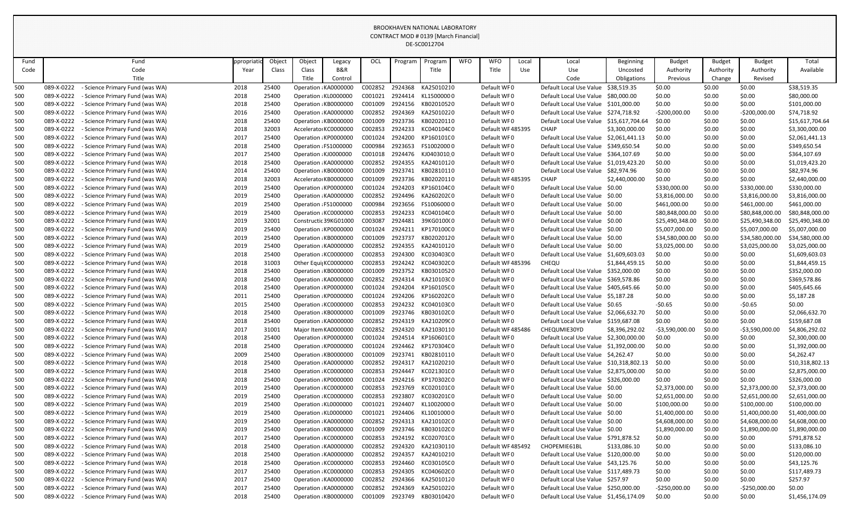|      |            |                                 |           |        |                       |                      |         |         | DE-SC0012704 |            |                  |       |                                         |                  |                  |               |                  |                 |
|------|------------|---------------------------------|-----------|--------|-----------------------|----------------------|---------|---------|--------------|------------|------------------|-------|-----------------------------------------|------------------|------------------|---------------|------------------|-----------------|
| Fund |            | Fund                            | ppropriat | Object | Object                | Legacy               | OCL     | Program | Program      | <b>WFO</b> | <b>WFO</b>       | Local | Local                                   | <b>Beginning</b> | <b>Budget</b>    | <b>Budget</b> | <b>Budget</b>    | Total           |
| Code |            | Code                            | Year      | Class  | Class                 | <b>B&amp;R</b>       |         |         | Title        |            | Title            | Use   | Use                                     | Uncosted         | Authority        | Authority     | Authority        | Available       |
|      |            | Title                           |           |        | Title                 | Control              |         |         |              |            |                  |       | Code                                    | Obligations      | Previous         | Change        | Revised          |                 |
| 500  | 089-X-0222 | - Science Primary Fund (was WA) | 2018      | 25400  | Operation : KA0000000 |                      | C002852 | 2924368 | KA25010210   |            | Default WF0      |       | Default Local Use Value                 | \$38,519.35      | \$0.00           | \$0.00        | \$0.00           | \$38,519.35     |
| 500  | 089-X-0222 | - Science Primary Fund (was WA) | 2018      | 25400  | Operation : KL0000000 |                      | C001021 | 2924414 | KL15000000   |            | Default WF0      |       | Default Local Use Value                 | \$80,000.00      | \$0.00           | \$0.00        | \$0.00           | \$80,000.00     |
| 500  | 089-X-0222 | Science Primary Fund (was WA)   | 2018      | 25400  | Operation : KB0000000 |                      | C001009 | 2924156 | KB02010520   |            | Default WF0      |       | Default Local Use Value                 | \$101,000.00     | \$0.00           | \$0.00        | \$0.00           | \$101,000.00    |
| 500  | 089-X-0222 | - Science Primary Fund (was WA) | 2016      | 25400  | Operation : KA0000000 |                      | C002852 | 2924369 | KA25010220   |            | Default WF0      |       | Default Local Use Value                 | \$274,718.92     | $-5200,000.00$   | \$0.00        | $-5200,000.00$   | \$74,718.92     |
| 500  | 089-X-0222 | Science Primary Fund (was WA)   | 2018      | 25400  | Operation : KB0000000 |                      | C001009 | 2923736 | KB02020110   |            | Default WF0      |       | Default Local Use Value                 | \$15,617,704.64  | \$0.00           | \$0.00        | \$0.00           | \$15,617,704.64 |
| 500  | 089-X-0222 | Science Primary Fund (was WA)   | 2018      | 32003  | Accelerato KC0000000  |                      | C002853 | 2924233 | KC040104C0   |            | Default WF485395 |       | <b>CHAIP</b>                            | \$3,300,000.00   | \$0.00           | \$0.00        | \$0.00           | \$3,300,000.00  |
| 500  | 089-X-0222 | - Science Primary Fund (was WA) | 2017      | 25400  | Operation : KP0000000 |                      | C001024 | 2924200 | KP160101C0   |            | Default WF0      |       | Default Local Use Value                 | \$2,061,441.13   | \$0.00           | \$0.00        | \$0.00           | \$2,061,441.13  |
| 500  | 089-X-0222 | - Science Primary Fund (was WA) | 2018      | 25400  | Operation : FS1000000 |                      | C000984 | 2923653 | FS10020000   |            | Default WF0      |       | Default Local Use Value                 | \$349,650.54     | \$0.00           | \$0.00        | \$0.00           | \$349,650.54    |
| 500  | 089-X-0222 | - Science Primary Fund (was WA) | 2017      | 25400  | Operation : KJ0000000 |                      | C001018 | 2924476 | KJ04030100   |            | Default WF0      |       | Default Local Use Value \$364,107.69    |                  | \$0.00           | \$0.00        | \$0.00           | \$364,107.69    |
| 500  | 089-X-0222 | Science Primary Fund (was WA)   | 2018      | 25400  | Operation : KA0000000 |                      | C002852 | 2924355 | KA24010120   |            | Default WF0      |       | Default Local Use Value                 | \$1,019,423.20   | \$0.00           | \$0.00        | \$0.00           | \$1,019,423.20  |
| 500  | 089-X-0222 | Science Primary Fund (was WA)   | 2014      | 25400  | Operation : KB0000000 |                      | C001009 | 2923741 | KB02810110   |            | Default WF0      |       | Default Local Use Value                 | \$82,974.96      | \$0.00           | \$0.00        | \$0.00           | \$82,974.96     |
| 500  | 089-X-0222 | - Science Primary Fund (was WA) | 2018      | 32003  | Accelerator KB0000000 |                      | C001009 | 2923736 | KB02020110   |            | Default WF485395 |       | <b>CHAIP</b>                            | \$2,440,000.00   | \$0.00           | \$0.00        | \$0.00           | \$2,440,000.00  |
| 500  | 089-X-0222 | - Science Primary Fund (was WA) | 2019      | 25400  | Operation : KP0000000 |                      | C001024 | 2924203 | KP16010400   |            | Default WF0      |       | Default Local Use Value                 | \$0.00           | \$330,000.00     | \$0.00        | \$330,000.00     | \$330,000.00    |
| 500  | 089-X-0222 | Science Primary Fund (was WA)   | 2019      | 25400  | Operation : KA0000000 |                      | C002852 | 2924496 | KA260202(0   |            | Default WF0      |       | Default Local Use Value \$0.00          |                  | \$3,816,000.00   | \$0.00        | \$3,816,000.00   | \$3,816,000.00  |
| 500  | 089-X-0222 | Science Primary Fund (was WA)   | 2019      | 25400  | Operation : FS1000000 |                      | C000984 | 2923656 | FS10060000   |            | Default WF0      |       | Default Local Use Value                 | \$0.00           | \$461,000.00     | \$0.00        | \$461,000.00     | \$461,000.00    |
| 500  | 089-X-0222 | Science Primary Fund (was WA)   | 2019      | 25400  | Operation : KC0000000 |                      | C002853 | 2924233 | KC040104C0   |            | Default WF0      |       | Default Local Use Value \$0.00          |                  | \$80,848,000.00  | \$0.00        | \$80,848,000.00  | \$80,848,000.00 |
| 500  | 089-X-0222 | - Science Primary Fund (was WA) | 2019      | 32001  | Constructic 39KG01000 |                      | C003087 | 2924481 | 39KG0100(0   |            | Default WF0      |       | Default Local Use Value \$0.00          |                  | \$25,490,348.00  | \$0.00        | \$25,490,348.00  | \$25,490,348.00 |
| 500  | 089-X-0222 | - Science Primary Fund (was WA) | 2019      | 25400  | Operation : KP0000000 |                      | C001024 | 2924211 | KP17010000   |            | Default WF0      |       | Default Local Use Value \$0.00          |                  | \$5,007,000.00   | \$0.00        | \$5,007,000.00   | \$5,007,000.00  |
| 500  | 089-X-0222 | - Science Primary Fund (was WA) | 2019      | 25400  | Operation : KB0000000 |                      | C001009 | 2923737 | KB02020120   |            | Default WF0      |       | Default Local Use Value \$0.00          |                  | \$34,580,000.00  | \$0.00        | \$34,580,000.00  | \$34,580,000.00 |
| 500  | 089-X-0222 | - Science Primary Fund (was WA) | 2019      | 25400  | Operation : KA0000000 |                      | C002852 | 2924355 | KA24010120   |            | Default WF0      |       | Default Local Use Value                 | S0.00            | \$3,025,000.00   | \$0.00        | \$3,025,000.00   | \$3,025,000.00  |
| 500  | 089-X-0222 | - Science Primary Fund (was WA) | 2018      | 25400  | Operation : KC0000000 |                      | C002853 | 2924300 | KC030403C0   |            | Default WF0      |       | Default Local Use Value                 | \$1,609,603.03   | \$0.00           | \$0.00        | \$0.00           | \$1,609,603.03  |
| 500  | 089-X-0222 | Science Primary Fund (was WA)   | 2018      | 31003  | Other Equi  KC0000000 |                      | C002853 | 2924242 | KC040302C0   |            | Default WF485396 |       | CHEQU                                   | \$1,844,459.15   | \$0.00           | \$0.00        | \$0.00           | \$1,844,459.15  |
| 500  | 089-X-0222 | Science Primary Fund (was WA)   | 2018      | 25400  | Operation : KB0000000 |                      | C001009 | 2923752 | KB03010520   |            | Default WF0      |       | Default Local Use Value                 | \$352,000.00     | \$0.00           | \$0.00        | \$0.00           | \$352,000.00    |
| 500  | 089-X-0222 | Science Primary Fund (was WA)   | 2018      | 25400  | Operation : KA0000000 |                      | C002852 | 2924314 | KA210103(0   |            | Default WF0      |       | Default Local Use Value                 | \$369,578.86     | \$0.00           | \$0.00        | \$0.00           | \$369,578.86    |
| 500  | 089-X-0222 | - Science Primary Fund (was WA) | 2018      | 25400  | Operation : KP0000000 |                      | C001024 | 2924204 | KP160105C0   |            | Default WF0      |       | Default Local Use Value \$405,645.66    |                  | \$0.00           | \$0.00        | \$0.00           | \$405,645.66    |
| 500  | 089-X-0222 | - Science Primary Fund (was WA) | 2011      | 25400  | Operation : KP0000000 |                      | C001024 | 2924206 | KP16020200   |            | Default WF0      |       | Default Local Use Value \$5,187.28      |                  | \$0.00           | \$0.00        | \$0.00           | \$5,187.28      |
| 500  | 089-X-0222 | - Science Primary Fund (was WA) | 2015      | 25400  | Operation : KC0000000 |                      | C002853 | 2924232 | KC040103C0   |            | Default WF0      |       | Default Local Use Value \$0.65          |                  | $-50.65$         | \$0.00        | $-50.65$         | \$0.00          |
| 500  | 089-X-0222 | - Science Primary Fund (was WA) | 2018      | 25400  | Operation : KB0000000 |                      | C001009 | 2923746 | KB030102C0   |            | Default WF0      |       | Default Local Use Value                 | \$2,066,632.70   | \$0.00           | \$0.00        | \$0.00           | \$2,066,632.70  |
| 500  | 089-X-0222 | Science Primary Fund (was WA)   | 2018      | 25400  | Operation : KA0000000 |                      | C002852 | 2924319 | KA210209(0   |            | Default WF0      |       | Default Local Use Value                 | \$159,687.08     | \$0.00           | \$0.00        | \$0.00           | \$159,687.08    |
| 500  | 089-X-0222 | Science Primary Fund (was WA)   | 2017      | 31001  |                       | Major Item KA0000000 | C002852 | 2924320 | KA21030110   |            | Default WF485486 |       | CHEQUMIE30YD                            | \$8,396,292.02   | $-53,590,000.00$ | \$0.00        | $-53,590,000.00$ | \$4,806,292.02  |
| 500  | 089-X-0222 | Science Primary Fund (was WA)   | 2018      | 25400  | Operation : KP0000000 |                      | C001024 | 2924514 | KP160601C0   |            | Default WF0      |       | Default Local Use Value                 | \$2,300,000.00   | \$0.00           | \$0.00        | \$0.00           | \$2,300,000.00  |
| 500  | 089-X-0222 | Science Primary Fund (was WA)   | 2018      | 25400  | Operation : KP0000000 |                      | C001024 | 2924462 | KP170304C0   |            | Default WF0      |       | Default Local Use Value \$1,392,000.00  |                  | \$0.00           | \$0.00        | \$0.00           | \$1,392,000.00  |
| 500  | 089-X-0222 | - Science Primary Fund (was WA) | 2009      | 25400  | Operation : KB0000000 |                      | C001009 | 2923741 | KB02810110   |            | Default WF0      |       | Default Local Use Value \$4,262.47      |                  | \$0.00           | \$0.00        | \$0.00           | \$4,262.47      |
| 500  | 089-X-0222 | - Science Primary Fund (was WA) | 2018      | 25400  | Operation : KA0000000 |                      | C002852 | 2924317 | KA21020210   |            | Default WF0      |       | Default Local Use Value \$10,318,802.13 |                  | \$0.00           | \$0.00        | \$0.00           | \$10,318,802.13 |
| 500  | 089-X-0222 | Science Primary Fund (was WA)   | 2018      | 25400  | Operation : KC0000000 |                      | C002853 | 2924447 | KC021301C0   |            | Default WF0      |       | Default Local Use Value \$2,875,000.00  |                  | \$0.00           | \$0.00        | \$0.00           | \$2,875,000.00  |
| 500  | 089-X-0222 | Science Primary Fund (was WA)   | 2018      | 25400  | Operation : KP0000000 |                      | C001024 | 2924216 | KP170302C0   |            | Default WF0      |       | Default Local Use Value \$326,000.00    |                  | \$0.00           | \$0.00        | \$0.00           | \$326,000.00    |
| 500  | 089-X-0222 | Science Primary Fund (was WA)   | 2019      | 25400  | Operation : KC0000000 |                      | C002853 | 2923769 | KC020101C0   |            | Default WF0      |       | Default Local Use Value \$0.00          |                  | \$2,373,000.00   | \$0.00        | \$2,373,000.00   | \$2,373,000.00  |
| 500  | 089-X-0222 | - Science Primary Fund (was WA) | 2019      | 25400  | Operation : KC0000000 |                      | C002853 | 2923807 | KC030201C0   |            | Default WF0      |       | Default Local Use Value \$0.00          |                  | \$2,651,000.00   | \$0.00        | \$2,651,000.00   | \$2,651,000.00  |
| 500  | 089-X-0222 | Science Primary Fund (was WA)   | 2019      | 25400  | Operation : KL0000000 |                      | C001021 | 2924407 | KL10020000   |            | Default WF0      |       | Default Local Use Value \$0.00          |                  | \$100,000.00     | \$0.00        | \$100,000.00     | \$100,000.00    |
| 500  | 089-X-0222 | Science Primary Fund (was WA)   | 2019      | 25400  | Operation : KL0000000 |                      | C001021 | 2924406 | KL1001000 0  |            | Default WF0      |       | Default Local Use Value \$0.00          |                  | \$1,400,000.00   | \$0.00        | \$1,400,000.00   | \$1,400,000.00  |
| 500  | 089-X-0222 | - Science Primary Fund (was WA) | 2019      | 25400  | Operation : KA0000000 |                      | C002852 | 2924313 | KA210102C0   |            | Default WF0      |       | Default Local Use Value \$0.00          |                  | \$4,608,000.00   | \$0.00        | \$4,608,000.00   | \$4,608,000.00  |
| 500  | 089-X-0222 | - Science Primary Fund (was WA) | 2019      | 25400  | Operation : KB0000000 |                      | C001009 | 2923746 | KB030102C0   |            | Default WF0      |       | Default Local Use Value \$0.00          |                  | \$1,890,000.00   | \$0.00        | \$1,890,000.00   | \$1,890,000.00  |
| 500  | 089-X-0222 | Science Primary Fund (was WA)   | 2017      | 25400  | Operation : KC0000000 |                      | C002853 | 2924192 | KC020701C0   |            | Default WF0      |       | Default Local Use Value                 | \$791,878.52     | \$0.00           | \$0.00        | \$0.00           | \$791,878.52    |
| 500  | 089-X-0222 | Science Primary Fund (was WA)   | 2018      | 25400  | Operation : KA0000000 |                      | C002852 | 2924320 | KA21030110   |            | Default WF485492 |       | CHOPEMIE61BL                            | \$133,086.10     | \$0.00           | \$0.00        | \$0.00           | \$133,086.10    |
| 500  | 089-X-0222 | Science Primary Fund (was WA)   | 2018      | 25400  | Operation : KA0000000 |                      | C002852 | 2924357 | KA24010210   |            | Default WF0      |       | Default Local Use Value \$120,000.00    |                  | \$0.00           | \$0.00        | \$0.00           | \$120,000.00    |
| 500  | 089-X-0222 | - Science Primary Fund (was WA) | 2018      | 25400  | Operation : KC0000000 |                      | C002853 | 2924460 | KC030105C0   |            | Default WF0      |       | Default Local Use Value \$43,125.76     |                  | \$0.00           | \$0.00        | \$0.00           | \$43,125.76     |
| 500  | 089-X-0222 | Science Primary Fund (was WA)   | 2017      | 25400  | Operation : KC0000000 |                      | C002853 | 2924305 | KC040602C0   |            | Default WF0      |       | Default Local Use Value \$117,489.73    |                  | \$0.00           | \$0.00        | \$0.00           | \$117,489.73    |
| 500  | 089-X-0222 | - Science Primary Fund (was WA) | 2017      | 25400  | Operation : KA0000000 |                      | C002852 | 2924366 | KA25010120   |            | Default WF0      |       | Default Local Use Value \$257.97        |                  | \$0.00           | \$0.00        | \$0.00           | \$257.97        |
| 500  | 089-X-0222 | - Science Primary Fund (was WA) | 2017      | 25400  | Operation : KA0000000 |                      | C002852 | 2924369 | KA25010220   |            | Default WF0      |       | Default Local Use Value \$250,000.00    |                  | $-5250,000.00$   | \$0.00        | $-$ \$250,000.00 | \$0.00          |
| 500  | 089-X-0222 | Science Primary Fund (was WA)   | 2018      | 25400  | Operation : KB0000000 |                      | C001009 | 2923749 | KB03010420   |            | Default WF0      |       | Default Local Use Value \$1,456,174.09  |                  | \$0.00           | \$0.00        | \$0.00           | \$1,456,174.09  |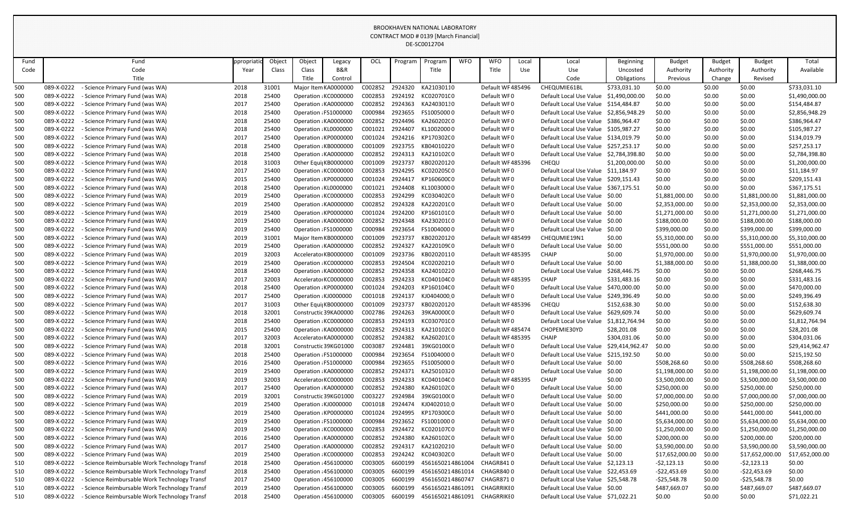|      |            |                                               |           |        |                       |                       |         |         | DE-3COUTZ704     |            |                   |            |                                        |                  |                 |               |                 |                 |
|------|------------|-----------------------------------------------|-----------|--------|-----------------------|-----------------------|---------|---------|------------------|------------|-------------------|------------|----------------------------------------|------------------|-----------------|---------------|-----------------|-----------------|
| Fund |            | Fund                                          | ppropriat | Object | Object                | Legacy                | OCL     | Program | Program          | <b>WFO</b> | <b>WFO</b>        | Local      | Local                                  | <b>Beginning</b> | <b>Budget</b>   | <b>Budget</b> | <b>Budget</b>   | Total           |
| Code |            | Code                                          | Year      | Class  | Class                 | <b>B&amp;R</b>        |         |         | Title            |            | Title             | <b>Use</b> | <b>Use</b>                             | Uncosted         | Authority       | Authority     | Authority       | Available       |
|      |            | Title                                         |           |        | Title                 | Control               |         |         |                  |            |                   |            | Code                                   | Obligations      | Previous        | Change        | Revised         |                 |
| 500  | 089-X-0222 | - Science Primary Fund (was WA)               | 2018      | 31001  |                       | Major Item KA0000000  | C002852 | 2924320 | KA21030110       |            | Default WF485496  |            | CHEQUMIE61BL                           | \$733,031.10     | \$0.00          | \$0.00        | \$0.00          | \$733,031.10    |
| 500  | 089-X-0222 | - Science Primary Fund (was WA)               | 2018      | 25400  |                       | Operation : KC0000000 | C002853 | 2924192 | KC020701C0       |            | Default WF0       |            | Default Local Use Value                | \$1,490,000.00   | \$0.00          | \$0.00        | \$0.00          | \$1,490,000.00  |
| 500  | 089-X-0222 | Science Primary Fund (was WA)                 | 2017      | 25400  |                       | Operation : KA0000000 | C002852 | 2924363 | KA24030130       |            | Default WF0       |            | Default Local Use Value                | \$154,484.87     | \$0.00          | \$0.00        | \$0.00          | \$154,484.87    |
| 500  | 089-X-0222 | - Science Primary Fund (was WA)               | 2018      | 25400  |                       | Operation : FS1000000 | C000984 | 2923655 | FS10050000       |            | Default WF0       |            | Default Local Use Value \$2,856,948.29 |                  | \$0.00          | \$0.00        | \$0.00          | \$2,856,948.29  |
| 500  | 089-X-0222 | - Science Primary Fund (was WA)               | 2018      | 25400  |                       | Operation : KA0000000 | C002852 | 2924496 | KA260202(0       |            | Default WF0       |            | Default Local Use Value                | \$386,964.47     | \$0.00          | \$0.00        | \$0.00          | \$386,964.47    |
| 500  | 089-X-0222 | - Science Primary Fund (was WA)               | 2018      | 25400  |                       | Operation : KL0000000 | C001021 | 2924407 | KL10020000       |            | Default WF0       |            | Default Local Use Value                | \$105,987.27     | \$0.00          | \$0.00        | \$0.00          | \$105,987.27    |
| 500  | 089-X-0222 | Science Primary Fund (was WA)                 | 2017      | 25400  |                       | Operation : KP0000000 | C001024 | 2924216 | KP170302C0       |            | Default WF0       |            | Default Local Use Value                | \$134,019.79     | \$0.00          | \$0.00        | \$0.00          | \$134,019.79    |
| 500  | 089-X-0222 | - Science Primary Fund (was WA)               | 2018      | 25400  |                       | Operation : KB0000000 | C001009 | 2923755 | KB04010220       |            | Default WF0       |            | Default Local Use Value                | \$257,253.17     | \$0.00          | \$0.00        | \$0.00          | \$257,253.17    |
| 500  | 089-X-0222 | - Science Primary Fund (was WA)               | 2018      | 25400  |                       | Operation : KA0000000 | C002852 | 2924313 | KA210102(0       |            | Default WF0       |            | Default Local Use Value                | \$2,784,398.80   | \$0.00          | \$0.00        | \$0.00          | \$2,784,398.80  |
| 500  | 089-X-0222 | - Science Primary Fund (was WA)               | 2018      | 31003  |                       | Other Equi KB0000000  | C001009 | 2923737 | KB02020120       |            | Default WF485396  |            | CHEQU                                  | \$1,200,000.00   | \$0.00          | \$0.00        | \$0.00          | \$1,200,000.00  |
| 500  | 089-X-0222 | - Science Primary Fund (was WA)               | 2017      | 25400  |                       | Operation : KC0000000 | C002853 | 2924295 | KC020205C0       |            | Default WF0       |            | Default Local Use Value                | \$11,184.97      | \$0.00          | \$0.00        | \$0.00          | \$11,184.97     |
| 500  | 089-X-0222 | - Science Primary Fund (was WA)               | 2015      | 25400  |                       | Operation : KP0000000 | C001024 | 2924417 | KP160600C0       |            | Default WF0       |            | Default Local Use Value                | \$209,151.43     | \$0.00          | \$0.00        | \$0.00          | \$209,151.43    |
| 500  | 089-X-0222 | - Science Primary Fund (was WA)               | 2018      | 25400  | Operation : KL0000000 |                       | C001021 | 2924408 | KL10030000       |            | Default WF0       |            | Default Local Use Value                | \$367,175.51     | \$0.00          | \$0.00        | \$0.00          | \$367,175.51    |
| 500  | 089-X-0222 | - Science Primary Fund (was WA)               | 2019      | 25400  |                       | Operation : KC0000000 | C002853 | 2924299 | KC030402C0       |            | Default WF0       |            | Default Local Use Value \$0.00         |                  | \$1,881,000.00  | \$0.00        | \$1,881,000.00  | \$1,881,000.00  |
| 500  | 089-X-0222 | - Science Primary Fund (was WA)               | 2019      | 25400  |                       | Operation : KA0000000 | C002852 | 2924328 | KA220201(0       |            | Default WF0       |            | Default Local Use Value \$0.00         |                  | \$2,353,000.00  | \$0.00        | \$2,353,000.00  | \$2,353,000.00  |
| 500  | 089-X-0222 | - Science Primary Fund (was WA)               | 2019      | 25400  |                       | Operation : KP0000000 | C001024 | 2924200 | KP160101C0       |            | Default WF0       |            | Default Local Use Value                | \$0.00           | \$1,271,000.00  | \$0.00        | \$1,271,000.00  | \$1,271,000.00  |
| 500  | 089-X-0222 | - Science Primary Fund (was WA)               | 2019      | 25400  |                       | Operation : KA0000000 | C002852 | 2924348 | KA230201(0       |            | Default WF0       |            | Default Local Use Value \$0.00         |                  | \$188,000.00    | \$0.00        | \$188,000.00    | \$188,000.00    |
| 500  | 089-X-0222 | - Science Primary Fund (was WA)               | 2019      | 25400  |                       | Operation : FS1000000 | C000984 | 2923654 | FS10040000       |            | Default WF0       |            | Default Local Use Value                | \$0.00           | \$399,000.00    | \$0.00        | \$399,000.00    | \$399,000.00    |
| 500  | 089-X-0222 | - Science Primary Fund (was WA)               | 2019      | 31001  |                       | Major Item KB0000000  | C001009 | 2923737 | KB02020120       |            | Default WF485499  |            | CHEQUMIE19N1                           | \$0.00           | \$5,310,000.00  | \$0.00        | \$5,310,000.00  | \$5,310,000.00  |
| 500  | 089-X-0222 | - Science Primary Fund (was WA)               | 2019      | 25400  |                       | Operation : KA0000000 | C002852 | 2924327 | KA220109(0       |            | Default WF0       |            | Default Local Use Value                | \$0.00           | \$551,000.00    | \$0.00        | \$551,000.00    | \$551,000.00    |
| 500  | 089-X-0222 | - Science Primary Fund (was WA)               | 2019      | 32003  |                       | Accelerato KB0000000  | C001009 | 2923736 | KB02020110       |            | Default WF485395  |            | <b>CHAIP</b>                           | \$0.00           | \$1,970,000.00  | \$0.00        | \$1,970,000.00  | \$1,970,000.00  |
| 500  | 089-X-0222 | - Science Primary Fund (was WA)               | 2019      | 25400  |                       | Operation : KC0000000 | C002853 | 2924504 | KC02020210       |            | Default WF0       |            | Default Local Use Value                | \$0.00           | \$1,388,000.00  | \$0.00        | \$1,388,000.00  | \$1,388,000.00  |
| 500  | 089-X-0222 | Science Primary Fund (was WA)                 | 2018      | 25400  |                       | Operation : KA0000000 | C002852 | 2924358 | KA24010220       |            | Default WF0       |            | Default Local Use Value                | \$268,446.75     | \$0.00          | \$0.00        | \$0.00          | \$268,446.75    |
| 500  | 089-X-0222 | - Science Primary Fund (was WA)               | 2017      | 32003  |                       | Accelerator KC0000000 | C002853 | 2924233 | KC040104C0       |            | Default WF485395  |            | <b>CHAIP</b>                           | \$331,483.16     | \$0.00          | \$0.00        | \$0.00          | \$331,483.16    |
| 500  | 089-X-0222 | - Science Primary Fund (was WA)               | 2018      | 25400  |                       | Operation : KP0000000 | C001024 | 2924203 | KP160104C0       |            | Default WF0       |            | Default Local Use Value                | \$470,000.00     | \$0.00          | \$0.00        | \$0.00          | \$470,000.00    |
| 500  | 089-X-0222 | - Science Primary Fund (was WA)               | 2017      | 25400  | Operation : KJ0000000 |                       | C001018 | 2924137 | KJ04040000       |            | Default WF0       |            | Default Local Use Value                | \$249,396.49     | \$0.00          | \$0.00        | \$0.00          | \$249,396.49    |
| 500  | 089-X-0222 | - Science Primary Fund (was WA)               | 2017      | 31003  |                       | Other Equi KB0000000  | C001009 | 2923737 | KB02020120       |            | Default WF485396  |            | CHEQU                                  | \$152,638.30     | \$0.00          | \$0.00        | \$0.00          | \$152,638.30    |
| 500  | 089-X-0222 | Science Primary Fund (was WA)                 | 2018      | 32001  |                       | Constructic 39KA00000 | C002786 | 2924263 | 39KA0000C0       |            | Default WF0       |            | Default Local Use Value                | \$629,609.74     | \$0.00          | \$0.00        | \$0.00          | \$629,609.74    |
| 500  | 089-X-0222 | - Science Primary Fund (was WA)               | 2018      | 25400  |                       | Operation : KC0000000 | C002853 | 2924193 | KC030701C0       |            | Default WF0       |            | Default Local Use Value                | \$1,812,764.94   | \$0.00          | \$0.00        | \$0.00          | \$1,812,764.94  |
| 500  | 089-X-0222 | - Science Primary Fund (was WA)               | 2015      | 25400  |                       | Operation : KA0000000 | C002852 | 2924313 | KA210102(0       |            | Default WF485474  |            | CHOPEMIE30YD                           | \$28,201.08      | \$0.00          | \$0.00        | \$0.00          | \$28,201.08     |
| 500  | 089-X-0222 | Science Primary Fund (was WA)                 | 2017      | 32003  |                       | Accelerato KA0000000  | C002852 | 2924382 | KA260201(0       |            | Default WF485395  |            | <b>CHAIP</b>                           | \$304,031.06     | \$0.00          | \$0.00        | \$0.00          | \$304,031.06    |
| 500  | 089-X-0222 | Science Primary Fund (was WA)                 | 2018      | 32001  |                       | Constructic 39KG01000 | C003087 | 2924481 | 39KG0100(0       |            | Default WF0       |            | Default Local Use Value                | \$29,414,962.47  | \$0.00          | \$0.00        | \$0.00          | \$29,414,962.47 |
| 500  | 089-X-0222 | - Science Primary Fund (was WA)               | 2018      | 25400  |                       | Operation : FS1000000 | C000984 | 2923654 | FS10040000       |            | Default WF0       |            | Default Local Use Value \$215,192.50   |                  | \$0.00          | \$0.00        | \$0.00          | \$215,192.50    |
| 500  | 089-X-0222 | - Science Primary Fund (was WA)               | 2016      | 25400  |                       | Operation : FS1000000 | C000984 | 2923655 | FS10050000       |            | Default WF0       |            | Default Local Use Value \$0.00         |                  | \$508,268.60    | \$0.00        | \$508,268.60    | \$508,268.60    |
| 500  | 089-X-0222 | - Science Primary Fund (was WA)               | 2019      | 25400  |                       | Operation : KA0000000 | C002852 | 2924371 | KA25010320       |            | Default WF0       |            | Default Local Use Value                | \$0.00           | \$1,198,000.00  | \$0.00        | \$1,198,000.00  | \$1,198,000.00  |
| 500  | 089-X-0222 | Science Primary Fund (was WA)                 | 2019      | 32003  |                       | Accelerator KC0000000 | C002853 | 2924233 | KC040104C0       |            | Default WF485395  |            | <b>CHAIP</b>                           | \$0.00           | \$3,500,000.00  | \$0.00        | \$3,500,000.00  | \$3,500,000.00  |
| 500  | 089-X-0222 | - Science Primary Fund (was WA)               | 2017      | 25400  |                       | Operation : KA0000000 | C002852 | 2924380 | KA260102(0       |            | Default WF0       |            | Default Local Use Value                | \$0.00           | \$250,000.00    | \$0.00        | \$250,000.00    | \$250,000.00    |
| 500  | 089-X-0222 | - Science Primary Fund (was WA)               | 2019      | 32001  |                       | Constructic 39KG01000 | C003227 | 2924984 | 39KG0100(0       |            | Default WF0       |            | Default Local Use Value \$0.00         |                  | \$7,000,000.00  | \$0.00        | \$7,000,000.00  | \$7,000,000.00  |
| 500  | 089-X-0222 | - Science Primary Fund (was WA)               | 2019      | 25400  |                       | Operation : KJ0000000 | C001018 | 2924474 | KJ04020100       |            | Default WF0       |            | Default Local Use Value \$0.00         |                  | \$250,000.00    | \$0.00        | \$250,000.00    | \$250,000.00    |
| 500  | 089-X-0222 | - Science Primary Fund (was WA)               | 2019      | 25400  |                       | Operation : KP0000000 | C001024 | 2924995 | KP170300C0       |            | Default WF0       |            | Default Local Use Value \$0.00         |                  | \$441,000.00    | \$0.00        | \$441,000.00    | \$441,000.00    |
| 500  | 089-X-0222 | - Science Primary Fund (was WA)               | 2019      | 25400  |                       | Operation : FS1000000 | C000984 | 2923652 | FS10010000       |            | Default WF0       |            | Default Local Use Value \$0.00         |                  | \$5,634,000.00  | \$0.00        | \$5,634,000.00  | \$5,634,000.00  |
| 500  | 089-X-0222 | - Science Primary Fund (was WA)               | 2019      | 25400  |                       | Operation : KC0000000 | C002853 | 2924472 | KC020107C0       |            | Default WF0       |            | Default Local Use Value \$0.00         |                  | \$1,250,000.00  | \$0.00        | \$1,250,000.00  | \$1,250,000.00  |
| 500  | 089-X-0222 | - Science Primary Fund (was WA)               | 2016      | 25400  |                       | Operation : KA0000000 | C002852 | 2924380 | KA260102(0       |            | Default WF0       |            | Default Local Use Value \$0.00         |                  | \$200,000.00    | \$0.00        | \$200,000.00    | \$200,000.00    |
| 500  | 089-X-0222 | Science Primary Fund (was WA)                 | 2017      | 25400  |                       | Operation : KA0000000 | C002852 | 2924317 | KA21020210       |            | Default WF0       |            | Default Local Use Value \$0.00         |                  | \$3,590,000.00  | \$0.00        | \$3,590,000.00  | \$3,590,000.00  |
| 500  | 089-X-0222 | - Science Primary Fund (was WA)               | 2019      | 25400  |                       | Operation : KC0000000 | C002853 | 2924242 | KC040302C0       |            | Default WF0       |            | Default Local Use Value \$0.00         |                  | \$17,652,000.00 | \$0.00        | \$17,652,000.00 | \$17,652,000.00 |
| 510  | 089-X-0222 | - Science Reimbursable Work Technology Transf | 2018      | 25400  |                       | Operation : 456100000 | C003005 | 6600199 | 4561650214861004 |            | <b>CHAGR8410</b>  |            | Default Local Use Value \$2,123.13     |                  | $-52,123.13$    | \$0.00        | $-52,123.13$    | \$0.00          |
| 510  | 089-X-0222 | - Science Reimbursable Work Technology Transf | 2018      | 25400  |                       | Operation : 456100000 | C003005 | 6600199 | 4561650214861014 |            | <b>CHAGR8400</b>  |            | Default Local Use Value \$22,453.69    |                  | -\$22,453.69    | \$0.00        | $-522,453.69$   | \$0.00          |
| 510  | 089-X-0222 | - Science Reimbursable Work Technology Transf | 2017      | 25400  |                       | Operation : 456100000 | C003005 | 6600199 | 4561650214860747 |            | CHAGR8710         |            | Default Local Use Value \$25,548.78    |                  | -\$25,548.78    | \$0.00        | $-525,548.78$   | \$0.00          |
| 510  | 089-X-0222 | - Science Reimbursable Work Technology Transf | 2019      | 25400  |                       | Operation : 456100000 | C003005 | 6600199 | 4561650214861091 |            | <b>CHAGRRIKEO</b> |            | Default Local Use Value \$0.00         |                  | \$487,669.07    | \$0.00        | \$487,669.07    | \$487,669.07    |
| 510  | 089-X-0222 | - Science Reimbursable Work Technology Transf | 2018      | 25400  |                       | Operation : 456100000 | C003005 | 6600199 | 4561650214861091 |            | <b>CHAGRRIKEO</b> |            | Default Local Use Value                | \$71,022.21      | \$0.00          | \$0.00        | \$0.00          | \$71,022.21     |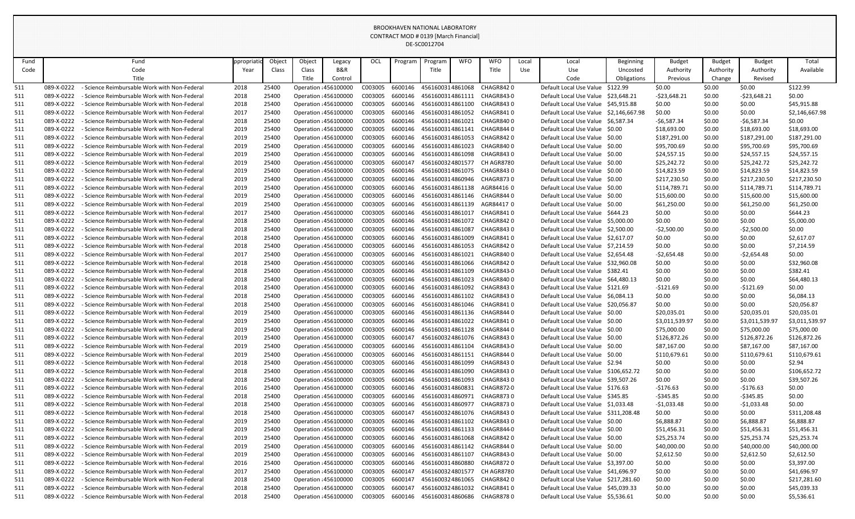|            |            |                                                   |           |        |        |                       |         |         | DE-3COUTZ704     |            |                  |            |                                        |                  |                |               |                |                |
|------------|------------|---------------------------------------------------|-----------|--------|--------|-----------------------|---------|---------|------------------|------------|------------------|------------|----------------------------------------|------------------|----------------|---------------|----------------|----------------|
| Fund       |            | Fund                                              | ppropriat | Object | Object | Legacy                | OCL     | Program | Program          | <b>WFO</b> | <b>WFO</b>       | Local      | Local                                  | <b>Beginning</b> | <b>Budget</b>  | <b>Budget</b> | <b>Budget</b>  | Total          |
| Code       |            | Code                                              | Year      | Class  | Class  | B&R                   |         |         | Title            |            | Title            | <b>Use</b> | <b>Use</b>                             | Uncosted         | Authority      | Authority     | Authority      | Available      |
|            |            | Title                                             |           |        | Title  | Control               |         |         |                  |            |                  |            | Code                                   | Obligations      | Previous       | Change        | Revised        |                |
| 511        | 089-X-0222 | <b>Science Reimbursable Work with Non-Federal</b> | 2018      | 25400  |        | Operation : 456100000 | C003005 | 6600146 | 4561600314861068 |            | CHAGR8420        |            | Default Local Use Value                | \$122.99         | \$0.00         | \$0.00        | \$0.00         | \$122.99       |
| 511        | 089-X-0222 | - Science Reimbursable Work with Non-Federal      | 2018      | 25400  |        | Operation : 456100000 | C003005 | 6600146 | 4561600314861111 |            | CHAGR8430        |            | Default Local Use Value                | \$23,648.21      | -\$23,648.21   | \$0.00        | $-523,648.21$  | \$0.00         |
| 511        | 089-X-0222 | - Science Reimbursable Work with Non-Federal      | 2018      | 25400  |        | Operation : 456100000 | C003005 | 6600146 | 4561600314861100 |            | CHAGR8430        |            | Default Local Use Value \$45,915.88    |                  | \$0.00         | \$0.00        | \$0.00         | \$45,915.88    |
| <u>511</u> | 089-X-0222 | Science Reimbursable Work with Non-Federa         | 2017      | 25400  |        | Operation : 456100000 | C003005 | 6600146 | 4561600314861052 |            | CHAGR8410        |            | Default Local Use Value \$2,146,667.98 |                  | \$0.00         | \$0.00        | \$0.00         | \$2,146,667.98 |
| 511        | 089-X-0222 | Science Reimbursable Work with Non-Federa         | 2018      | 25400  |        | Operation : 456100000 | C003005 | 6600146 | 4561600314861021 |            | CHAGR8400        |            | Default Local Use Value \$6,587.34     |                  | -\$6,587.34    | \$0.00        | -\$6,587.34    | \$0.00         |
| 511        | 089-X-0222 | Science Reimbursable Work with Non-Federa         | 2019      | 25400  |        | Operation : 456100000 | C003005 | 6600146 | 4561600314861141 |            | CHAGR8440        |            | Default Local Use Value \$0.00         |                  | \$18,693.00    | \$0.00        | \$18,693.00    | \$18,693.00    |
| 511        | 089-X-0222 | <b>Science Reimbursable Work with Non-Federal</b> | 2019      | 25400  |        | Operation : 456100000 | C003005 | 6600146 | 4561600314861053 |            | CHAGR8420        |            | Default Local Use Value \$0.00         |                  | \$187,291.00   | \$0.00        | \$187,291.00   | \$187,291.00   |
| 511        | 089-X-0222 | Science Reimbursable Work with Non-Federal        | 2019      | 25400  |        | Operation : 456100000 | C003005 | 6600146 | 4561600314861023 |            | CHAGR8400        |            | Default Local Use Value \$0.00         |                  | \$95,700.69    | \$0.00        | \$95,700.69    | \$95,700.69    |
| <u>511</u> | 089-X-0222 | Science Reimbursable Work with Non-Federa         | 2019      | 25400  |        | Operation : 456100000 | C003005 | 6600146 | 4561600314861098 |            | CHAGR8430        |            | Default Local Use Value \$0.00         |                  | \$24,557.15    | \$0.00        | \$24,557.15    | \$24,557.15    |
| 511        | 089-X-0222 | - Science Reimbursable Work with Non-Federa       | 2019      | 25400  |        | Operation : 456100000 | C003005 | 6600147 | 4561600324801577 |            | CH AGR8780       |            | Default Local Use Value \$0.00         |                  | \$25,242.72    | \$0.00        | \$25,242.72    | \$25,242.72    |
| 511        | 089-X-0222 | Science Reimbursable Work with Non-Federa         | 2019      | 25400  |        | Operation : 456100000 | C003005 | 6600146 | 4561600314861075 |            | CHAGR8430        |            | Default Local Use Value \$0.00         |                  | \$14,823.59    | \$0.00        | \$14,823.59    | \$14,823.59    |
| 511        | 089-X-0222 | Science Reimbursable Work with Non-Federal        | 2019      | 25400  |        | Operation : 456100000 | C003005 | 6600146 | 4561600314860946 |            | CHAGR8730        |            | Default Local Use Value \$0.00         |                  | \$217,230.50   | \$0.00        | \$217,230.50   | \$217,230.50   |
| 511        | 089-X-0222 | <b>Science Reimbursable Work with Non-Federal</b> | 2019      | 25400  |        | Operation : 456100000 | C003005 | 6600146 | 4561600314861138 |            | AGR84416 0       |            | Default Local Use Value \$0.00         |                  | \$114,789.71   | \$0.00        | \$114,789.71   | \$114,789.71   |
| 511        | 089-X-0222 | - Science Reimbursable Work with Non-Federal      | 2019      | 25400  |        | Operation : 456100000 | C003005 | 6600146 | 4561600314861146 |            | CHAGR8440        |            | Default Local Use Value \$0.00         |                  | \$15,600.00    | \$0.00        | \$15,600.00    | \$15,600.00    |
| 511        | 089-X-0222 | Science Reimbursable Work with Non-Federal        | 2019      | 25400  |        | Operation : 456100000 | C003005 | 6600146 | 4561600314861139 |            | AGR844170        |            | Default Local Use Value \$0.00         |                  | \$61,250.00    | \$0.00        | \$61,250.00    | \$61,250.00    |
| 511        | 089-X-0222 | Science Reimbursable Work with Non-Federa         | 2017      | 25400  |        | Operation : 456100000 | C003005 | 6600146 | 4561600314861017 |            | CHAGR8410        |            | Default Local Use Value                | S644.23          | \$0.00         | \$0.00        | \$0.00         | \$644.23       |
| 511        | 089-X-0222 | Science Reimbursable Work with Non-Federa         | 2018      | 25400  |        | Operation : 456100000 | C003005 | 6600146 | 4561600314861072 |            | CHAGR8420        |            | Default Local Use Value \$5,000.00     |                  | \$0.00         | \$0.00        | \$0.00         | \$5,000.00     |
| 511        | 089-X-0222 | - Science Reimbursable Work with Non-Federal      | 2018      | 25400  |        | Operation : 456100000 | C003005 | 6600146 | 4561600314861087 |            | CHAGR8430        |            | Default Local Use Value                | \$2,500.00       | $-52,500.00$   | \$0.00        | $-52,500.00$   | \$0.00         |
| 511        | 089-X-0222 | - Science Reimbursable Work with Non-Federal      | 2018      | 25400  |        | Operation : 456100000 | C003005 | 6600146 | 4561600314861009 |            | CHAGR8410        |            | Default Local Use Value \$2,617.07     |                  | \$0.00         | \$0.00        | \$0.00         | \$2,617.07     |
| 511        | 089-X-0222 | Science Reimbursable Work with Non-Federal        | 2018      | 25400  |        | Operation : 456100000 | C003005 | 6600146 | 4561600314861053 |            | CHAGR8420        |            | Default Local Use Value \$7,214.59     |                  | \$0.00         | \$0.00        | \$0.00         | \$7,214.59     |
| <u>511</u> | 089-X-0222 | Science Reimbursable Work with Non-Federal        | 2017      | 25400  |        | Operation : 456100000 | C003005 | 6600146 | 4561600314861021 |            | CHAGR8400        |            | Default Local Use Value \$2,654.48     |                  | $-52,654.48$   | \$0.00        | $-52,654.48$   | \$0.00         |
| 511        | 089-X-0222 | Science Reimbursable Work with Non-Federal        | 2018      | 25400  |        | Operation : 456100000 | C003005 | 6600146 | 4561600314861066 |            | CHAGR8420        |            | Default Local Use Value \$32,960.08    |                  | \$0.00         | \$0.00        | \$0.00         | \$32,960.08    |
| 511        | 089-X-0222 | - Science Reimbursable Work with Non-Federal      | 2018      | 25400  |        | Operation : 456100000 | C003005 | 6600146 | 4561600314861109 |            | CHAGR8430        |            | Default Local Use Value \$382.41       |                  | \$0.00         | \$0.00        | \$0.00         | \$382.41       |
| 511        | 089-X-0222 | <b>Science Reimbursable Work with Non-Federal</b> | 2018      | 25400  |        | Operation : 456100000 | C003005 | 6600146 | 4561600314861023 |            | CHAGR8400        |            | Default Local Use Value                | S64,480.13       | \$0.00         | \$0.00        | \$0.00         | \$64,480.13    |
| <u>511</u> | 089-X-0222 | Science Reimbursable Work with Non-Federa         | 2018      | 25400  |        | Operation : 456100000 | C003005 | 6600146 | 4561600314861092 |            | CHAGR8430        |            | Default Local Use Value \$121.69       |                  | $-5121.69$     | \$0.00        | $-5121.69$     | \$0.00         |
| <u>511</u> | 089-X-0222 | Science Reimbursable Work with Non-Federa         | 2018      | 25400  |        | Operation : 456100000 | C003005 | 6600146 | 4561600314861102 |            | CHAGR8430        |            | Default Local Use Value                | \$6,084.13       | \$0.00         | \$0.00        | \$0.00         | \$6,084.13     |
| 511        | 089-X-0222 | - Science Reimbursable Work with Non-Federa       | 2018      | 25400  |        | Operation : 456100000 | C003005 | 6600146 | 4561600314861046 |            | CHAGR841 C       |            | Default Local Use Value \$20,056.87    |                  | \$0.00         | \$0.00        | \$0.00         | \$20,056.87    |
| 511        | 089-X-0222 | - Science Reimbursable Work with Non-Federal      | 2019      | 25400  |        | Operation : 456100000 | C003005 | 6600146 | 4561600314861136 |            | CHAGR8440        |            | Default Local Use Value \$0.00         |                  | \$20,035.01    | \$0.00        | \$20,035.01    | \$20,035.01    |
| 511        | 089-X-0222 | - Science Reimbursable Work with Non-Federal      | 2019      | 25400  |        | Operation : 456100000 | C003005 | 6600146 | 4561600314861022 |            | CHAGR8410        |            | Default Local Use Value \$0.00         |                  | \$3,011,539.97 | \$0.00        | \$3,011,539.97 | \$3,011,539.97 |
| 511        | 089-X-0222 | - Science Reimbursable Work with Non-Federal      | 2019      | 25400  |        | Operation : 456100000 | C003005 | 6600146 | 4561600314861128 |            | CHAGR8440        |            | Default Local Use Value \$0.00         |                  | \$75,000.00    | \$0.00        | \$75,000.00    | \$75,000.00    |
| 511        | 089-X-0222 | - Science Reimbursable Work with Non-Federal      | 2019      | 25400  |        | Operation : 456100000 | C003005 | 6600147 | 4561600324861076 |            | CHAGR8430        |            | Default Local Use Value \$0.00         |                  | \$126,872.26   | \$0.00        | \$126,872.26   | \$126,872.26   |
| 511        | 089-X-0222 | - Science Reimbursable Work with Non-Federal      | 2019      | 25400  |        | Operation : 456100000 | C003005 | 6600146 | 4561600314861104 |            | CHAGR8430        |            | Default Local Use Value \$0.00         |                  | \$87,167.00    | \$0.00        | \$87,167.00    | \$87,167.00    |
| 511        | 089-X-0222 | - Science Reimbursable Work with Non-Federal      | 2019      | 25400  |        | Operation : 456100000 | C003005 | 6600146 | 4561600314861151 |            | CHAGR8440        |            | Default Local Use Value \$0.00         |                  | \$110,679.61   | \$0.00        | \$110,679.61   | \$110,679.61   |
| 511        | 089-X-0222 | - Science Reimbursable Work with Non-Federal      | 2018      | 25400  |        | Operation : 456100000 | C003005 | 6600146 | 4561600314861099 |            | CHAGR8430        |            | Default Local Use Value \$2.94         |                  | \$0.00         | \$0.00        | \$0.00         | \$2.94         |
| 511        | 089-X-0222 | - Science Reimbursable Work with Non-Federal      | 2018      | 25400  |        | Operation : 456100000 | C003005 | 6600146 | 4561600314861090 |            | CHAGR8430        |            | Default Local Use Value \$106,652.72   |                  | \$0.00         | \$0.00        | \$0.00         | \$106,652.72   |
| 511        | 089-X-0222 | - Science Reimbursable Work with Non-Federal      | 2018      | 25400  |        | Operation : 456100000 | C003005 | 6600146 | 4561600314861093 |            | CHAGR8430        |            | Default Local Use Value \$39,507.26    |                  | \$0.00         | \$0.00        | \$0.00         | \$39,507.26    |
| 511        | 089-X-0222 | - Science Reimbursable Work with Non-Federal      | 2016      | 25400  |        | Operation : 456100000 | C003005 | 6600146 | 4561600314860831 |            | CHAGR872 0       |            | Default Local Use Value \$176.63       |                  | -\$176.63      | \$0.00        | $-5176.63$     | \$0.00         |
| 511        | 089-X-0222 | - Science Reimbursable Work with Non-Federal      | 2018      | 25400  |        | Operation : 456100000 | C003005 | 6600146 | 4561600314860971 |            | CHAGR8730        |            | Default Local Use Value \$345.85       |                  | -\$345.85      | \$0.00        | $-$ \$345.85   | \$0.00         |
| 511        | 089-X-0222 | - Science Reimbursable Work with Non-Federal      | 2018      | 25400  |        | Operation : 456100000 | C003005 | 6600146 | 4561600314860977 |            | <b>CHAGR8730</b> |            | Default Local Use Value \$1,033.48     |                  | -\$1,033.48    | \$0.00        | $-51,033.48$   | \$0.00         |
| 511        | 089-X-0222 | - Science Reimbursable Work with Non-Federal      | 2018      | 25400  |        | Operation : 456100000 | C003005 | 6600147 | 4561600324861076 |            | CHAGR8430        |            | Default Local Use Value \$311,208.48   |                  | \$0.00         | \$0.00        | \$0.00         | \$311,208.48   |
| 511        | 089-X-0222 | <b>Science Reimbursable Work with Non-Federal</b> | 2019      | 25400  |        | Operation : 456100000 | C003005 | 6600146 | 4561600314861102 |            | CHAGR8430        |            | Default Local Use Value \$0.00         |                  | \$6,888.87     | \$0.00        | \$6,888.87     | \$6,888.87     |
| 511        | 089-X-0222 | - Science Reimbursable Work with Non-Federal      | 2019      | 25400  |        | Operation : 456100000 | C003005 | 6600146 | 4561600314861133 |            | CHAGR844 0       |            | Default Local Use Value \$0.00         |                  | \$51,456.31    | \$0.00        | \$51,456.31    | \$51,456.31    |
| 511        | 089-X-0222 | - Science Reimbursable Work with Non-Federal      | 2019      | 25400  |        | Operation : 456100000 | C003005 | 6600146 | 4561600314861068 |            | CHAGR8420        |            | Default Local Use Value \$0.00         |                  | \$25,253.74    | \$0.00        | \$25,253.74    | \$25,253.74    |
| 511        | 089-X-0222 | - Science Reimbursable Work with Non-Federal      | 2019      | 25400  |        | Operation : 456100000 | C003005 | 6600146 | 4561600314861142 |            | CHAGR8440        |            | Default Local Use Value \$0.00         |                  | \$40,000.00    | \$0.00        | \$40,000.00    | \$40,000.00    |
| 511        | 089-X-0222 | - Science Reimbursable Work with Non-Federal      | 2019      | 25400  |        | Operation : 456100000 | C003005 | 6600146 | 4561600314861107 |            | CHAGR8430        |            | Default Local Use Value \$0.00         |                  | \$2,612.50     | \$0.00        | \$2,612.50     | \$2,612.50     |
| 511        | 089-X-0222 | - Science Reimbursable Work with Non-Federal      | 2016      | 25400  |        | Operation : 456100000 | C003005 | 6600146 | 4561600314860880 |            | CHAGR8720        |            | Default Local Use Value \$3,397.00     |                  | \$0.00         | \$0.00        | \$0.00         | \$3,397.00     |
| 511        | 089-X-0222 | - Science Reimbursable Work with Non-Federal      | 2017      | 25400  |        | Operation : 456100000 | C003005 | 6600147 | 4561600324801577 |            | CH AGR8780       |            | Default Local Use Value \$41,696.97    |                  | \$0.00         | \$0.00        | \$0.00         | \$41,696.97    |
| 511        | 089-X-0222 | - Science Reimbursable Work with Non-Federal      | 2018      | 25400  |        | Operation : 456100000 | C003005 | 6600147 | 4561600324861065 |            | CHAGR8420        |            | Default Local Use Value \$217,281.60   |                  | \$0.00         | \$0.00        | \$0.00         | \$217,281.60   |
| 511        | 089-X-0222 | <b>Science Reimbursable Work with Non-Federal</b> | 2018      | 25400  |        | Operation : 456100000 | C003005 | 6600147 | 4561600324861032 |            | CHAGR8410        |            | Default Local Use Value \$45,039.33    |                  | \$0.00         | \$0.00        | \$0.00         | \$45,039.33    |
| 511        | 089-X-0222 | - Science Reimbursable Work with Non-Federal      | 2018      | 25400  |        | Operation : 456100000 | C003005 | 6600146 | 4561600314860686 |            | CHAGR8780        |            | Default Local Use Value \$5,536.61     |                  | \$0.00         | \$0.00        | \$0.00         | \$5,536.61     |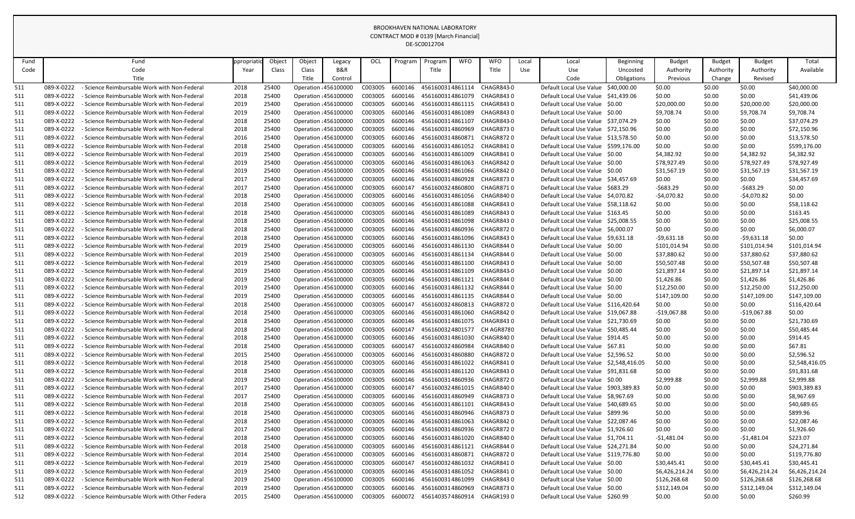|            |            |                                               |           |        |                              |                |         |         | DE-SC0012704     |            |                                    |       |                                        |             |                |               |                |                |
|------------|------------|-----------------------------------------------|-----------|--------|------------------------------|----------------|---------|---------|------------------|------------|------------------------------------|-------|----------------------------------------|-------------|----------------|---------------|----------------|----------------|
| Fund       |            | Fund                                          | ppropriat | Object | Object                       | Legacy         | OCL     | Program | Program          | <b>WFO</b> | <b>WFO</b>                         | Local | Local                                  | Beginning   | <b>Budget</b>  | <b>Budget</b> | <b>Budget</b>  | Total          |
| Code       |            | Code                                          | Year      | Class  | Class                        | <b>B&amp;R</b> |         |         | Title            |            | Title                              | Use   | Use                                    | Uncosted    | Authority      | Authority     | Authority      | Available      |
|            |            | Title                                         |           |        | Title                        | Control        |         |         |                  |            |                                    |       | Code                                   | Obligations | Previous       | Change        | Revised        |                |
| 511        | 089-X-0222 | Science Reimbursable Work with Non-Federal    | 2018      | 25400  | Operation : 456100000        |                | C003005 | 6600146 | 4561600314861114 |            | <b>CHAGR8430</b>                   |       | Default Local Use Value                | \$40,000.00 | \$0.00         | \$0.00        | \$0.00         | \$40,000.00    |
| <u>511</u> | 089-X-0222 | - Science Reimbursable Work with Non-Federal  | 2018      | 25400  | Operation : 456100000        |                | C003005 | 6600146 | 4561600314861079 |            | CHAGR8430                          |       | Default Local Use Value                | \$41,439.06 | \$0.00         | \$0.00        | \$0.00         | \$41,439.06    |
| 511        | 089-X-0222 | - Science Reimbursable Work with Non-Federal  | 2019      | 25400  | Operation : 456100000        |                | C003005 | 6600146 | 4561600314861115 |            | CHAGR8430                          |       | Default Local Use Value \$0.00         |             | \$20,000.00    | \$0.00        | \$20,000.00    | \$20,000.00    |
| 511        | 089-X-0222 | - Science Reimbursable Work with Non-Federal  | 2019      | 25400  | Operation : 456100000        |                | C003005 | 6600146 | 4561600314861089 |            | CHAGR8430                          |       | Default Local Use Value \$0.00         |             | \$9,708.74     | \$0.00        | \$9,708.74     | \$9,708.74     |
| 511        | 089-X-0222 | Science Reimbursable Work with Non-Federal    | 2018      | 25400  | Operation : 456100000        |                | C003005 | 6600146 | 4561600314861107 |            | CHAGR8430                          |       | Default Local Use Value \$37,074.29    |             | \$0.00         | \$0.00        | \$0.00         | \$37,074.29    |
| 511        | 089-X-0222 | Science Reimbursable Work with Non-Federal    | 2018      | 25400  | Operation : 456100000        |                | C003005 | 6600146 | 4561600314860969 |            | CHAGR8730                          |       | Default Local Use Value                | \$72,150.96 | \$0.00         | \$0.00        | \$0.00         | \$72,150.96    |
| 511        | 089-X-0222 | - Science Reimbursable Work with Non-Federal  | 2016      | 25400  | Operation : 456100000        |                | C003005 | 6600146 | 4561600314860871 |            | CHAGR8720                          |       | Default Local Use Value \$13,578.50    |             | \$0.00         | \$0.00        | \$0.00         | \$13,578.50    |
| 511        | 089-X-0222 | - Science Reimbursable Work with Non-Federal  | 2018      | 25400  | Operation : 456100000        |                | C003005 | 6600146 | 4561600314861052 |            | CHAGR8410                          |       | Default Local Use Value \$599,176.00   |             | \$0.00         | \$0.00        | \$0.00         | \$599,176.00   |
| 511        | 089-X-0222 | - Science Reimbursable Work with Non-Federal  | 2019      | 25400  | Operation : 456100000        |                | C003005 | 6600146 | 4561600314861009 |            | CHAGR8410                          |       | Default Local Use Value \$0.00         |             | \$4,382.92     | \$0.00        | \$4,382.92     | \$4,382.92     |
| 511        | 089-X-0222 | Science Reimbursable Work with Non-Federal    | 2019      | 25400  | Operation : 456100000        |                | C003005 | 6600146 | 4561600314861063 |            | CHAGR8420                          |       | Default Local Use Value \$0.00         |             | \$78,927.49    | \$0.00        | \$78,927.49    | \$78,927.49    |
| 511        | 089-X-0222 | - Science Reimbursable Work with Non-Federal  | 2019      | 25400  | Operation : 456100000        |                | C003005 | 6600146 | 4561600314861066 |            | CHAGR8420                          |       | Default Local Use Value \$0.00         |             | \$31,567.19    | \$0.00        | \$31,567.19    | \$31,567.19    |
| 511        | 089-X-0222 | Science Reimbursable Work with Non-Federal    | 2017      | 25400  | Operation : 456100000        |                | C003005 | 6600146 | 4561600314860928 |            | CHAGR8730                          |       | Default Local Use Value \$34,457.69    |             | \$0.00         | \$0.00        | \$0.00         | \$34,457.69    |
| 511        | 089-X-0222 | - Science Reimbursable Work with Non-Federal  | 2017      | 25400  | Operation : 456100000        |                | C003005 | 6600147 | 4561600324860800 |            | CHAGR8710                          |       | Default Local Use Value \$683.29       |             | $-5683.29$     | \$0.00        | $-5683.29$     | \$0.00         |
| 511        | 089-X-0222 | Science Reimbursable Work with Non-Federal    | 2018      | 25400  | Operation : 456100000        |                | C003005 | 6600146 | 4561600314861056 |            | CHAGR8400                          |       | Default Local Use Value \$4,070.82     |             | -\$4,070.82    | \$0.00        | $-54,070.82$   | \$0.00         |
| <u>511</u> | 089-X-0222 | Science Reimbursable Work with Non-Federal    | 2018      | 25400  | Operation : 456100000        |                | C003005 | 6600146 | 4561600314861088 |            | CHAGR8430                          |       | Default Local Use Value \$58,118.62    |             | \$0.00         | \$0.00        | \$0.00         | \$58,118.62    |
| 511        | 089-X-0222 | - Science Reimbursable Work with Non-Federal  | 2018      | 25400  | Operation : 456100000        |                | C003005 | 6600146 | 4561600314861089 |            | CHAGR8430                          |       | Default Local Use Value \$163.45       |             | \$0.00         | \$0.00        | \$0.00         | \$163.45       |
| 511        | 089-X-0222 | - Science Reimbursable Work with Non-Federal  | 2018      | 25400  | Operation : 456100000        |                | C003005 | 6600146 | 4561600314861098 |            | CHAGR8430                          |       | Default Local Use Value \$25,008.55    |             | \$0.00         | \$0.00        | \$0.00         | \$25,008.55    |
| <u>511</u> | 089-X-0222 | Science Reimbursable Work with Non-Federal    | 2018      | 25400  | Operation : 456100000        |                | C003005 | 6600146 | 4561600314860936 |            | CHAGR8720                          |       | Default Local Use Value \$6,000.07     |             | \$0.00         | \$0.00        | \$0.00         | \$6,000.07     |
| 511        | 089-X-0222 | - Science Reimbursable Work with Non-Federal  | 2018      | 25400  | Operation : 456100000        |                | C003005 | 6600146 | 4561600314861096 |            | CHAGR8430                          |       | Default Local Use Value \$9,631.18     |             | -\$9,631.18    | \$0.00        | $-59,631.18$   | \$0.00         |
| 511        | 089-X-0222 | Science Reimbursable Work with Non-Federal    | 2019      | 25400  | Operation : 456100000        |                | C003005 | 6600146 | 4561600314861130 |            | CHAGR8440                          |       | Default Local Use Value \$0.00         |             | \$101,014.94   | \$0.00        | \$101,014.94   | \$101,014.94   |
| 511        | 089-X-0222 | - Science Reimbursable Work with Non-Federal  | 2019      | 25400  | Operation : 456100000        |                | C003005 | 6600146 | 4561600314861134 |            | CHAGR8440                          |       | Default Local Use Value \$0.00         |             | \$37,880.62    | \$0.00        | \$37,880.62    | \$37,880.62    |
| 511        | 089-X-0222 | Science Reimbursable Work with Non-Federal    | 2019      | 25400  | Operation : 456100000        |                | C003005 | 6600146 | 4561600314861100 |            | CHAGR8430                          |       | Default Local Use Value \$0.00         |             | \$50,507.48    | \$0.00        | \$50,507.48    | \$50,507.48    |
| <u>511</u> | 089-X-0222 | Science Reimbursable Work with Non-Federal    | 2019      | 25400  | Operation : 456100000        |                | C003005 | 6600146 | 4561600314861109 |            | CHAGR8430                          |       | Default Local Use Value \$0.00         |             | \$21,897.14    | \$0.00        | \$21,897.14    | \$21,897.14    |
| <u>511</u> | 089-X-0222 | - Science Reimbursable Work with Non-Federal  | 2019      | 25400  | <b>Operation : 456100000</b> |                | C003005 | 6600146 | 4561600314861121 |            | CHAGR8440                          |       | Default Local Use Value \$0.00         |             | \$1,426.86     | \$0.00        | \$1,426.86     | \$1,426.86     |
| 511        | 089-X-0222 | - Science Reimbursable Work with Non-Federal  | 2019      | 25400  | Operation : 456100000        |                | C003005 | 6600146 | 4561600314861132 |            | CHAGR8440                          |       | Default Local Use Value \$0.00         |             | \$12,250.00    | \$0.00        | \$12,250.00    | \$12,250.00    |
| 511        | 089-X-0222 | - Science Reimbursable Work with Non-Federal  | 2019      | 25400  | Operation : 456100000        |                | C003005 | 6600146 | 4561600314861135 |            | CHAGR8440                          |       | Default Local Use Value \$0.00         |             | \$147,109.00   | \$0.00        | \$147,109.00   | \$147,109.00   |
| 511        | 089-X-0222 | - Science Reimbursable Work with Non-Federal  | 2018      | 25400  | Operation : 456100000        |                | C003005 |         |                  |            | 6600147 4561600324860813 CHAGR8720 |       | Default Local Use Value \$116,420.64   |             | \$0.00         | \$0.00        | \$0.00         | \$116,420.64   |
| 511        | 089-X-0222 | - Science Reimbursable Work with Non-Federal  | 2018      | 25400  | Operation : 456100000        |                | C003005 | 6600146 | 4561600314861060 |            | CHAGR8420                          |       | Default Local Use Value \$19,067.88    |             | $-$19,067.88$  | \$0.00        | $-$19,067.88$  | \$0.00         |
| 511        | 089-X-0222 | - Science Reimbursable Work with Non-Federal  | 2018      | 25400  | Operation : 456100000        |                | C003005 | 6600146 | 4561600314861075 |            | CHAGR8430                          |       | Default Local Use Value \$21,730.69    |             | \$0.00         | \$0.00        | \$0.00         | \$21,730.69    |
| 511        | 089-X-0222 | - Science Reimbursable Work with Non-Federal  | 2018      | 25400  | Operation : 456100000        |                | C003005 | 6600147 | 4561600324801577 |            | CH AGR8780                         |       | Default Local Use Value \$50,485.44    |             | \$0.00         | \$0.00        | \$0.00         | \$50,485.44    |
| 511        | 089-X-0222 | - Science Reimbursable Work with Non-Federal  | 2018      | 25400  | Operation : 456100000        |                | C003005 | 6600146 | 4561600314861030 |            | CHAGR8400                          |       | Default Local Use Value \$914.45       |             | \$0.00         | \$0.00        | \$0.00         | \$914.45       |
| 511        | 089-X-0222 | - Science Reimbursable Work with Non-Federal  | 2018      | 25400  | Operation : 456100000        |                | C003005 | 6600147 | 4561600324860984 |            | CHAGR8400                          |       | Default Local Use Value \$67.81        |             | \$0.00         | \$0.00        | \$0.00         | \$67.81        |
| 511        | 089-X-0222 | - Science Reimbursable Work with Non-Federal  | 2015      | 25400  | Operation : 456100000        |                | C003005 | 6600146 | 4561600314860880 |            | <b>CHAGR8720</b>                   |       | Default Local Use Value \$2,596.52     |             | \$0.00         | \$0.00        | \$0.00         | \$2,596.52     |
| 511        | 089-X-0222 | - Science Reimbursable Work with Non-Federal  | 2018      | 25400  | Operation : 456100000        |                | C003005 | 6600146 | 4561600314861022 |            | CHAGR8410                          |       | Default Local Use Value \$2,548,416.05 |             | \$0.00         | \$0.00        | \$0.00         | \$2,548,416.05 |
| 511        | 089-X-0222 | - Science Reimbursable Work with Non-Federal  | 2018      | 25400  | Operation : 456100000        |                | C003005 | 6600146 | 4561600314861120 |            | CHAGR8430                          |       | Default Local Use Value \$91,831.68    |             | \$0.00         | \$0.00        | \$0.00         | \$91,831.68    |
| 511        | 089-X-0222 | - Science Reimbursable Work with Non-Federal  | 2019      | 25400  | Operation : 456100000        |                | C003005 | 6600146 | 4561600314860936 |            | CHAGR8720                          |       | Default Local Use Value \$0.00         |             | \$2,999.88     | \$0.00        | \$2,999.88     | \$2,999.88     |
| 511        | 089-X-0222 | - Science Reimbursable Work with Non-Federal  | 2017      | 25400  | Operation : 456100000        |                | C003005 | 6600147 | 4561600324861015 |            | CHAGR8400                          |       | Default Local Use Value \$903,389.83   |             | \$0.00         | \$0.00        | \$0.00         | \$903,389.83   |
| 511        | 089-X-0222 | - Science Reimbursable Work with Non-Federal  | 2017      | 25400  | Operation : 456100000        |                | C003005 | 6600146 | 4561600314860949 |            | CHAGR8730                          |       | Default Local Use Value \$8,967.69     |             | \$0.00         | \$0.00        | \$0.00         | \$8,967.69     |
| 511        | 089-X-0222 | - Science Reimbursable Work with Non-Federal  | 2018      | 25400  | Operation : 456100000        |                | C003005 | 6600146 | 4561600314861101 |            | CHAGR8430                          |       | Default Local Use Value \$40,689.65    |             | \$0.00         | \$0.00        | \$0.00         | \$40,689.65    |
| 511        | 089-X-0222 | - Science Reimbursable Work with Non-Federal  | 2018      | 25400  | <b>Operation : 456100000</b> |                | C003005 | 6600146 | 4561600314860946 |            | CHAGR8730                          |       | Default Local Use Value \$899.96       |             | \$0.00         | \$0.00        | \$0.00         | \$899.96       |
| 511        | 089-X-0222 | - Science Reimbursable Work with Non-Federal  | 2018      | 25400  | Operation : 456100000        |                | C003005 | 6600146 | 4561600314861063 |            | CHAGR8420                          |       | Default Local Use Value \$22,087.46    |             | \$0.00         | \$0.00        | \$0.00         | \$22,087.46    |
| 511        | 089-X-0222 | - Science Reimbursable Work with Non-Federal  | 2017      | 25400  | Operation : 456100000        |                | C003005 | 6600146 | 4561600314860936 |            | CHAGR8720                          |       | Default Local Use Value \$1,926.60     |             | \$0.00         | \$0.00        | \$0.00         | \$1,926.60     |
| 511        | 089-X-0222 | Science Reimbursable Work with Non-Federal    | 2018      | 25400  | Operation : 456100000        |                | C003005 | 6600146 | 4561600314861020 |            | CHAGR8400                          |       | Default Local Use Value \$1,704.11     |             | -\$1,481.04    | \$0.00        | $-51,481.04$   | \$223.07       |
| 511        | 089-X-0222 | - Science Reimbursable Work with Non-Federal  | 2018      | 25400  | Operation : 456100000        |                | C003005 | 6600146 | 4561600314861121 |            | CHAGR8440                          |       | Default Local Use Value \$24,271.84    |             | \$0.00         | \$0.00        | \$0.00         | \$24,271.84    |
| 511        | 089-X-0222 | - Science Reimbursable Work with Non-Federal  | 2014      | 25400  | Operation : 456100000        |                | C003005 | 6600146 | 4561600314860871 |            | CHAGR8720                          |       | Default Local Use Value \$119,776.80   |             | \$0.00         | \$0.00        | \$0.00         | \$119,776.80   |
| 511        | 089-X-0222 | - Science Reimbursable Work with Non-Federal  | 2019      | 25400  | <b>Operation : 456100000</b> |                | C003005 | 6600147 | 4561600324861032 |            | CHAGR8410                          |       | Default Local Use Value \$0.00         |             | \$30,445.41    | \$0.00        | \$30,445.41    | \$30,445.41    |
| 511        | 089-X-0222 | - Science Reimbursable Work with Non-Federal  | 2019      | 25400  | Operation : 456100000        |                | C003005 | 6600146 | 4561600314861052 |            | CHAGR8410                          |       | Default Local Use Value \$0.00         |             | \$6,426,214.24 | \$0.00        | \$6,426,214.24 | \$6,426,214.24 |
| 511        | 089-X-0222 | - Science Reimbursable Work with Non-Federal  | 2019      | 25400  | Operation : 456100000        |                | C003005 | 6600146 | 4561600314861099 |            | CHAGR8430                          |       | Default Local Use Value \$0.00         |             | \$126,268.68   | \$0.00        | \$126,268.68   | \$126,268.68   |
| 511        | 089-X-0222 | Science Reimbursable Work with Non-Federal    | 2019      | 25400  | Operation : 456100000        |                | C003005 | 6600146 | 4561600314860969 |            | CHAGR8730                          |       | Default Local Use Value \$0.00         |             | \$312,149.04   | \$0.00        | \$312,149.04   | \$312,149.04   |
| 512        | 089-X-0222 | - Science Reimbursable Work with Other Federa | 2015      | 25400  | Operation : 456100000        |                | C003005 | 6600072 | 4561403574860914 |            | CHAGR1930                          |       | Default Local Use Value \$260.99       |             | \$0.00         | \$0.00        | \$0.00         | \$260.99       |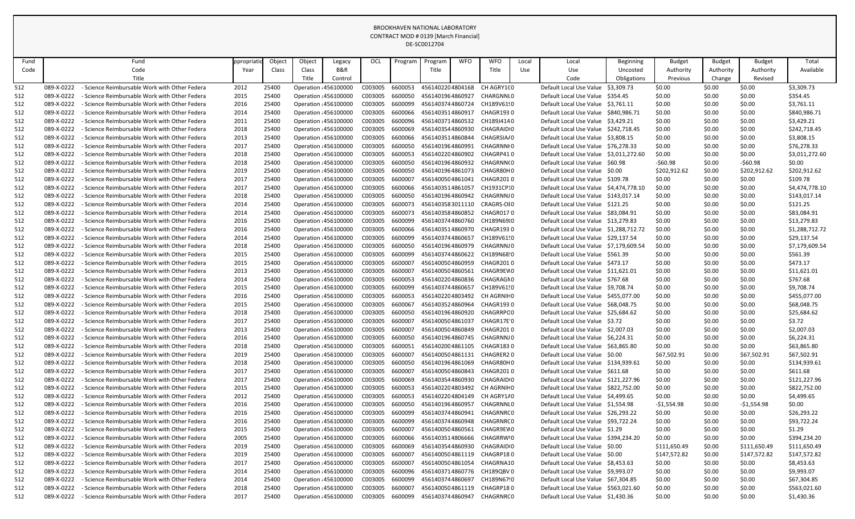|            |                          |                                                                                                |              |                |                                                |                |                    |                    | DE-SC0012704                         |            |                                     |       |                                                                           |                  |                  |                  |                              |                          |
|------------|--------------------------|------------------------------------------------------------------------------------------------|--------------|----------------|------------------------------------------------|----------------|--------------------|--------------------|--------------------------------------|------------|-------------------------------------|-------|---------------------------------------------------------------------------|------------------|------------------|------------------|------------------------------|--------------------------|
| Fund       |                          | Fund                                                                                           | ppropriat    | Object         | Object                                         | Legacy         | OCL                | Program            | Program                              | <b>WFO</b> | <b>WFO</b>                          | Local | Local                                                                     | <b>Beginning</b> | <b>Budget</b>    | <b>Budget</b>    | <b>Budget</b>                | Total                    |
| Code       |                          | Code                                                                                           | Year         | Class          | Class                                          | <b>B&amp;R</b> |                    |                    | Title                                |            | Title                               | Use   | Use                                                                       | Uncosted         | Authority        | Authority        | Authority                    | Available                |
|            |                          | Title                                                                                          |              |                | Title                                          | Control        |                    |                    |                                      |            |                                     |       | Code                                                                      | Obligations      | Previous         | Change           | Revised                      |                          |
| 512        | 089-X-0222               | Science Reimbursable Work with Other Federa                                                    | 2012         | 25400          | Operation : 456100000                          |                | C003005            | 6600053            | 4561402204804168                     |            | CH AGRY1(0                          |       | Default Local Use Value                                                   | \$3,309.73       | \$0.00           | \$0.00           | \$0.00                       | \$3,309.73               |
| 512        | 089-X-0222               | - Science Reimbursable Work with Other Federa                                                  | 2015         | 25400          | Operation : 456100000                          |                | C003005            | 6600050            | 4561401964860927                     |            | CHARGNNI 0                          |       | Default Local Use Value                                                   | \$354.45         | \$0.00           | \$0.00           | \$0.00                       | \$354.45                 |
| 512        | 089-X-0222               | - Science Reimbursable Work with Other Federa                                                  | 2016         | 25400          | Operation : 456100000                          |                | C003005            | 6600099            | 4561403744860724                     |            | CH189V6190                          |       | Default Local Use Value                                                   | \$3,761.11       | \$0.00           | \$0.00           | \$0.00                       | \$3,761.11               |
| 512        | 089-X-0222               | - Science Reimbursable Work with Other Federa                                                  | 2014         | 25400          | Operation : 456100000                          |                | C003005            | 6600066            | 4561403514860917                     |            | CHAGR1930                           |       | Default Local Use Value \$840,986.71                                      |                  | \$0.00           | \$0.00           | \$0.00                       | \$840,986.71             |
| 512        | 089-X-0222               | - Science Reimbursable Work with Other Federa                                                  | 2011         | 25400          | Operation : 456100000                          |                | C003005            | 6600096            | 4561403714860532                     |            | CH189J4140                          |       | Default Local Use Value \$3,429.21                                        |                  | \$0.00           | \$0.00           | \$0.00                       | \$3,429.21               |
| 512        | 089-X-0222               | - Science Reimbursable Work with Other Federa                                                  | 2018         | 25400          | Operation : 456100000                          |                | C003005            | 6600069            | 4561403544860930                     |            | CHAGRAID <sub>10</sub>              |       | Default Local Use Value                                                   | \$242,718.45     | \$0.00           | \$0.00           | \$0.00                       | \$242,718.45             |
| 512        | 089-X-0222               | - Science Reimbursable Work with Other Federa                                                  | 2013         | 25400          | Operation : 456100000                          |                | C003005            | 6600066            | 4561403514860844                     |            | CHAGRSIA/0                          |       | Default Local Use Value \$3,808.15                                        |                  | \$0.00           | \$0.00           | \$0.00                       | \$3,808.15               |
| 512        | 089-X-0222               | - Science Reimbursable Work with Other Federa                                                  | 2017         | 25400          | Operation : 456100000                          |                | C003005            | 6600050            | 4561401964860991                     |            | CHAGRNNI0                           |       | Default Local Use Value \$76,278.33                                       |                  | \$0.00           | \$0.00           | \$0.00                       | \$76,278.33              |
| 512        | 089-X-0222               | - Science Reimbursable Work with Other Federa                                                  | 2018         | 25400          | Operation : 456100000                          |                | C003005            | 6600053            | 4561402204860902                     |            | CHAGRP410                           |       | Default Local Use Value \$3,011,272.60                                    |                  | \$0.00           | \$0.00           | S0.00                        | \$3,011,272.60           |
| 512        | 089-X-0222               | Science Reimbursable Work with Other Federa                                                    | 2018         | 25400          | Operation : 456100000                          |                | C003005            | 6600050            | 4561401964860932                     |            | CHAGRNN(0                           |       | Default Local Use Value \$60.98                                           |                  | $-$ \$60.98      | \$0.00           | $-560.98$                    | \$0.00                   |
| 512        | 089-X-0222               | - Science Reimbursable Work with Other Federa                                                  | 2019         | 25400          | Operation : 456100000                          |                | C003005            | 6600050            | 4561401964861073                     |            | CHAGR80H0                           |       | Default Local Use Value \$0.00                                            |                  | \$202,912.62     | \$0.00           | \$202,912.62                 | \$202,912.62             |
| 512        | 089-X-0222               | - Science Reimbursable Work with Other Federa                                                  | 2017         | 25400          | Operation : 456100000                          |                | C003005            | 660000             | 4561400504861041                     |            | CHAGR2010                           |       | Default Local Use Value \$109.78                                          |                  | \$0.00           | \$0.00           | \$0.00                       | \$109.78                 |
| 512        | 089-X-0222               | - Science Reimbursable Work with Other Federa                                                  | 2017         | 25400          | Operation : 456100000                          |                | C003005            | 6600066            | 4561403514861057                     |            | CH1931CP:0                          |       | Default Local Use Value \$4,474,778.1                                     |                  | \$0.00           | \$0.00           | \$0.00                       | \$4,474,778.10           |
| 512        | 089-X-0222               | Science Reimbursable Work with Other Federa                                                    | 2018         | 25400          | Operation : 456100000                          |                | C003005            | 6600050            | 4561401964860942                     |            | CHAGRNNJ0                           |       | Default Local Use Value \$143,017.14                                      |                  | \$0.00           | \$0.00           | \$0.00                       | \$143,017.14             |
| 512        | 089-X-0222               | - Science Reimbursable Work with Other Federa                                                  | 2014         | 25400          | Operation : 456100000                          |                | C003005            | 6600073            | 4561403583011110                     |            | CRAGRS-OI0                          |       | Default Local Use Value \$121.25                                          |                  | \$0.00           | \$0.00           | \$0.00                       | \$121.25                 |
| 512        | 089-X-0222               | - Science Reimbursable Work with Other Federa                                                  | 2014         | 25400          | Operation : 456100000                          |                | C003005            | 6600073            | 4561403584860852                     |            | CHAGR0170                           |       | Default Local Use Value                                                   | \$83,084.91      | \$0.00           | \$0.00           | \$0.00                       | \$83,084.91              |
| 512        | 089-X-0222               | - Science Reimbursable Work with Other Federa                                                  | 2016         | 25400          | Operation : 456100000                          |                | C003005            | 6600099            | 4561403744860760                     |            | CH189N6910                          |       | Default Local Use Value \$13,279.83                                       |                  | \$0.00           | \$0.00           | \$0.00                       | \$13,279.83              |
| 512        | 089-X-0222               | - Science Reimbursable Work with Other Federa                                                  | 2016         | 25400          | Operation : 456100000                          |                | C003005            | 6600066            | 4561403514860970                     |            | CHAGR1930                           |       | Default Local Use Value \$1,288,712.72                                    |                  | \$0.00           | \$0.00           | \$0.00                       | \$1,288,712.72           |
| 512        | 089-X-0222               | - Science Reimbursable Work with Other Federa                                                  | 2014         | 25400          | Operation : 456100000                          |                | C003005            | 6600099            | 4561403744860657                     |            | CH189V61!0                          |       | Default Local Use Value \$29,137.54                                       |                  | \$0.00           | \$0.00           | \$0.00                       | \$29,137.54              |
| 512        | 089-X-0222               | Science Reimbursable Work with Other Federa                                                    | 2018         | 25400          | Operation : 456100000                          |                | C003005            | 6600050            | 4561401964860979                     |            | CHAGRNNJ0                           |       | Default Local Use Value \$7,179,609.54                                    |                  | \$0.00           | \$0.00           | \$0.00                       | \$7,179,609.54           |
| 512        | 089-X-0222               | - Science Reimbursable Work with Other Federa                                                  | 2015         | 25400          | Operation : 456100000                          |                | C003005            | 6600099            | 4561403744860622                     |            | CH189N68!0                          |       | Default Local Use Value \$561.39                                          |                  | \$0.00           | \$0.00           | \$0.00                       | \$561.39                 |
| 512        | 089-X-0222               | Science Reimbursable Work with Other Federa                                                    | 2015         | 25400          | Operation : 456100000                          |                | C003005            | 6600007            | 4561400504860959                     |            | CHAGR2010                           |       | Default Local Use Value \$473.17                                          |                  | \$0.00           | \$0.00           | \$0.00                       | \$473.17                 |
| 512        | 089-X-0222               | - Science Reimbursable Work with Other Federa                                                  | 2013         | 25400          | Operation : 456100000                          |                | C003005            | 6600007            | 4561400504860561                     |            | CHAGR9EW0                           |       | Default Local Use Value \$11,621.01                                       |                  | \$0.00           | \$0.00           | \$0.00                       | \$11,621.01              |
| 512        | 089-X-0222               | - Science Reimbursable Work with Other Federa                                                  | 2014         | 25400          | Operation : 456100000                          |                | C003005            | 6600053            | 4561402204860836                     |            | CHAGRAGN0                           |       | Default Local Use Value                                                   | S767.68          | \$0.00           | \$0.00           | \$0.00                       | \$767.68                 |
| 512        | 089-X-0222               | - Science Reimbursable Work with Other Federa                                                  | 2015         | 25400          | Operation : 456100000                          |                | C003005            | 6600099            | 4561403744860657                     |            | CH189V61!0                          |       | Default Local Use Value \$9,708.74                                        |                  | \$0.00           | \$0.00           | \$0.00                       | \$9,708.74               |
| 512        | 089-X-0222               | - Science Reimbursable Work with Other Federa                                                  | 2016         | 25400          | Operation : 456100000                          |                | C003005            | 6600053            | 4561402204803492                     |            | CH AGRNIF 0                         |       | Default Local Use Value \$455,077.00                                      |                  | \$0.00           | \$0.00           | \$0.00                       | \$455,077.00             |
| 512        | 089-X-0222               | - Science Reimbursable Work with Other Federa                                                  | 2015         | 25400          | Operation : 456100000                          |                | C003005            | 6600067            | 4561403524860964                     |            | CHAGR1930                           |       | Default Local Use Value \$68,048.75                                       |                  | \$0.00           | \$0.00           | \$0.00                       | \$68,048.75              |
| 512        | 089-X-0222               | - Science Reimbursable Work with Other Federa                                                  | 2018         | 25400          | Operation : 456100000                          |                | C003005            | 6600050            | 4561401964860920                     |            | CHAGRRPC0                           |       | Default Local Use Value \$25,684.62                                       |                  | \$0.00           | \$0.00           | \$0.00                       | \$25,684.62              |
| 512        | 089-X-0222               | - Science Reimbursable Work with Other Federa                                                  | 2017         | 25400          | Operation : 456100000                          |                | C003005            | 6600007            | 4561400504861037                     |            | CHAGR17E 0                          |       | Default Local Use Value \$3.72                                            |                  | \$0.00           | \$0.00           | \$0.00                       | \$3.72                   |
| 512        | 089-X-0222               | - Science Reimbursable Work with Other Federa                                                  | 2013         | 25400          | Operation : 456100000                          |                | C003005            | 6600007            | 4561400504860849                     |            | CHAGR2010                           |       | Default Local Use Value \$2,007.03                                        |                  | \$0.00           | \$0.00           | \$0.00                       | \$2,007.03               |
| 512        | 089-X-0222               | - Science Reimbursable Work with Other Federa                                                  | 2016         | 25400          | Operation : 456100000                          |                | C003005            | 6600050            | 4561401964860745                     |            | CHAGRNNJO                           |       | Default Local Use Value \$6,224.31                                        |                  | \$0.00           | \$0.00           | \$0.00                       | \$6,224.31               |
| 512        | 089-X-0222               | - Science Reimbursable Work with Other Federa                                                  | 2018         | 25400          | Operation : 456100000                          |                | C003005            | 6600051            | 4561402004861105                     |            | CHAGR1830                           |       | Default Local Use Value \$63,865.80                                       |                  | \$0.00           | \$0.00           | \$0.00                       | \$63,865.80              |
| 512        | 089-X-0222               | - Science Reimbursable Work with Other Federa                                                  | 2019         | 25400          | Operation : 456100000                          |                | C003005            | 6600007            | 4561400504861131                     |            | CHAGRER20                           |       | Default Local Use Value \$0.00                                            |                  | \$67,502.91      | \$0.00           | \$67,502.91                  | \$67,502.91              |
| 512        | 089-X-0222               | - Science Reimbursable Work with Other Federa                                                  | 2018         | 25400          | Operation : 456100000                          |                | C003005            | 6600050            | 4561401964861069                     |            | CHAGR80H0                           |       | Default Local Use Value \$134,939.61                                      |                  | \$0.00           | \$0.00           | \$0.00                       | \$134,939.61             |
| 512        | 089-X-0222               | - Science Reimbursable Work with Other Federa                                                  | 2017         | 25400          | Operation : 456100000                          |                | C003005            | 6600007            | 4561400504860843                     |            | CHAGR2010                           |       | Default Local Use Value \$611.68                                          |                  | \$0.00           | \$0.00           | \$0.00                       | \$611.68                 |
| 512        | 089-X-0222               | - Science Reimbursable Work with Other Federa                                                  | 2017         | 25400          | Operation : 456100000                          |                | C003005            | 6600069            | 4561403544860930                     |            | CHAGRAID <sub>10</sub>              |       | Default Local Use Value \$121,227.96                                      |                  | \$0.00           | \$0.00           | \$0.00                       | \$121,227.96             |
| 512        | 089-X-0222               | - Science Reimbursable Work with Other Federa                                                  | 2015         | 25400          | Operation : 456100000                          |                | C003005            | 6600053            | 4561402204803492                     |            | CH AGRNIF 0                         |       | Default Local Use Value \$822,752.00                                      |                  | \$0.00           | \$0.00           | \$0.00                       | \$822,752.00             |
| 512        | 089-X-0222               | - Science Reimbursable Work with Other Federa                                                  | 2012         | 25400          | Operation : 456100000                          |                | C003005            | 6600053            | 4561402204804149                     |            | CH AGRY1/0                          |       | Default Local Use Value \$4,499.65                                        |                  | \$0.00           | \$0.00           | \$0.00                       | \$4,499.65               |
| 512        | 089-X-0222               | - Science Reimbursable Work with Other Federa<br>- Science Reimbursable Work with Other Federa | 2016         | 25400          | Operation : 456100000                          |                | C003005            | 6600050<br>6600099 | 4561401964860957<br>4561403744860941 |            | CHAGRNNL0<br>CHAGRNRC0              |       | Default Local Use Value \$1,554.98<br>Default Local Use Value \$26,293.22 |                  | -\$1,554.98      | \$0.00           | $-51,554.98$                 | \$0.00                   |
| 512        | 089-X-0222               |                                                                                                | 2016         | 25400          | Operation : 456100000                          |                | C003005            |                    |                                      |            |                                     |       |                                                                           |                  | \$0.00           | \$0.00           | \$0.00                       | \$26,293.22              |
| 512        | 089-X-0222               | - Science Reimbursable Work with Other Federa                                                  | 2016         | 25400          | Operation : 456100000                          |                | C003005            | 6600099            | 4561403744860948                     |            | CHAGRNRC0                           |       | Default Local Use Value \$93,722.24                                       |                  | \$0.00           | \$0.00           | \$0.00                       | \$93,722.24              |
| 512        | 089-X-0222               | - Science Reimbursable Work with Other Federa<br>- Science Reimbursable Work with Other Federa | 2015         | 25400<br>25400 | Operation : 456100000                          |                | C003005<br>C003005 | 6600007<br>6600066 | 4561400504860561<br>4561403514806666 |            | CHAGR9EW0<br>CHAGRRW'O              |       | Default Local Use Value \$1.29                                            |                  | \$0.00<br>\$0.00 | \$0.00           | \$0.00                       | \$1.29<br>\$394,234.20   |
| 512        | 089-X-0222<br>089-X-0222 | - Science Reimbursable Work with Other Federa                                                  | 2005         | 25400          | Operation : 456100000<br>Operation : 456100000 |                | C003005            | 6600069            | 4561403544860930                     |            |                                     |       | Default Local Use Value \$394,234.20<br>Default Local Use Value \$0.00    |                  | \$111,650.49     | \$0.00           | \$0.00                       | \$111,650.49             |
| 512        | 089-X-0222               | - Science Reimbursable Work with Other Federa                                                  | 2019         | 25400          | Operation : 456100000                          |                | C003005            | 6600007            | 4561400504861119                     |            | CHAGRAID <sub>10</sub><br>CHAGRP180 |       | Default Local Use Value \$0.00                                            |                  | \$147,572.82     | \$0.00<br>\$0.00 | \$111,650.49<br>\$147,572.82 | \$147,572.82             |
| 512        |                          | - Science Reimbursable Work with Other Federa                                                  | 2019         | 25400          | Operation : 456100000                          |                | C003005            | 6600007            | 4561400504861054                     |            | CHAGRNA10                           |       | Default Local Use Value \$8,453.63                                        |                  |                  |                  |                              |                          |
| 512        | 089-X-0222<br>089-X-0222 | - Science Reimbursable Work with Other Federa                                                  | 2017         | 25400          | Operation : 456100000                          |                | C003005            | 6600096            | 4561403714860776                     |            | CH189QBV 0                          |       | Default Local Use Value \$9,993.07                                        |                  | \$0.00           | \$0.00<br>\$0.00 | \$0.00                       | \$8,453.63<br>\$9,993.07 |
| 512<br>512 | 089-X-0222               | - Science Reimbursable Work with Other Federa                                                  | 2014<br>2014 | 25400          | Operation : 456100000                          |                | C003005            | 6600099            | 4561403744860697                     |            | CH189N67!0                          |       | Default Local Use Value \$67,304.85                                       |                  | \$0.00<br>\$0.00 | \$0.00           | \$0.00                       | \$67,304.85              |
|            | 089-X-0222               | - Science Reimbursable Work with Other Federa                                                  |              | 25400          | Operation : 456100000                          |                | C003005            | 6600007            | 4561400504861119                     |            | CHAGRP180                           |       | Default Local Use Value \$563,021.60                                      |                  | \$0.00           | \$0.00           | \$0.00<br>\$0.00             |                          |
| 512        |                          | Science Reimbursable Work with Other Federa                                                    | 2018         |                |                                                |                | C003005            | 6600099            | 4561403744860947                     |            |                                     |       |                                                                           |                  |                  |                  |                              | \$563,021.60             |
| 512        | 089-X-0222               |                                                                                                | 2017         | 25400          | Operation : 456100000                          |                |                    |                    |                                      |            | CHAGRNRC0                           |       | Default Local Use Value \$1,430.36                                        |                  | \$0.00           | \$0.00           | \$0.00                       | \$1,430.36               |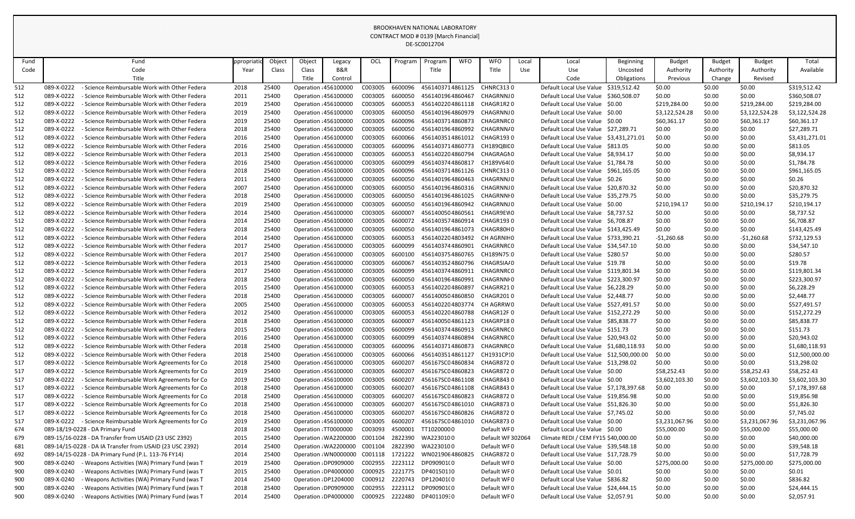|      |            |                                                          |           |        |                       |                       |         |         | DE-SCOUTZ/04     |            |                   |       |                                         |                  |                 |               |                |                 |
|------|------------|----------------------------------------------------------|-----------|--------|-----------------------|-----------------------|---------|---------|------------------|------------|-------------------|-------|-----------------------------------------|------------------|-----------------|---------------|----------------|-----------------|
| Fund |            | Fund                                                     | ppropriat | Object | Object                | Legacy                | OCL     | Program | Program          | <b>WFO</b> | <b>WFO</b>        | Local | Local                                   | <b>Beginning</b> | <b>Budget</b>   | <b>Budget</b> | <b>Budget</b>  | Total           |
| Code |            | Code                                                     | Year      | Class  | Class                 | <b>B&amp;R</b>        |         |         | Title            |            | Title             | Use   | Use                                     | Uncosted         | Authority       | Authority     | Authority      | Available       |
|      |            | Title                                                    |           |        | Title                 | Control               |         |         |                  |            |                   |       | Code                                    | Obligations      | <b>Previous</b> | Change        | Revised        |                 |
| 512  | 089-X-0222 | Science Reimbursable Work with Other Federa              | 2018      | 25400  | Operation : 456100000 |                       | C003005 | 6600096 | 4561403714861125 |            | <b>CHNRC3130</b>  |       | Default Local Use Value                 | \$319,512.42     | \$0.00          | \$0.00        | \$0.00         | \$319,512.42    |
| 512  | 089-X-0222 | - Science Reimbursable Work with Other Federa            | 2011      | 25400  | Operation : 456100000 |                       | C003005 | 6600050 | 4561401964860467 |            | CHAGRNNJ0         |       | Default Local Use Value                 | \$360,508.07     | \$0.00          | \$0.00        | \$0.00         | \$360,508.07    |
| 512  | 089-X-0222 | - Science Reimbursable Work with Other Federa            | 2019      | 25400  | Operation : 456100000 |                       | C003005 | 6600053 | 4561402204861118 |            | CHAGR1R20         |       | Default Local Use Value \$0.00          |                  | \$219,284.00    | \$0.00        | \$219,284.00   | \$219,284.00    |
| 512  | 089-X-0222 | - Science Reimbursable Work with Other Federa            | 2019      | 25400  | Operation : 456100000 |                       | C003005 | 6600050 | 4561401964860979 |            | CHAGRNNJ0         |       | Default Local Use Value \$0.00          |                  | \$3,122,524.28  | \$0.00        | \$3,122,524.28 | \$3,122,524.28  |
| 512  | 089-X-0222 | Science Reimbursable Work with Other Federa              | 2019      | 25400  | Operation : 456100000 |                       | C003005 | 6600096 | 4561403714860873 |            | CHAGRNRC0         |       | Default Local Use Value \$0.00          |                  | \$60,361.17     | \$0.00        | \$60,361.17    | \$60,361.17     |
| 512  | 089-X-0222 | Science Reimbursable Work with Other Federa              | 2018      | 25400  | Operation : 456100000 |                       | C003005 | 6600050 | 4561401964860992 |            | CHAGRNN/0         |       | Default Local Use Value \$27,289.71     |                  | \$0.00          | \$0.00        | \$0.00         | \$27,289.71     |
| 512  | 089-X-0222 | - Science Reimbursable Work with Other Federa            | 2016      | 25400  | Operation : 456100000 |                       | C003005 | 6600066 | 4561403514861012 |            | CHAGR1930         |       | Default Local Use Value \$3,431,271.01  |                  | \$0.00          | \$0.00        | \$0.00         | \$3,431,271.01  |
| 512  | 089-X-0222 | - Science Reimbursable Work with Other Federa            | 2016      | 25400  | Operation : 456100000 |                       | C003005 | 6600096 | 4561403714860773 |            | CH189QBIC0        |       | Default Local Use Value \$813.05        |                  | \$0.00          | \$0.00        | \$0.00         | \$813.05        |
| 512  | 089-X-0222 | - Science Reimbursable Work with Other Federa            | 2013      | 25400  | Operation : 456100000 |                       | C003005 | 6600053 | 4561402204860794 |            | CHAGRAGN0         |       | Default Local Use Value \$8,934.17      |                  | \$0.00          | \$0.00        | \$0.00         | \$8,934.17      |
| 512  | 089-X-0222 | - Science Reimbursable Work with Other Federa            | 2016      | 25400  | Operation : 456100000 |                       | C003005 | 6600099 | 4561403744860817 |            | CH189V64(0        |       | Default Local Use Value \$1,784.78      |                  | \$0.00          | \$0.00        | \$0.00         | \$1,784.78      |
| 512  | 089-X-0222 | Science Reimbursable Work with Other Federa              | 2018      | 25400  | Operation : 456100000 |                       | C003005 | 6600096 | 4561403714861126 |            | <b>CHNRC3130</b>  |       | Default Local Use Value \$961,165.05    |                  | \$0.00          | \$0.00        | \$0.00         | \$961,165.05    |
| 512  | 089-X-0222 | - Science Reimbursable Work with Other Federa            | 2011      | 25400  | Operation : 456100000 |                       | C003005 | 6600050 | 4561401964860463 |            | CHAGRNNJ0         |       | Default Local Use Value \$0.26          |                  | \$0.00          | \$0.00        | \$0.00         | \$0.26          |
| 512  | 089-X-0222 | - Science Reimbursable Work with Other Federa            | 2007      | 25400  | Operation : 456100000 |                       | C003005 | 6600050 | 4561401964860316 |            | CHAGRNNJ0         |       | Default Local Use Value \$20,870.32     |                  | \$0.00          | \$0.00        | \$0.00         | \$20,870.32     |
| 512  | 089-X-0222 | - Science Reimbursable Work with Other Federa            | 2018      | 25400  | Operation : 456100000 |                       | C003005 | 6600050 | 4561401964861025 |            | CHAGRNNI 0        |       | Default Local Use Value \$35,279.75     |                  | \$0.00          | \$0.00        | \$0.00         | \$35,279.75     |
| 512  | 089-X-0222 | - Science Reimbursable Work with Other Federa            | 2019      | 25400  | Operation : 456100000 |                       | C003005 | 6600050 | 4561401964860942 |            | CHAGRNNJ0         |       | Default Local Use Value \$0.00          |                  | \$210,194.17    | \$0.00        | \$210,194.17   | \$210,194.17    |
| 512  | 089-X-0222 | - Science Reimbursable Work with Other Federa            | 2014      | 25400  | Operation : 456100000 |                       | C003005 | 6600007 | 4561400504860561 |            | CHAGR9EW0         |       | Default Local Use Value \$8,737.52      |                  | \$0.00          | \$0.00        | \$0.00         | \$8,737.52      |
| 512  | 089-X-0222 | - Science Reimbursable Work with Other Federa            | 2014      | 25400  | Operation : 456100000 |                       | C003005 | 6600072 | 4561403574860914 |            | CHAGR1930         |       | Default Local Use Value \$6,708.87      |                  | \$0.00          | \$0.00        | \$0.00         | \$6,708.87      |
| 512  | 089-X-0222 | - Science Reimbursable Work with Other Federa            | 2018      | 25400  | Operation : 456100000 |                       | C003005 | 6600050 | 4561401964861073 |            | CHAGR80H0         |       | Default Local Use Value                 | \$143,425.49     | \$0.00          | \$0.00        | \$0.00         | \$143,425.49    |
| 512  | 089-X-0222 | - Science Reimbursable Work with Other Federa            | 2014      | 25400  | Operation : 456100000 |                       | C003005 | 6600053 | 4561402204803492 |            | CH AGRNIF 0       |       | Default Local Use Value \$733,390.21    |                  | $-51,260.68$    | \$0.00        | $-51,260.68$   | \$732,129.53    |
| 512  | 089-X-0222 | - Science Reimbursable Work with Other Federa            | 2017      | 25400  | Operation : 456100000 |                       | C003005 | 6600099 | 4561403744860901 |            | CHAGRNRC0         |       | Default Local Use Value \$34,547.10     |                  | \$0.00          | \$0.00        | \$0.00         | \$34,547.10     |
| 512  | 089-X-0222 | - Science Reimbursable Work with Other Federa            | 2017      | 25400  | Operation : 456100000 |                       | C003005 | 6600100 | 4561403754860765 |            | CH189N75.0        |       | Default Local Use Value \$280.57        |                  | \$0.00          | \$0.00        | \$0.00         | \$280.57        |
| 512  | 089-X-0222 | Science Reimbursable Work with Other Federa              | 2013      | 25400  | Operation : 456100000 |                       | C003005 | 6600067 | 4561403524860796 |            | CHAGRSIA/0        |       | Default Local Use Value \$19.78         |                  | \$0.00          | \$0.00        | \$0.00         | \$19.78         |
| 512  | 089-X-0222 | - Science Reimbursable Work with Other Federa            | 2017      | 25400  | Operation : 456100000 |                       | C003005 | 6600099 | 4561403744860911 |            | CHAGRNRC 0        |       | Default Local Use Value \$119,801.34    |                  | \$0.00          | \$0.00        | \$0.00         | \$119,801.34    |
| 512  | 089-X-0222 | - Science Reimbursable Work with Other Federa            | 2018      | 25400  | Operation : 456100000 |                       | C003005 | 6600050 | 4561401964860991 |            | CHAGRNNI 0        |       | Default Local Use Value                 | \$223,300.97     | \$0.00          | \$0.00        | <b>SO.00</b>   | \$223,300.97    |
| 512  | 089-X-0222 | - Science Reimbursable Work with Other Federa            | 2015      | 25400  | Operation : 456100000 |                       | C003005 | 6600053 | 4561402204860897 |            | CHAGRR210         |       | Default Local Use Value \$6,228.29      |                  | \$0.00          | \$0.00        | \$0.00         | \$6,228.29      |
| 512  | 089-X-0222 | - Science Reimbursable Work with Other Federa            | 2018      | 25400  | Operation : 456100000 |                       | C003005 | 6600007 | 4561400504860850 |            | CHAGR2010         |       | Default Local Use Value                 | \$2,448.77       | \$0.00          | \$0.00        | \$0.00         | \$2,448.77      |
| 512  | 089-X-0222 | - Science Reimbursable Work with Other Federa            | 2005      | 25400  |                       | Operation : 456100000 | C003005 | 6600053 | 4561402204803774 |            | CH AGRRW0         |       | Default Local Use Value \$527,491.57    |                  | \$0.00          | \$0.00        | <b>SO.00</b>   | \$527,491.57    |
| 512  | 089-X-0222 | - Science Reimbursable Work with Other Federa            | 2012      | 25400  | Operation : 456100000 |                       | C003005 | 6600053 | 4561402204860788 |            | CHAGR12F0         |       | Default Local Use Value \$152,272.29    |                  | \$0.00          | \$0.00        | \$0.00         | \$152,272.29    |
| 512  | 089-X-0222 | - Science Reimbursable Work with Other Federa            | 2018      | 25400  | Operation : 456100000 |                       | C003005 | 6600007 | 4561400504861123 |            | CHAGRP180         |       | Default Local Use Value \$85,838.77     |                  | \$0.00          | \$0.00        | \$0.00         | \$85,838.77     |
| 512  | 089-X-0222 | - Science Reimbursable Work with Other Federa            | 2015      | 25400  | Operation : 456100000 |                       | C003005 | 6600099 | 4561403744860913 |            | CHAGRNRC0         |       | Default Local Use Value \$151.73        |                  | \$0.00          | \$0.00        | \$0.00         | \$151.73        |
| 512  | 089-X-0222 | - Science Reimbursable Work with Other Federa            | 2016      | 25400  | Operation : 456100000 |                       | C003005 | 6600099 | 4561403744860894 |            | CHAGRNRC0         |       | Default Local Use Value \$20,943.02     |                  | \$0.00          | \$0.00        | \$0.00         | \$20,943.02     |
| 512  | 089-X-0222 | - Science Reimbursable Work with Other Federa            | 2018      | 25400  | Operation : 456100000 |                       | C003005 | 6600096 | 4561403714860873 |            | CHAGRNRC0         |       | Default Local Use Value \$1,680,118.93  |                  | \$0.00          | \$0.00        | \$0.00         | \$1,680,118.93  |
| 512  | 089-X-0222 | - Science Reimbursable Work with Other Federa            | 2018      | 25400  | Operation : 456100000 |                       | C003005 | 6600066 | 4561403514861127 |            | CH1931CP:0        |       | Default Local Use Value \$12,500,000.00 |                  | \$0.00          | \$0.00        | \$0.00         | \$12,500,000.00 |
| 517  | 089-X-0222 | - Science Reimbursable Work Agreements for Co            | 2018      | 25400  | Operation : 456100000 |                       | C003005 | 6600207 | 456167SC04860834 |            | <b>CHAGR8720</b>  |       | Default Local Use Value \$13,298.02     |                  | \$0.00          | \$0.00        | \$0.00         | \$13,298.02     |
| 517  | 089-X-0222 | - Science Reimbursable Work Agreements for Co            | 2019      | 25400  | Operation : 456100000 |                       | C003005 | 6600207 | 456167SC04860823 |            | <b>CHAGR8720</b>  |       | Default Local Use Value \$0.00          |                  | \$58,252.43     | \$0.00        | \$58,252.43    | \$58,252.43     |
| 517  | 089-X-0222 | - Science Reimbursable Work Agreements for Co            | 2019      | 25400  | Operation : 456100000 |                       | C003005 | 6600207 | 456167SC04861108 |            | CHAGR8430         |       | Default Local Use Value \$0.00          |                  | \$3,602,103.30  | \$0.00        | \$3,602,103.30 | \$3,602,103.30  |
| 517  | 089-X-0222 | - Science Reimbursable Work Agreements for Co            | 2018      | 25400  | Operation : 456100000 |                       | C003005 | 6600207 | 456167SC04861108 |            | CHAGR8430         |       | Default Local Use Value \$7,178,397.68  |                  | \$0.00          | \$0.00        | \$0.00         | \$7,178,397.68  |
| 517  | 089-X-0222 | - Science Reimbursable Work Agreements for Co            | 2018      | 25400  | Operation : 456100000 |                       | C003005 | 6600207 | 456167SC04860823 |            | CHAGR8720         |       | Default Local Use Value \$19,856.98     |                  | \$0.00          | \$0.00        | \$0.00         | \$19,856.98     |
| 517  | 089-X-0222 | - Science Reimbursable Work Agreements for Co            | 2018      | 25400  | Operation : 456100000 |                       | C003005 | 6600207 | 456167SC04861010 |            | CHAGR8730         |       | Default Local Use Value \$51,826.30     |                  | \$0.00          | \$0.00        | \$0.00         | \$51,826.30     |
| 517  | 089-X-0222 | - Science Reimbursable Work Agreements for Co            | 2018      | 25400  | Operation : 456100000 |                       | C003005 | 6600207 | 456167SC04860826 |            | <b>CHAGR8720</b>  |       | Default Local Use Value \$7,745.02      |                  | \$0.00          | \$0.00        | \$0.00         | \$7,745.02      |
| 517  | 089-X-0222 | - Science Reimbursable Work Agreements for Co            | 2019      | 25400  | Operation : 456100000 |                       | C003005 | 6600207 | 456167SC04861010 |            | <b>CHAGR8730</b>  |       | Default Local Use Value \$0.00          |                  | \$3,231,067.96  | \$0.00        | \$3,231,067.96 | \$3,231,067.96  |
| 674  |            | 089-18/19-0228 - DA Primary Fund                         | 2018      | 25400  | Operation : TT0000000 |                       | C003093 | 4500001 | TT10200000       |            | Default WF0       |       | Default Local Use Value \$0.00          |                  | \$55,000.00     | \$0.00        | \$55,000.00    | \$55,000.00     |
| 679  |            | 089-15/16-0228 - DA Transfer from USAID (23 USC 2392)    | 2015      | 25400  |                       | Operation : WA2200000 | C001104 | 2822390 | WA2230100        |            | Default WF 302064 |       | Climate REDI / CEM FY15 \$40,000.00     |                  | \$0.00          | \$0.00        | \$0.00         | \$40,000.00     |
| 681  |            | 089-14/15-0228 - DA IA Transfer from USAID (23 USC 2392) | 2014      | 25400  |                       | Operation : WA2200000 | C001104 | 2822390 | WA2230100        |            | Default WF0       |       | Default Local Use Value \$39,548.18     |                  | \$0.00          | \$0.00        | \$0.00         | \$39,548.18     |
| 692  |            | 089-14/15-0228 - DA Primary Fund (P.L. 113-76 FY14)      | 2014      | 25400  |                       | Operation: WN0000000  | C001118 | 1721222 | WN0219064860825  |            | <b>CHAGR8720</b>  |       | Default Local Use Value \$17,728.79     |                  | \$0.00          | \$0.00        | \$0.00         | \$17,728.79     |
| 900  | 089-X-0240 | - Weapons Activities (WA) Primary Fund (was T            | 2019      | 25400  |                       | Operation : DP0909000 | C002955 | 2223112 | DP090901(0       |            | Default WF0       |       | Default Local Use Value \$0.00          |                  | \$275,000.00    | \$0.00        | \$275,000.00   | \$275,000.00    |
| 900  | 089-X-0240 | Weapons Activities (WA) Primary Fund (was T              | 2015      | 25400  | Operation : DP4000000 |                       | C000925 | 2221775 | DP40150110       |            | Default WF0       |       | Default Local Use Value \$0.01          |                  | \$0.00          | \$0.00        | \$0.00         | \$0.01          |
| 900  | 089-X-0240 | Weapons Activities (WA) Primary Fund (was T              | 2014      | 25400  | Operation : DP1204000 |                       | C000912 | 2220743 | DP120401(0       |            | Default WF0       |       | Default Local Use Value \$836.82        |                  | \$0.00          | \$0.00        | \$0.00         | \$836.82        |
| 900  | 089-X-0240 | Weapons Activities (WA) Primary Fund (was T              | 2018      | 25400  |                       | Operation : DP0909000 | C002955 | 2223112 | DP090901(0       |            | Default WF0       |       | Default Local Use Value \$24,444.15     |                  | \$0.00          | \$0.00        | \$0.00         | \$24,444.15     |
| 900  | 089-X-0240 | Weapons Activities (WA) Primary Fund (was T              | 2014      | 25400  | Operation : DP4000000 |                       | C000925 | 2222480 | DP40110930       |            | Default WF0       |       | Default Local Use Value \$2,057.91      |                  | \$0.00          | \$0.00        | \$0.00         | \$2,057.91      |
|      |            |                                                          |           |        |                       |                       |         |         |                  |            |                   |       |                                         |                  |                 |               |                |                 |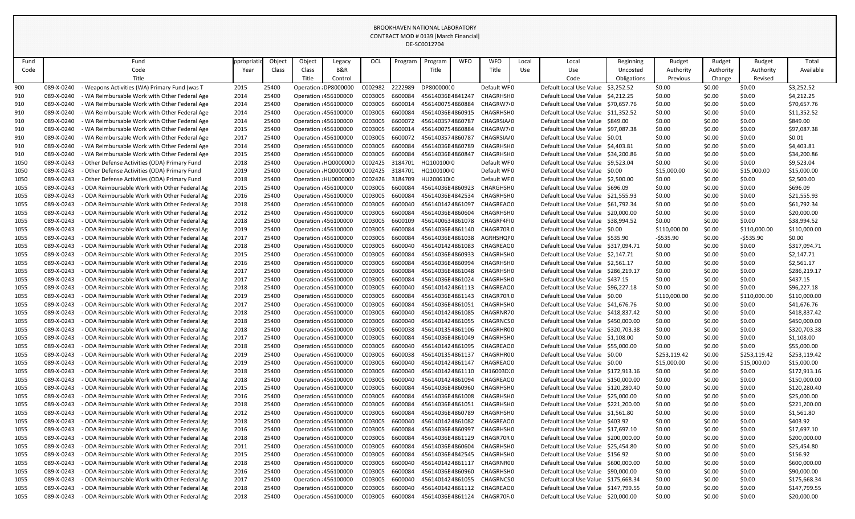|              |                          |                                                                                              |              |                |        |                                                |                    |                    | DE-SC0012704                         |            |                                      |            |                                                                            |             |                  |                  |                  |                            |
|--------------|--------------------------|----------------------------------------------------------------------------------------------|--------------|----------------|--------|------------------------------------------------|--------------------|--------------------|--------------------------------------|------------|--------------------------------------|------------|----------------------------------------------------------------------------|-------------|------------------|------------------|------------------|----------------------------|
| Fund         |                          | Fund                                                                                         | ppropriati   | Object         | Object | Legacy                                         | OCL                | Program            | Program                              | <b>WFO</b> | <b>WFO</b>                           | Local      | Local                                                                      | Beginning   | <b>Budget</b>    | <b>Budget</b>    | <b>Budget</b>    | Total                      |
| Code         |                          | Code                                                                                         | Year         | Class          | Class  | B&R                                            |                    |                    | Title                                |            | Title                                | <b>Use</b> | Use                                                                        | Uncosted    | Authority        | Authority        | Authority        | Available                  |
|              |                          | Title                                                                                        |              |                | Title  | Control                                        |                    |                    |                                      |            |                                      |            | Code                                                                       | Obligations | Previous         | Change           | Revised          |                            |
| 900          | 089-X-0240               | Weapons Activities (WA) Primary Fund (was T                                                  | 2015         | 25400          |        | Operation : DP8000000                          | C002982            | 2222989            | DP800000(0                           |            | Default WF0                          |            | Default Local Use Value                                                    | \$3,252.52  | \$0.00           | \$0.00           | \$0.00           | \$3,252.52                 |
| 910          | 089-X-0240               | WA Reimbursable Work with Other Federal Age                                                  | 2014         | 25400          |        | Operation : 456100000                          | C003005            | 6600084            | 45614036E4841247                     |            | <b>CHAGRHSHO</b>                     |            | Default Local Use Value \$4,212.25                                         |             | \$0.00           | \$0.00           | \$0.00           | \$4,212.25                 |
| 910          | 089-X-0240               | WA Reimbursable Work with Other Federal Age                                                  | 2014         | 25400          |        | Operation : 456100000                          | C003005            | 6600014            | 4561400754860884                     |            | CHAGRW7 <sup>1</sup> 0               |            | Default Local Use Value \$70,657.76                                        |             | \$0.00           | \$0.00           | \$0.00           | \$70,657.76                |
| 910          | 089-X-0240               | WA Reimbursable Work with Other Federal Age                                                  | 2014         | 25400          |        | <b>Operation : 456100000</b>                   | C003005            | 6600084            | 45614036E4860915                     |            | <b>CHAGRHSHO</b>                     |            | Default Local Use Value \$11,352.52                                        |             | \$0.00           | \$0.00           | \$0.00           | \$11,352.52                |
| 910          | 089-X-0240               | WA Reimbursable Work with Other Federal Age                                                  | 2014         | 25400          |        | Operation : 456100000                          | C003005            | 6600072            | 4561403574860787                     |            | CHAGRSIA/0                           |            | Default Local Use Value \$849.00                                           |             | \$0.00           | \$0.00           | \$0.00           | \$849.00                   |
| 910          | 089-X-0240               | WA Reimbursable Work with Other Federal Age                                                  | 2015         | 25400          |        | Operation : 456100000                          | C003005            | 6600014            | 4561400754860884                     |            | CHAGRW7 <sup>2</sup> 0               |            | Default Local Use Value \$97,087.38                                        |             | \$0.00           | \$0.00           | \$0.00           | \$97,087.38                |
| 910          | 089-X-0240               | WA Reimbursable Work with Other Federal Age                                                  | 2017         | 25400          |        | Operation : 456100000                          | C003005            | 6600072            | 4561403574860787                     |            | CHAGRSIA/0                           |            | Default Local Use Value \$0.01                                             |             | \$0.00           | \$0.00           | \$0.00           | \$0.01                     |
| 910          | 089-X-0240               | WA Reimbursable Work with Other Federal Age                                                  | 2014         | 25400          |        | Operation : 456100000                          | C003005            | 6600084            | 45614036E4860789                     |            | CHAGRHSH0                            |            | Default Local Use Value \$4,403.81                                         |             | \$0.00           | \$0.00           | \$0.00           | \$4,403.81                 |
| 910          | 089-X-0240               | WA Reimbursable Work with Other Federal Age                                                  | 2015         | 25400          |        | Operation : 456100000                          | C003005            | 6600084            | 45614036E4860847                     |            | CHAGRHSH0                            |            | Default Local Use Value \$34,200.86                                        |             | \$0.00           | \$0.00           | \$0.00           | \$34,200.86                |
| 1050         | 089-X-0243               | Other Defense Activities (ODA) Primary Fund                                                  | 2018         | 25400          |        | Operation : HQ0000000                          | C002425            | 3184701            | HQ100100(0                           |            | Default WF0                          |            | Default Local Use Value \$9,523.04                                         |             | \$0.00           | \$0.00           | \$0.00           | \$9,523.04                 |
| 1050         | 089-X-0243               | - Other Defense Activities (ODA) Primary Fund                                                | 2019         | 25400          |        | Operation : HQ0000000                          | C002425            | 3184701            | HQ100100(0                           |            | Default WF0                          |            | Default Local Use Value \$0.00                                             |             | \$15,000.00      | \$0.00           | \$15,000.00      | \$15,000.00                |
| 1050         | 089-X-0243               | Other Defense Activities (ODA) Primary Fund                                                  | 2018         | 25400          |        | Operation : HU0000000                          | C002426            | 3184709            | HU200610(0                           |            | Default WF0                          |            | Default Local Use Value \$2,500.00                                         |             | \$0.00           | \$0.00           | \$0.00           | \$2,500.00                 |
| 1055         | 089-X-0243               | ODA Reimbursable Work with Other Federal Ag                                                  | 2015         | 25400          |        | Operation : 456100000                          | C003005            | 6600084            | 45614036E4860923                     |            | CHARGHSH0                            |            | Default Local Use Value \$696.09                                           |             | \$0.00           | \$0.00           | \$0.00           | \$696.09                   |
| 1055         | 089-X-0243<br>089-X-0243 | ODA Reimbursable Work with Other Federal Ag                                                  | 2016         | 25400          |        | Operation : 456100000                          | C003005            | 6600084<br>6600040 | 45614036E4842534<br>4561401424861097 |            | <b>CHAGRHSHO</b><br><b>CHAGREAC0</b> |            | Default Local Use Value \$21,555.93<br>Default Local Use Value \$61,792.34 |             | \$0.00           | \$0.00           | \$0.00           | \$21,555.93                |
| 1055<br>1055 | 089-X-0243               | - ODA Reimbursable Work with Other Federal Ag<br>ODA Reimbursable Work with Other Federal Ag | 2018         | 25400<br>25400 |        | Operation : 456100000<br>Operation : 456100000 | C003005<br>C003005 | 6600084            | 45614036E4860604                     |            | CHAGRHSH0                            |            | Default Local Use Value \$20,000.00                                        |             | \$0.00<br>\$0.00 | \$0.00<br>\$0.00 | \$0.00<br>\$0.00 | \$61,792.34<br>\$20,000.00 |
| 1055         | 089-X-0243               | ODA Reimbursable Work with Other Federal Ag                                                  | 2012<br>2018 | 25400          |        | Operation : 456100000                          | C003005            | 6600109            | 4561400634861078                     |            | CHAGRF4FI0                           |            | Default Local Use Value \$38,994.52                                        |             | \$0.00           | \$0.00           | \$0.00           | \$38,994.52                |
| 1055         | 089-X-0243               | - ODA Reimbursable Work with Other Federal Ag                                                | 2019         | 25400          |        | Operation : 456100000                          | C003005            | 6600084            | 45614036E4861140                     |            | CHAGR70R0                            |            | Default Local Use Value \$0.00                                             |             | \$110,000.00     | \$0.00           | \$110,000.00     | \$110,000.00               |
| 1055         | 089-X-0243               | ODA Reimbursable Work with Other Federal Ag                                                  | 2017         | 25400          |        | Operation : 456100000                          | C003005            | 6600084            | 45614036E4861038                     |            | AGRHSHQF0                            |            | Default Local Use Value \$535.90                                           |             | $-5535.90$       | \$0.00           | $-5535.90$       | \$0.00                     |
| 1055         | 089-X-0243               | ODA Reimbursable Work with Other Federal Ag                                                  | 2018         | 25400          |        | Operation : 456100000                          | C003005            | 6600040            | 4561401424861083                     |            | <b>CHAGREAC0</b>                     |            | Default Local Use Value \$317,094.71                                       |             | \$0.00           | \$0.00           | \$0.00           | \$317,094.71               |
| 1055         | 089-X-0243               | ODA Reimbursable Work with Other Federal Ag                                                  | 2015         | 25400          |        | Operation : 456100000                          | C003005            | 6600084            | 45614036E4860933                     |            | <b>CHAGRHSHO</b>                     |            | Default Local Use Value \$2,147.71                                         |             | \$0.00           | \$0.00           | \$0.00           | \$2,147.71                 |
| 1055         | 089-X-0243               | ODA Reimbursable Work with Other Federal Ag                                                  | 2016         | 25400          |        | Operation : 456100000                          | C003005            | 6600084            | 45614036E4860994                     |            | <b>CHAGRHSHO</b>                     |            | Default Local Use Value \$2,561.17                                         |             | \$0.00           | \$0.00           | \$0.00           | \$2,561.17                 |
| 1055         | 089-X-0243               | - ODA Reimbursable Work with Other Federal Ag                                                | 2017         | 25400          |        | Operation : 456100000                          | C003005            | 6600084            | 45614036E4861048                     |            | <b>CHAGRHSHO</b>                     |            | Default Local Use Value \$286,219.17                                       |             | \$0.00           | \$0.00           | \$0.00           | \$286,219.17               |
| 1055         | 089-X-0243               | ODA Reimbursable Work with Other Federal Ag                                                  | 2017         | 25400          |        | Operation : 456100000                          | C003005            | 6600084            | 45614036E4861024                     |            | <b>CHAGRHSHO</b>                     |            | Default Local Use Value \$437.15                                           |             | \$0.00           | \$0.00           | \$0.00           | \$437.15                   |
| 1055         | 089-X-0243               | ODA Reimbursable Work with Other Federal Ag                                                  | 2018         | 25400          |        | Operation : 456100000                          | C003005            | 6600040            | 4561401424861113                     |            | CHAGREAC0                            |            | Default Local Use Value \$96,227.18                                        |             | \$0.00           | \$0.00           | \$0.00           | \$96,227.18                |
| 1055         | 089-X-0243               | - ODA Reimbursable Work with Other Federal Ag                                                | 2019         | 25400          |        | Operation : 456100000                          | C003005            | 6600084            | 45614036E4861143                     |            | CHAGR70R0                            |            | Default Local Use Value \$0.00                                             |             | \$110,000.00     | \$0.00           | \$110,000.00     | \$110,000.00               |
| 1055         | 089-X-0243               | - ODA Reimbursable Work with Other Federal Ag                                                | 2017         | 25400          |        | Operation : 456100000                          | C003005            | 6600084            | 45614036E4861051                     |            | CHAGRHSH0                            |            | Default Local Use Value \$41,676.76                                        |             | \$0.00           | \$0.00           | \$0.00           | \$41,676.76                |
| 1055         | 089-X-0243               | - ODA Reimbursable Work with Other Federal Ag                                                | 2018         | 25400          |        | Operation : 456100000                          | C003005            | 6600040            | 4561401424861085                     |            | CHAGRNR70                            |            | Default Local Use Value \$418,837.42                                       |             | \$0.00           | \$0.00           | \$0.00           | \$418,837.42               |
| 1055         | 089-X-0243               | ODA Reimbursable Work with Other Federal Ag                                                  | 2018         | 25400          |        | Operation : 456100000                          | C003005            | 6600040            | 4561401424861055                     |            | CHAGRNCS0                            |            | Default Local Use Value \$450,000.00                                       |             | \$0.00           | \$0.00           | \$0.00           | \$450,000.00               |
| 1055         | 089-X-0243               | - ODA Reimbursable Work with Other Federal Ag                                                | 2018         | 25400          |        | Operation : 456100000                          | C003005            | 6600038            | 4561401354861106                     |            | CHAGRHR00                            |            | Default Local Use Value \$320,703.38                                       |             | \$0.00           | \$0.00           | \$0.00           | \$320,703.38               |
| 1055         | 089-X-0243               | - ODA Reimbursable Work with Other Federal Ag                                                | 2017         | 25400          |        | Operation : 456100000                          | C003005            | 6600084            | 45614036E4861049                     |            | CHAGRHSHO                            |            | Default Local Use Value \$1,108.00                                         |             | \$0.00           | \$0.00           | \$0.00           | \$1,108.00                 |
| 1055         | 089-X-0243               | ODA Reimbursable Work with Other Federal Ag                                                  | 2018         | 25400          |        | Operation : 456100000                          | C003005            | 6600040            | 4561401424861095                     |            | CHAGREAC0                            |            | Default Local Use Value \$55,000.00                                        |             | \$0.00           | \$0.00           | \$0.00           | \$55,000.00                |
| 1055         | 089-X-0243               | ODA Reimbursable Work with Other Federal Ag                                                  | 2019         | 25400          |        | Operation : 456100000                          | C003005            | 6600038            | 4561401354861137                     |            | CHAGRHR00                            |            | Default Local Use Value \$0.00                                             |             | \$253,119.42     | \$0.00           | \$253,119.42     | \$253,119.42               |
| 1055         | 089-X-0243               | ODA Reimbursable Work with Other Federal Ag                                                  | 2019         | 25400          |        | Operation : 456100000                          | C003005            | 6600040            | 4561401424861147                     |            | CHAGREAC0                            |            | Default Local Use Value \$0.00                                             |             | \$15,000.00      | \$0.00           | \$15,000.00      | \$15,000.00                |
| 1055         | 089-X-0243               | - ODA Reimbursable Work with Other Federal Ag                                                | 2018         | 25400          |        | Operation : 456100000                          | C003005            | 6600040            | 4561401424861110                     |            | CH16003D.0                           |            | Default Local Use Value \$172,913.16                                       |             | \$0.00           | \$0.00           | \$0.00           | \$172,913.16               |
| 1055         | 089-X-0243               | - ODA Reimbursable Work with Other Federal Ag                                                | 2018         | 25400          |        | Operation : 456100000                          | C003005            | 6600040            | 4561401424861094                     |            | CHAGREAC0                            |            | Default Local Use Value \$150,000.00                                       |             | \$0.00           | \$0.00           | \$0.00           | \$150,000.00               |
| 1055         | 089-X-0243               | - ODA Reimbursable Work with Other Federal Ag                                                | 2015         | 25400          |        | Operation : 456100000                          | C003005            | 6600084            | 45614036E4860960                     |            | CHAGRHSHO                            |            | Default Local Use Value \$120,280.40                                       |             | \$0.00           | \$0.00           | \$0.00           | \$120,280.40               |
| 1055         | 089-X-0243               | - ODA Reimbursable Work with Other Federal Ag                                                | 2016         | 25400          |        | Operation : 456100000                          | C003005            | 6600084            | 45614036E4861008                     |            | CHAGRHSH0                            |            | Default Local Use Value \$25,000.00                                        |             | \$0.00           | \$0.00           | \$0.00           | \$25,000.00                |
| 1055         | 089-X-0243               | - ODA Reimbursable Work with Other Federal Ag                                                | 2018         | 25400          |        | Operation : 456100000                          | C003005            | 6600084<br>6600084 | 45614036E4861051                     |            | CHAGRHSH0                            |            | Default Local Use Value \$221,200.00                                       |             | \$0.00           | \$0.00           | \$0.00           | \$221,200.00               |
| 1055         | 089-X-0243<br>089-X-0243 | ODA Reimbursable Work with Other Federal Ag<br>ODA Reimbursable Work with Other Federal Ag   | 2012         | 25400<br>25400 |        | Operation : 456100000<br>Operation : 456100000 | C003005<br>C003005 | 6600040            | 45614036E4860789<br>4561401424861082 |            | CHAGRHSH0<br>CHAGREAC0               |            | Default Local Use Value \$1,561.80<br>Default Local Use Value \$403.92     |             | \$0.00           | \$0.00<br>\$0.00 | \$0.00           | \$1,561.80<br>\$403.92     |
| 1055         | 089-X-0243               | - ODA Reimbursable Work with Other Federal Ag                                                | 2018         | 25400          |        | Operation : 456100000                          | C003005            | 6600084            | 45614036E4860997                     |            | CHAGRHSH0                            |            | Default Local Use Value \$17,697.10                                        |             | \$0.00<br>\$0.00 | \$0.00           | \$0.00<br>\$0.00 | \$17,697.10                |
| 1055<br>1055 | 089-X-0243               | - ODA Reimbursable Work with Other Federal Ag                                                | 2016<br>2018 | 25400          |        | Operation : 456100000                          | C003005            | 6600084            | 45614036E4861129                     |            | CHAGR70R0                            |            | Default Local Use Value \$200,000.00                                       |             | \$0.00           | \$0.00           | \$0.00           | \$200,000.00               |
| 1055         | 089-X-0243               | - ODA Reimbursable Work with Other Federal Ag                                                | 2011         | 25400          |        | Operation : 456100000                          | C003005            | 6600084            | 45614036E4860604                     |            | CHAGRHSH0                            |            | Default Local Use Value \$25,454.80                                        |             | \$0.00           | \$0.00           | \$0.00           | \$25,454.80                |
| 1055         | 089-X-0243               | ODA Reimbursable Work with Other Federal Ag                                                  | 2015         | 25400          |        | Operation : 456100000                          | C003005            | 6600084            | 45614036E4842545                     |            | CHAGRHSHO                            |            | Default Local Use Value \$156.92                                           |             | \$0.00           | \$0.00           | \$0.00           | \$156.92                   |
| 1055         | 089-X-0243               | - ODA Reimbursable Work with Other Federal Ag                                                | 2018         | 25400          |        | Operation : 456100000                          | C003005            | 6600040            | 4561401424861117                     |            | CHAGRNRC0                            |            | Default Local Use Value \$600,000.00                                       |             | \$0.00           | \$0.00           | \$0.00           | \$600,000.00               |
| 1055         | 089-X-0243               | - ODA Reimbursable Work with Other Federal Ag                                                | 2016         | 25400          |        | Operation : 456100000                          | C003005            | 6600084            | 45614036E4860960                     |            | <b>CHAGRHSHO</b>                     |            | Default Local Use Value \$90,000.00                                        |             | \$0.00           | \$0.00           | \$0.00           | \$90,000.00                |
| 1055         | 089-X-0243               | ODA Reimbursable Work with Other Federal Ag                                                  | 2017         | 25400          |        | Operation : 456100000                          | C003005            | 6600040            | 4561401424861055                     |            | CHAGRNCS0                            |            | Default Local Use Value \$175,668.34                                       |             | \$0.00           | \$0.00           | \$0.00           | \$175,668.34               |
| 1055         | 089-X-0243               | ODA Reimbursable Work with Other Federal Ag                                                  | 2018         | 25400          |        | Operation : 456100000                          | C003005            | 6600040            | 4561401424861112                     |            | CHAGREAC0                            |            | Default Local Use Value \$147,799.55                                       |             | \$0.00           | \$0.00           | \$0.00           | \$147,799.55               |
| 1055         | 089-X-0243               | ODA Reimbursable Work with Other Federal Ag                                                  | 2018         | 25400          |        | Operation : 456100000                          | C003005            | 6600084            | 45614036E4861124                     |            | CHAGR70F.0                           |            | Default Local Use Value \$20,000.00                                        |             | \$0.00           | \$0.00           | \$0.00           | \$20,000.00                |
|              |                          |                                                                                              |              |                |        |                                                |                    |                    |                                      |            |                                      |            |                                                                            |             |                  |                  |                  |                            |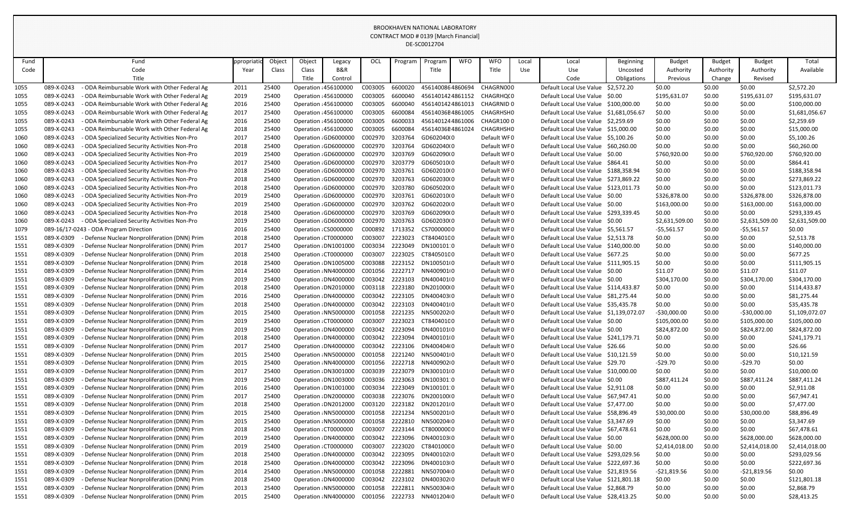|      |                      |                                               |            |        |        |                       |         |         | <b>DE-SCOUTZ704</b> |            |                   |       |                                        |                  |                |               |                |                |
|------|----------------------|-----------------------------------------------|------------|--------|--------|-----------------------|---------|---------|---------------------|------------|-------------------|-------|----------------------------------------|------------------|----------------|---------------|----------------|----------------|
| Fund |                      | Fund                                          | opropriati | Object | Object | Legacy                | OCL     | Program | Program             | <b>WFO</b> | <b>WFO</b>        | Local | Local                                  | <b>Beginning</b> | <b>Budget</b>  | <b>Budget</b> | <b>Budget</b>  | Total          |
| Code |                      | Code                                          | Year       | Class  | Class  | B&R                   |         |         | Title               |            | Title             | Use   | Use                                    | Uncosted         | Authority      | Authority     | Authority      | Available      |
|      |                      | Title                                         |            |        | Title  | Control               |         |         |                     |            |                   |       | Code                                   | Obligations      | Previous       | Change        | Revised        |                |
| 1055 | 089-X-0243           | - ODA Reimbursable Work with Other Federal Ag | 2011       | 25400  |        | Operation : 456100000 | C003005 | 6600020 | 4561400864860694    |            | CHAGRN000         |       | Default Local Use Value                | \$2,572.20       | \$0.00         | \$0.00        | \$0.00         | \$2,572.20     |
| 1055 | 089-X-0243           | - ODA Reimbursable Work with Other Federal Ag | 2019       | 25400  |        | Operation : 456100000 | C003005 | 6600040 | 4561401424861152    |            | CHAGRHQ(0         |       | Default Local Use Value                | S0.00            | \$195,631.07   | \$0.00        | \$195,631.07   | \$195,631.07   |
| 1055 | 089-X-0243           | - ODA Reimbursable Work with Other Federal Ag | 2016       | 25400  |        | Operation : 456100000 | C003005 | 6600040 | 4561401424861013    |            | <b>CHAGRNID 0</b> |       | Default Local Use Value                | \$100,000.00     | \$0.00         | \$0.00        | \$0.00         | \$100,000.00   |
| 1055 | 089-X-0243           | - ODA Reimbursable Work with Other Federal Ag | 2017       | 25400  |        | Operation : 456100000 | C003005 | 6600084 | 45614036E4861005    |            | CHAGRHSH0         |       | Default Local Use Value \$1,681,056.67 |                  | \$0.00         | \$0.00        | \$0.00         | \$1,681,056.67 |
| 1055 | 089-X-0243           | - ODA Reimbursable Work with Other Federal Ag | 2016       | 25400  |        | Operation : 456100000 | C003005 | 6600033 | 4561401244861006    |            | CHAGR1000         |       | Default Local Use Value \$2,259.69     |                  | \$0.00         | \$0.00        | \$0.00         | \$2,259.69     |
| 1055 | 089-X-0243           | - ODA Reimbursable Work with Other Federal Ag | 2018       | 25400  |        | Operation : 456100000 | C003005 | 6600084 | 45614036E4861024    |            | CHAGRHSH0         |       | Default Local Use Value \$15,000.00    |                  | \$0.00         | \$0.00        | \$0.00         | \$15,000.00    |
| 1060 | 089-X-0243           | - ODA Specialized Security Activities Non-Pro | 2017       | 25400  |        | Operation : GD6000000 | C002970 | 3203764 | GD602040(0          |            | Default WF0       |       | Default Local Use Value \$5,100.26     |                  | \$0.00         | \$0.00        | \$0.00         | \$5,100.26     |
| 1060 | 089-X-0243           | - ODA Specialized Security Activities Non-Pro | 2018       | 25400  |        | Operation : GD6000000 | C002970 | 3203764 | GD602040(0          |            | Default WF0       |       | Default Local Use Value \$60,260.00    |                  | \$0.00         | \$0.00        | \$0.00         | \$60,260.00    |
| 1060 | 089-X-0243           | - ODA Specialized Security Activities Non-Pro | 2019       | 25400  |        | Operation : GD6000000 | C002970 | 3203769 | GD602090(0          |            | Default WF0       |       | Default Local Use Value \$0.00         |                  | \$760,920.00   | \$0.00        | \$760,920.00   | \$760,920.00   |
| 1060 | 089-X-0243           | - ODA Specialized Security Activities Non-Pro | 2017       | 25400  |        | Operation : GD6000000 | C002970 | 3203779 | GD605010(0          |            | Default WF0       |       | Default Local Use Value                | \$864.41         | \$0.00         | \$0.00        | \$0.00         | \$864.41       |
| 1060 | 089-X-0243           | ODA Specialized Security Activities Non-Pro   | 2018       | 25400  |        | Operation : GD6000000 | C002970 | 3203761 | GD602010(0          |            | Default WF0       |       | Default Local Use Value \$188,358.94   |                  | \$0.00         | \$0.00        | \$0.00         | \$188,358.94   |
| 1060 | 089-X-0243           | - ODA Specialized Security Activities Non-Pro | 2018       | 25400  |        | Operation : GD6000000 | C002970 | 3203763 | GD602030(0          |            | Default WF0       |       | Default Local Use Value \$273,869.22   |                  | \$0.00         | \$0.00        | \$0.00         | \$273,869.22   |
| 1060 | 089-X-0243           | - ODA Specialized Security Activities Non-Pro | 2018       | 25400  |        | Operation : GD6000000 | C002970 | 3203780 | GD605020(0          |            | Default WF0       |       | Default Local Use Value \$123,011.73   |                  | \$0.00         | \$0.00        | \$0.00         | \$123,011.73   |
| 1060 | 089-X-0243           | - ODA Specialized Security Activities Non-Pro | 2019       | 25400  |        | Operation : GD6000000 | C002970 | 3203761 | GD602010(0          |            | Default WF0       |       | Default Local Use Value \$0.00         |                  | \$326,878.00   | \$0.00        | \$326,878.00   | \$326,878.00   |
| 1060 | 089-X-0243           | - ODA Specialized Security Activities Non-Pro | 2019       | 25400  |        | Operation : GD6000000 | C002970 | 3203762 | GD602020(0          |            | Default WF0       |       | Default Local Use Value \$0.00         |                  | \$163,000.00   | \$0.00        | \$163,000.00   | \$163,000.00   |
| 1060 | 089-X-0243           | - ODA Specialized Security Activities Non-Pro | 2018       | 25400  |        | Operation : GD6000000 | C002970 | 3203769 | GD602090(0          |            | Default WF0       |       | Default Local Use Value \$293,339.45   |                  | \$0.00         | \$0.00        | \$0.00         | \$293,339.45   |
| 1060 | 089-X-0243           | - ODA Specialized Security Activities Non-Pro | 2019       | 25400  |        | Operation : GD6000000 | C002970 | 3203763 | GD602030(0          |            | Default WF0       |       | Default Local Use Value \$0.00         |                  | \$2,631,509.00 | \$0.00        | \$2,631,509.00 | \$2,631,509.00 |
| 1079 | $089 - 16/17 - 0243$ | - ODA Program Direction                       | 2016       | 25400  |        | Operation : CS0000000 | C000892 | 1713352 | CS70000000          |            | Default WF0       |       | Default Local Use Value                | \$5,561.57       | $-55,561.57$   | \$0.00        | $-55,561.57$   | \$0.00         |
| 1551 | 089-X-0309           | Defense Nuclear Nonproliferation (DNN) Prim   | 2018       | 25400  |        | Operation : CT0000000 | C003007 | 2223023 | CT84040100          |            | Default WF0       |       | Default Local Use Value \$2,513.78     |                  | \$0.00         | \$0.00        | \$0.00         | \$2,513.78     |
| 1551 | 089-X-0309           | Defense Nuclear Nonproliferation (DNN) Prim   | 2017       | 25400  |        | Operation : DN1001000 | C003034 | 2223049 | DN100101:0          |            | Default WF0       |       | Default Local Use Value \$140,000.00   |                  | \$0.00         | \$0.00        | \$0.00         | \$140,000.00   |
| 1551 | 089-X-0309           | Defense Nuclear Nonproliferation (DNN) Prim   | 2018       | 25400  |        | Operation : CT0000000 | C003007 | 2223025 | CT84050100          |            | Default WF0       |       | Default Local Use Value \$677.25       |                  | \$0.00         | \$0.00        | \$0.00         | \$677.25       |
| 1551 | 089-X-0309           | Defense Nuclear Nonproliferation (DNN) Prim   | 2018       | 25400  |        | Operation : DN1005000 | C003088 | 2223152 | DN100501(0          |            | Default WF0       |       | Default Local Use Value \$111,905.15   |                  | \$0.00         | \$0.00        | \$0.00         | \$111,905.15   |
| 1551 | 089-X-0309           | Defense Nuclear Nonproliferation (DNN) Prim   | 2014       | 25400  |        | Operation : NN4000000 | C001056 | 2222717 | NN400901+0          |            | Default WF0       |       | Default Local Use Value \$0.00         |                  | \$11.07        | \$0.00        | \$11.07        | \$11.07        |
| 1551 | 089-X-0309           | Defense Nuclear Nonproliferation (DNN) Prim   | 2019       | 25400  |        | Operation : DN4000000 | C003042 | 2223103 | DN400401(0          |            | Default WF0       |       | Default Local Use Value \$0.00         |                  | \$304,170.00   | \$0.00        | \$304,170.00   | \$304,170.00   |
| 1551 | 089-X-0309           | Defense Nuclear Nonproliferation (DNN) Prim   | 2018       | 25400  |        | Operation : DN2010000 | C003118 | 2223180 | DN201000(0          |            | Default WF0       |       | Default Local Use Value \$114,433.87   |                  | \$0.00         | \$0.00        | \$0.00         | \$114,433.87   |
| 1551 | 089-X-0309           | Defense Nuclear Nonproliferation (DNN) Prim   | 2016       | 25400  |        | Operation : DN4000000 | C003042 | 2223105 | DN400403(0          |            | Default WF0       |       | Default Local Use Value                | \$81,275.44      | \$0.00         | \$0.00        | \$0.00         | \$81,275.44    |
| 1551 | 089-X-0309           | - Defense Nuclear Nonproliferation (DNN) Prim | 2018       | 25400  |        | Operation : DN4000000 | C003042 | 2223103 | DN400401(0          |            | Default WF0       |       | Default Local Use Value \$35,435.78    |                  | \$0.00         | \$0.00        | \$0.00         | \$35,435.78    |
| 1551 | 089-X-0309           | - Defense Nuclear Nonproliferation (DNN) Prim | 2015       | 25400  |        | Operation : NN5000000 | C001058 | 2221235 | NN50020200          |            | Default WF0       |       | Default Local Use Value \$1,139,072.07 |                  | $-530,000.00$  | \$0.00        | $-530,000.00$  | \$1,109,072.07 |
| 1551 | 089-X-0309           | Defense Nuclear Nonproliferation (DNN) Prim   | 2019       | 25400  |        | Operation : CT0000000 | C003007 | 2223023 | CT84040100          |            | Default WF0       |       | Default Local Use Value \$0.00         |                  | \$105,000.00   | \$0.00        | \$105,000.00   | \$105,000.00   |
| 1551 | 089-X-0309           | Defense Nuclear Nonproliferation (DNN) Prim   | 2019       | 25400  |        | Operation : DN4000000 | C003042 | 2223094 | DN400101(0          |            | Default WF0       |       | Default Local Use Value \$0.00         |                  | \$824,872.00   | \$0.00        | \$824,872.00   | \$824,872.00   |
| 1551 | 089-X-0309           | Defense Nuclear Nonproliferation (DNN) Prim   | 2018       | 25400  |        | Operation : DN4000000 | C003042 | 2223094 | DN400101(0          |            | Default WF0       |       | Default Local Use Value \$241,179.71   |                  | \$0.00         | \$0.00        | \$0.00         | \$241,179.71   |
| 1551 | 089-X-0309           | Defense Nuclear Nonproliferation (DNN) Prim   | 2017       | 25400  |        | Operation : DN4000000 | C003042 | 2223106 | DN400404(0          |            | Default WF0       |       | Default Local Use Value \$26.66        |                  | \$0.00         | \$0.00        | \$0.00         | \$26.66        |
| 1551 | 089-X-0309           | Defense Nuclear Nonproliferation (DNN) Prim   | 2015       | 25400  |        | Operation : NN5000000 | C001058 | 2221240 | NN500401(0          |            | Default WF0       |       | Default Local Use Value \$10,121.59    |                  | \$0.00         | \$0.00        | \$0.00         | \$10,121.59    |
| 1551 | 089-X-0309           | Defense Nuclear Nonproliferation (DNN) Prim   | 2015       | 25400  |        | Operation : NN4000000 | C001056 | 2222718 | NN40090210          |            | Default WF0       |       | Default Local Use Value \$29.70        |                  | $-529.70$      | \$0.00        | $-529.70$      | \$0.00         |
| 1551 | 089-X-0309           | Defense Nuclear Nonproliferation (DNN) Prim   | 2017       | 25400  |        | Operation : DN3001000 | C003039 | 2223079 | DN300101(0          |            | Default WF0       |       | Default Local Use Value \$10,000.00    |                  | \$0.00         | \$0.00        | \$0.00         | \$10,000.00    |
| 1551 | 089-X-0309           | Defense Nuclear Nonproliferation (DNN) Prim   | 2019       | 25400  |        | Operation : DN1003000 | C003036 | 2223063 | DN100301:0          |            | Default WF0       |       | Default Local Use Value \$0.00         |                  | \$887,411.24   | \$0.00        | \$887,411.24   | \$887,411.24   |
| 1551 | 089-X-0309           | Defense Nuclear Nonproliferation (DNN) Prim   | 2016       | 25400  |        | Operation : DN1001000 | C003034 | 2223049 | DN100101:0          |            | Default WF0       |       | Default Local Use Value \$2,911.08     |                  | \$0.00         | \$0.00        | \$0.00         | \$2,911.08     |
| 1551 | 089-X-0309           | Defense Nuclear Nonproliferation (DNN) Prim   | 2017       | 25400  |        | Operation : DN2000000 | C003038 | 2223076 | DN200100(0          |            | Default WF0       |       | Default Local Use Value \$67,947.41    |                  | \$0.00         | \$0.00        | \$0.00         | \$67,947.41    |
| 1551 | 089-X-0309           | Defense Nuclear Nonproliferation (DNN) Prim   | 2018       | 25400  |        | Operation : DN2012000 | C003120 | 2223182 | DN201201(0          |            | Default WF0       |       | Default Local Use Value \$7,477.00     |                  | \$0.00         | \$0.00        | \$0.00         | \$7,477.00     |
| 1551 | 089-X-0309           | Defense Nuclear Nonproliferation (DNN) Prim   | 2015       | 25400  |        | Operation : NN5000000 | C001058 | 2221234 | NN5002010           |            | Default WF0       |       | Default Local Use Value \$58,896.49    |                  | \$30,000.00    | \$0.00        | \$30,000.00    | \$88,896.49    |
| 1551 | 089-X-0309           | Defense Nuclear Nonproliferation (DNN) Prim   | 2015       | 25400  |        | Operation : NN5000000 | C001058 | 2222810 | NN500204(0          |            | Default WF0       |       | Default Local Use Value \$3,347.69     |                  | \$0.00         | \$0.00        | \$0.00         | \$3,347.69     |
| 1551 | 089-X-0309           | Defense Nuclear Nonproliferation (DNN) Prim   | 2018       | 25400  |        | Operation : CT0000000 | C003007 | 2223144 | CT80000000          |            | Default WF0       |       | Default Local Use Value \$67,478.61    |                  | \$0.00         | \$0.00        | \$0.00         | \$67,478.61    |
| 1551 | 089-X-0309           | Defense Nuclear Nonproliferation (DNN) Prim   | 2019       | 25400  |        | Operation : DN4000000 | C003042 | 2223096 | DN400103(0          |            | Default WF0       |       | Default Local Use Value \$0.00         |                  | \$628,000.00   | \$0.00        | \$628,000.00   | \$628,000.00   |
| 1551 | 089-X-0309           | Defense Nuclear Nonproliferation (DNN) Prim   | 2019       | 25400  |        | Operation : CT0000000 | C003007 | 2223020 | CT84010000          |            | Default WF0       |       | Default Local Use Value \$0.00         |                  | \$2,414,018.00 | \$0.00        | \$2,414,018.00 | \$2,414,018.00 |
| 1551 | 089-X-0309           | Defense Nuclear Nonproliferation (DNN) Prim   | 2018       | 25400  |        | Operation : DN4000000 | C003042 | 2223095 | DN400102(0          |            | Default WF0       |       | Default Local Use Value \$293,029.56   |                  | \$0.00         | \$0.00        | \$0.00         | \$293,029.56   |
| 1551 | 089-X-0309           | Defense Nuclear Nonproliferation (DNN) Prim   | 2018       | 25400  |        | Operation : DN4000000 | C003042 | 2223096 | DN400103(0          |            | Default WF0       |       | Default Local Use Value \$222,697.36   |                  | \$0.00         | \$0.00        | \$0.00         | \$222,697.36   |
| 1551 | 089-X-0309           | Defense Nuclear Nonproliferation (DNN) Prim   | 2014       | 25400  |        | Operation : NN5000000 | C001058 | 2222881 | NN507004(0          |            | Default WF0       |       | Default Local Use Value \$21,819.56    |                  | -\$21,819.56   | \$0.00        | $-521,819.56$  | \$0.00         |
| 1551 | 089-X-0309           | Defense Nuclear Nonproliferation (DNN) Prim   | 2018       | 25400  |        | Operation : DN4000000 | C003042 | 2223102 | DN400302(0          |            | Default WF0       |       | Default Local Use Value \$121,801.18   |                  | \$0.00         | \$0.00        | \$0.00         | \$121,801.18   |
| 1551 | 089-X-0309           | Defense Nuclear Nonproliferation (DNN) Prim   | 2013       | 25400  |        | Operation : NN5000000 | C001058 | 2222811 | NN500304(0          |            | Default WF0       |       | Default Local Use Value \$2,868.79     |                  | \$0.00         | \$0.00        | \$0.00         | \$2,868.79     |
| 1551 | 089-X-0309           | Defense Nuclear Nonproliferation (DNN) Prim   | 2015       | 25400  |        | Operation : NN4000000 | C001056 | 2222733 | NN401204(0          |            | Default WF0       |       | Default Local Use Value \$28,413.25    |                  | \$0.00         | \$0.00        | \$0.00         | \$28,413.25    |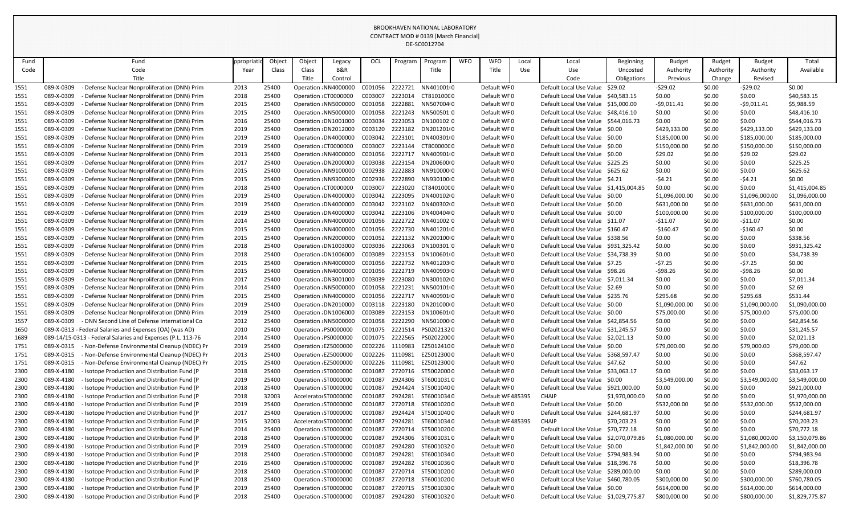|              |                          |                                                                                            |              |                |                                                |                       |                    |                    | DE-SC0012704               |            |                                 |            |                                                |                             |                        |                  |                          |                                |
|--------------|--------------------------|--------------------------------------------------------------------------------------------|--------------|----------------|------------------------------------------------|-----------------------|--------------------|--------------------|----------------------------|------------|---------------------------------|------------|------------------------------------------------|-----------------------------|------------------------|------------------|--------------------------|--------------------------------|
| Fund         |                          | Fund                                                                                       | ppropriatio  | Object         | Object                                         | Legacy                | OCL                | Program            | Program                    | <b>WFO</b> | <b>WFO</b>                      | Local      | Local                                          | <b>Beginning</b>            | <b>Budget</b>          | <b>Budget</b>    | <b>Budget</b>            | Total                          |
| Code         |                          | Code                                                                                       | Year         | Class          | Class                                          | B&R                   |                    |                    | Title                      |            | Title                           | <b>Use</b> | Use                                            | Uncosted                    | Authority              | Authority        | Authority                | Available                      |
|              |                          | Title                                                                                      |              |                | Title                                          | Control               |                    |                    |                            |            |                                 |            | Code                                           | Obligations                 | Previous               | Change           | Revised                  |                                |
| 1551         | 089-X-0309               | Defense Nuclear Nonproliferation (DNN) Prim                                                | 2013         | 25400          |                                                | Operation : NN4000000 | C001056            | 2222721            | NN401001(0                 |            | Default WF0                     |            | Default Local Use Value                        | \$29.02                     | $-529.02$              | \$0.00           | $-529.02$                | \$0.00                         |
| 1551         | 089-X-0309               | Defense Nuclear Nonproliferation (DNN) Prim                                                | 2018         | 25400          | Operation: CT0000000                           |                       | C003007            | 2223014            | CT81010000                 |            | Default WF0                     |            | Default Local Use Value \$40,583.15            |                             | \$0.00                 | \$0.00           | \$0.00                   | \$40,583.15                    |
| 1551         | 089-X-0309               | Defense Nuclear Nonproliferation (DNN) Prim                                                | 2015         | 25400          |                                                | Operation : NN5000000 | C001058            | 2222881            | NN507004(0                 |            | Default WF0                     |            | Default Local Use Value \$15,000.00            |                             | $-59,011.41$           | \$0.00           | $-59,011.41$             | \$5,988.59                     |
| 1551         | 089-X-0309               | Defense Nuclear Nonproliferation (DNN) Prim                                                | 2015         | 25400          |                                                | Operation : NN5000000 | C001058            | 2221243            | NN500501:0                 |            | Default WF0                     |            | Default Local Use Value \$48,416.10            |                             | \$0.00                 | \$0.00           | \$0.00                   | \$48,416.10                    |
| 1551         | 089-X-0309               | Defense Nuclear Nonproliferation (DNN) Prim                                                | 2016         | 25400          |                                                | Operation : DN1001000 | C003034            | 2223053            | DN100102:0                 |            | Default WF0                     |            | Default Local Use Value \$544,016.73           |                             | \$0.00                 | \$0.00           | \$0.00                   | \$544,016.73                   |
| 1551         | 089-X-0309               | Defense Nuclear Nonproliferation (DNN) Prim                                                | 2019         | 25400          |                                                | Operation : DN2012000 | C003120            | 2223182            | DN201201(0                 |            | Default WF0                     |            | Default Local Use Value \$0.00                 |                             | \$429,133.00           | \$0.00           | \$429,133.00             | \$429,133.00                   |
| 1551         | 089-X-0309               | Defense Nuclear Nonproliferation (DNN) Prim                                                | 2019         | 25400          |                                                | Operation : DN4000000 | C003042            | 2223101            | DN400301(0                 |            | Default WF0                     |            | Default Local Use Value \$0.00                 |                             | \$185,000.00           | \$0.00           | \$185,000.00             | \$185,000.00                   |
| 1551         | 089-X-0309               | Defense Nuclear Nonproliferation (DNN) Prim                                                | 2019         | 25400          | Operation : CT0000000                          |                       | C003007            | 2223144            | CT80000000                 |            | Default WF0                     |            | Default Local Use Value \$0.00                 |                             | \$150,000.00           | \$0.00           | \$150,000.00             | \$150,000.00                   |
| 1551         | 089-X-0309               | Defense Nuclear Nonproliferation (DNN) Prim                                                | 2013         | 25400          |                                                | Operation : NN4000000 | C001056            | 2222717            | NN4009010                  |            | Default WF0                     |            | Default Local Use Value \$0.00                 |                             | \$29.02                | \$0.00           | \$29.02                  | \$29.02                        |
| 1551         | 089-X-0309               | Defense Nuclear Nonproliferation (DNN) Prim                                                | 2017         | 25400          |                                                | Operation : DN2000000 | C003038            | 2223154            | DN20060010                 |            | Default WF0                     |            | Default Local Use Value \$225.25               |                             | \$0.00                 | \$0.00           | \$0.00                   | \$225.25                       |
| 1551         | 089-X-0309               | Defense Nuclear Nonproliferation (DNN) Prim                                                | 2015         | 25400          |                                                | Operation : NN9100000 | C002938            | 2222883            | NN91000000                 |            | Default WF0                     |            | Default Local Use Value \$625.62               |                             | \$0.00                 | \$0.00           | \$0.00                   | \$625.62                       |
| 1551         | 089-X-0309               | Defense Nuclear Nonproliferation (DNN) Prim                                                | 2015         | 25400          |                                                | Operation : NN9300000 | C002936            | 2222890            | NN93010000                 |            | Default WF0                     |            | Default Local Use Value \$4.21                 |                             | $-54.21$               | \$0.00           | $-54.21$                 | \$0.00                         |
| 1551         | 089-X-0309               | Defense Nuclear Nonproliferation (DNN) Prim                                                | 2018         | 25400          | Operation: CT0000000                           |                       | C003007            | 2223020            | CT84010000                 |            | Default WF0                     |            | Default Local Use Value \$1,415,004.85         |                             | \$0.00                 | \$0.00           | \$0.00                   | \$1,415,004.85                 |
| 1551         | 089-X-0309               | Defense Nuclear Nonproliferation (DNN) Prim                                                | 2019         | 25400          |                                                | Operation: DN4000000  | C003042            | 2223095            | DN400102(0                 |            | Default WF0                     |            | Default Local Use Value \$0.00                 |                             | \$1,096,000.00         | \$0.00           | \$1,096,000.00           | \$1,096,000.00                 |
| 1551         | 089-X-0309               | Defense Nuclear Nonproliferation (DNN) Prim                                                | 2019         | 25400          |                                                | Operation : DN4000000 | C003042            | 2223102            | DN400302(0                 |            | Default WF0                     |            | Default Local Use Value \$0.00                 |                             | \$631,000.00           | \$0.00           | \$631,000.00             | \$631,000.00                   |
| 1551         | 089-X-0309               | Defense Nuclear Nonproliferation (DNN) Prim                                                | 2019         | 25400          |                                                | Operation : DN4000000 | C003042            | 2223106            | DN400404(0                 |            | Default WF0                     |            | Default Local Use Value \$0.00                 |                             | \$100,000.00           | \$0.00           | \$100,000.00             | \$100,000.00                   |
| 1551         | 089-X-0309               | Defense Nuclear Nonproliferation (DNN) Prim                                                | 2014         | 25400          |                                                | Operation : NN4000000 | C001056            | 2222722            | NN401002 0                 |            | Default WF0                     |            | Default Local Use Value \$11.07                |                             | $-511.07$              | \$0.00           | $-511.07$                | \$0.00                         |
| 1551         | 089-X-0309               | Defense Nuclear Nonproliferation (DNN) Prim                                                | 2015         | 25400          |                                                | Operation: NN4000000  | C001056            | 2222730            | NN401201+0                 |            | Default WF0                     |            | Default Local Use Value \$160.47               |                             | $-5160.47$             | \$0.00           | $-$160.47$               | \$0.00                         |
| 1551         | 089-X-0309               | Defense Nuclear Nonproliferation (DNN) Prim                                                | 2015         | 25400          |                                                | Operation : NN2000000 | C001052            | 2221132            | NN20010000                 |            | Default WF0                     |            | Default Local Use Value \$338.56               |                             | \$0.00                 | \$0.00           | \$0.00                   | \$338.56                       |
| 1551         | 089-X-0309               | Defense Nuclear Nonproliferation (DNN) Prim                                                | 2018         | 25400          |                                                | Operation : DN1003000 | C003036            | 2223063            | DN100301:0                 |            | Default WF0                     |            | Default Local Use Value \$931,325.42           |                             | \$0.00                 | \$0.00           | \$0.00                   | \$931,325.42                   |
| 1551         | 089-X-0309               | Defense Nuclear Nonproliferation (DNN) Prim                                                | 2018         | 25400          |                                                | Operation : DN1006000 | C003089            | 2223153            | DN100601(0                 |            | Default WF0                     |            | Default Local Use Value \$34,738.39            |                             | \$0.00                 | \$0.00           | \$0.00                   | \$34,738.39                    |
| 1551         | 089-X-0309               | Defense Nuclear Nonproliferation (DNN) Prim                                                | 2015         | 25400          |                                                | Operation : NN4000000 | C001056            | 2222732            | NN401203(0                 |            | Default WF0                     |            | Default Local Use Value \$7.25                 |                             | $-57.25$               | \$0.00           | $-57.25$                 | \$0.00                         |
| 1551         | 089-X-0309               | Defense Nuclear Nonproliferation (DNN) Prim                                                | 2015         | 25400          |                                                | Operation : NN4000000 | C001056            | 2222719            | NN400903(0                 |            | Default WF0                     |            | Default Local Use Value \$98.26                |                             | $-598.26$              | \$0.00           | $-598.26$                | \$0.00                         |
| 1551         | 089-X-0309               | Defense Nuclear Nonproliferation (DNN) Prim                                                | 2017         | 25400          |                                                | Operation : DN3001000 | C003039            | 2223080            | DN300102(0                 |            | Default WF0                     |            | Default Local Use Value \$7,011.34             |                             | \$0.00                 | \$0.00           | \$0.00                   | \$7,011.34                     |
| 1551         | 089-X-0309               | Defense Nuclear Nonproliferation (DNN) Prim                                                | 2014         | 25400          |                                                | Operation: NN5000000  | C001058            | 2221231            | NN50010100                 |            | Default WF0                     |            | Default Local Use Value \$2.69                 |                             | \$0.00                 | \$0.00           | \$0.00                   | \$2.69                         |
| 1551         | 089-X-0309               | Defense Nuclear Nonproliferation (DNN) Prim                                                | 2015         | 25400          |                                                | Operation: NN4000000  | C001056            | 2222717            | NN4009010                  |            | Default WF0                     |            | Default Local Use Value \$235.76               |                             | \$295.68               | \$0.00           | \$295.68                 | \$531.44                       |
| 1551         | 089-X-0309               | Defense Nuclear Nonproliferation (DNN) Prim                                                | 2019         | 25400          |                                                | Operation : DN2010000 |                    |                    | C003118 2223180 DN201000(0 |            | Default WF0                     |            | Default Local Use Value \$0.00                 |                             | \$1,090,000.00         | \$0.00           | \$1,090,000.00           | \$1,090,000.00                 |
| 1551         | 089-X-0309               | Defense Nuclear Nonproliferation (DNN) Prim                                                | 2019         | 25400          |                                                | Operation : DN1006000 | C003089            | 2223153            | DN100601(0                 |            | Default WF0                     |            | Default Local Use Value \$0.00                 |                             | \$75,000.00            | \$0.00           | \$75,000.00              | \$75,000.00                    |
| 1557         | 089-X-0309               | - DNN Second Line of Defense International Co                                              | 2012         | 25400          |                                                | Operation : NN5000000 | C001058            | 2222290            | NN501000(0                 |            | Default WF0                     |            | Default Local Use Value \$42,854.56            |                             | \$0.00                 | \$0.00           | \$0.00                   | \$42,854.56                    |
| 1650         |                          | 089-X-0313 - Federal Salaries and Expenses (OA) (was AD)                                   | 2010         | 25400          | Operation : PS0000000                          |                       | C001075            | 2221514            | PS02021320                 |            | Default WF0                     |            | Default Local Use Value \$31,245.57            |                             | \$0.00                 | \$0.00           | \$0.00                   | \$31,245.57                    |
| 1689         |                          | 089-14/15-0313 - Federal Salaries and Expenses (P.L. 113-76                                | 2014         | 25400          | Operation : PS0000000                          |                       | C001075            | 2222565            | PS02022000                 |            | Default WF0                     |            | Default Local Use Value \$2,021.13             |                             | \$0.00                 | \$0.00           | \$0.00                   | \$2,021.13                     |
| 1751         | 089-X-0315               | - Non-Defense Environmental Cleanup (NDEC) Pr                                              | 2019         | 25400          | Operation : EZ5000000                          |                       | C002226            | 1110983            | EZ50124100                 |            | Default WF0                     |            | Default Local Use Value \$0.00                 |                             | \$79,000.00            | \$0.00           | \$79,000.00              | \$79,000.00                    |
| 1751         | 089-X-0315               | Non-Defense Environmental Cleanup (NDEC) Pr                                                | 2013         | 25400          | Operation : EZ5000000                          |                       | C002226            | 1110981            | EZ50123000                 |            | Default WF0                     |            | Default Local Use Value \$368,597.47           |                             | \$0.00                 | \$0.00           | \$0.00                   | \$368,597.47                   |
| 1751         | 089-X-0315               | Non-Defense Environmental Cleanup (NDEC) Pr                                                | 2015         | 25400          | Operation : EZ5000000                          |                       | C002226            | 1110981            | EZ50123000                 |            | Default WF0                     |            | Default Local Use Value \$47.62                |                             | \$0.00                 | \$0.00           | \$0.00                   | \$47.62                        |
| 2300         | 089-X-4180               | - Isotope Production and Distribution Fund (P                                              | 2018         | 25400          | Operation : ST0000000                          |                       | C001087            | 2720716            | ST50020000                 |            | Default WF0                     |            | Default Local Use Value \$33,063.17            |                             | \$0.00                 | \$0.00           | \$0.00                   | \$33,063.17                    |
| 2300         | 089-X-4180               | Isotope Production and Distribution Fund (P                                                | 2019         | 25400          | Operation : ST0000000                          |                       | C001087            | 2924306            | ST60010310                 |            | Default WF0                     |            | Default Local Use Value \$0.00                 |                             | \$3,549,000.00         | \$0.00           | \$3,549,000.00           | \$3,549,000.00                 |
| 2300         | 089-X-4180               | Isotope Production and Distribution Fund (P                                                | 2018         | 25400          | Operation : ST0000000                          |                       | C001087            | 2924424            | ST50010400                 |            | Default WF0                     |            | Default Local Use Value                        | \$921,000.00                | \$0.00                 | \$0.00           | \$0.00                   | \$921,000.00                   |
| 2300         | 089-X-4180<br>089-X-4180 | Isotope Production and Distribution Fund (P<br>Isotope Production and Distribution Fund (P | 2018         | 32003<br>25400 | Accelerator ST0000000<br>Operation : ST0000000 |                       | C001087            | 2924281<br>2720718 | ST60010340<br>ST60010200   |            | Default WF485395<br>Default WF0 |            | <b>CHAIP</b><br>Default Local Use Value \$0.00 | \$1,970,000.00              | \$0.00<br>\$532,000.00 | \$0.00<br>\$0.00 | \$0.00<br>\$532,000.00   | \$1,970,000.00<br>\$532,000.00 |
| 2300         | 089-X-4180               |                                                                                            | 2019         | 25400          |                                                |                       | C001087            | 2924424            |                            |            | Default WF0                     |            |                                                |                             |                        |                  |                          |                                |
| 2300<br>2300 | 089-X-4180               | Isotope Production and Distribution Fund (P<br>Isotope Production and Distribution Fund (P | 2017<br>2015 | 32003          | Operation : ST0000000<br>Accelerator ST0000000 |                       | C001087<br>C001087 | 2924281            | ST50010400<br>ST60010340   |            | Default WF485395                |            | Default Local Use Value<br><b>CHAIP</b>        | \$244,681.97<br>\$70,203.23 | \$0.00<br>\$0.00       | \$0.00<br>\$0.00 | \$0.00<br>\$0.00         | \$244,681.97<br>\$70,203.23    |
|              | 089-X-4180               | Isotope Production and Distribution Fund (P                                                |              | 25400          | Operation : ST0000000                          |                       |                    | 2720714            | ST50010200                 |            | Default WF0                     |            | Default Local Use Value                        | \$70,772.18                 | \$0.00                 | \$0.00           |                          | \$70,772.18                    |
| 2300<br>2300 | 089-X-4180               | Isotope Production and Distribution Fund (P                                                | 2014<br>2018 | 25400          | Operation : ST0000000                          |                       | C001087<br>C001087 | 2924306            | ST60010310                 |            | Default WF0                     |            | Default Local Use Value \$2,070,079.86         |                             | \$1,080,000.00         | \$0.00           | \$0.00<br>\$1,080,000.00 | \$3,150,079.86                 |
| 2300         | 089-X-4180               | Isotope Production and Distribution Fund (P                                                | 2019         | 25400          | Operation : ST0000000                          |                       | C001087            | 2924280            | ST60010320                 |            | Default WF0                     |            | Default Local Use Value \$0.00                 |                             | \$1,842,000.00         | \$0.00           | \$1,842,000.00           | \$1,842,000.00                 |
| 2300         | 089-X-4180               | Isotope Production and Distribution Fund (P                                                | 2018         | 25400          | Operation : ST0000000                          |                       | C001087            | 2924281            | ST60010340                 |            | Default WF0                     |            | Default Local Use Value \$794,983.94           |                             | \$0.00                 | \$0.00           | \$0.00                   | \$794,983.94                   |
| 2300         | 089-X-4180               | Isotope Production and Distribution Fund (P                                                | 2016         | 25400          | Operation : ST0000000                          |                       | C001087            | 2924282            | ST60010360                 |            | Default WF0                     |            | Default Local Use Value \$18,396.78            |                             | \$0.00                 | \$0.00           | \$0.00                   | \$18,396.78                    |
| 2300         | 089-X-4180               | Isotope Production and Distribution Fund (P                                                | 2018         | 25400          | Operation : ST0000000                          |                       | C001087            | 2720714            | ST50010200                 |            | Default WF0                     |            | Default Local Use Value \$289,000.00           |                             | \$0.00                 | \$0.00           | \$0.00                   | \$289,000.00                   |
| 2300         | 089-X-4180               | Isotope Production and Distribution Fund (P                                                | 2018         | 25400          | Operation : ST0000000                          |                       | C001087            | 2720718            | ST60010200                 |            | Default WF0                     |            | Default Local Use Value \$460,780.05           |                             | \$300,000.00           | \$0.00           | \$300,000.00             | \$760,780.05                   |
| 2300         | 089-X-4180               | Isotope Production and Distribution Fund (P                                                | 2019         | 25400          | Operation : ST0000000                          |                       | C001087            | 2720715            | ST50010300                 |            | Default WF0                     |            | Default Local Use Value \$0.00                 |                             | \$614,000.00           | \$0.00           | \$614,000.00             | \$614,000.00                   |
| 2300         | 089-X-4180               | Isotope Production and Distribution Fund (P                                                | 2018         | 25400          | Operation : ST0000000                          |                       | C001087            | 2924280            | ST60010320                 |            | Default WF0                     |            | Default Local Use Value \$1,029,775.87         |                             | \$800,000.00           | \$0.00           | \$800,000.00             | \$1,829,775.87                 |
|              |                          |                                                                                            |              |                |                                                |                       |                    |                    |                            |            |                                 |            |                                                |                             |                        |                  |                          |                                |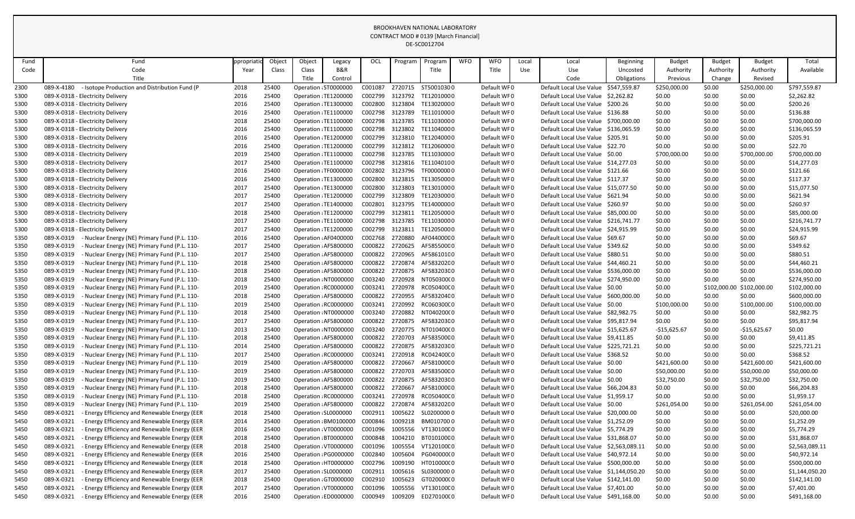|      |                                                             |             |        |        |                       |                 |         | DE-SC0012704 |            |             |       |                                        |                  |               |               |               |                |
|------|-------------------------------------------------------------|-------------|--------|--------|-----------------------|-----------------|---------|--------------|------------|-------------|-------|----------------------------------------|------------------|---------------|---------------|---------------|----------------|
| Fund | Fund                                                        | ppropriatio | Object | Object | Legacy                | OCL             | Program | Program      | <b>WFO</b> | <b>WFO</b>  | Local | Local                                  | <b>Beginning</b> | <b>Budget</b> | <b>Budget</b> | <b>Budget</b> | Total          |
| Code | Code                                                        | Year        | Class  | Class  | B&R                   |                 |         | Title        |            | Title       | Use   | Use                                    | Uncosted         | Authority     | Authority     | Authority     | Available      |
|      | Title                                                       |             |        | Title  | Control               |                 |         |              |            |             |       | Code                                   | Obligations      | Previous      | Change        | Revised       |                |
| 2300 | - Isotope Production and Distribution Fund (P<br>089-X-4180 | 2018        | 25400  |        | Operation : ST0000000 | C001087         | 2720715 | ST50010300   |            | Default WF0 |       | Default Local Use Value \$547,559.87   |                  | \$250,000.00  | \$0.00        | \$250,000.00  | \$797,559.87   |
| 5300 | 089-X-0318 - Electricity Delivery                           | 2016        | 25400  |        | Operation : TE1200000 | C002799         | 3123792 | TE12010000   |            | Default WF0 |       | Default Local Use Value \$2,262.82     |                  | \$0.00        | \$0.00        | \$0.00        | \$2,262.82     |
| 5300 | 089-X-0318 - Electricity Delivery                           | 2016        | 25400  |        | Operation : TE1300000 | C002800         | 3123804 | TE13020000   |            | Default WF0 |       | Default Local Use Value \$200.26       |                  | \$0.00        | \$0.00        | \$0.00        | \$200.26       |
| 5300 | 089-X-0318 - Electricity Delivery                           | 2016        | 25400  |        | Operation : TE1100000 | C002798         | 3123789 | TE11010000   |            | Default WF0 |       | Default Local Use Value \$136.88       |                  | \$0.00        | \$0.00        | \$0.00        | \$136.88       |
| 5300 | 089-X-0318 - Electricity Delivery                           | 2018        | 25400  |        | Operation : TE1100000 | C002798         | 3123785 | TE11030000   |            | Default WF0 |       | Default Local Use Value \$700,000.00   |                  | \$0.00        | \$0.00        | \$0.00        | \$700,000.00   |
| 5300 | 089-X-0318 - Electricity Delivery                           | 2016        | 25400  |        | Operation : TE1100000 | C002798         | 3123802 | TE11040000   |            | Default WF0 |       | Default Local Use Value \$136,065.59   |                  | \$0.00        | \$0.00        | \$0.00        | \$136,065.59   |
| 5300 | 089-X-0318 - Electricity Delivery                           | 2016        | 25400  |        | Operation : TE1200000 | C002799         | 3123810 | TE12040000   |            | Default WF0 |       | Default Local Use Value \$205.91       |                  | \$0.00        | \$0.00        | \$0.00        | \$205.91       |
| 5300 | 089-X-0318 - Electricity Delivery                           | 2016        | 25400  |        | Operation : TE1200000 | C002799         | 3123812 | TE12060000   |            | Default WF0 |       | Default Local Use Value \$22.70        |                  | \$0.00        | \$0.00        | \$0.00        | \$22.70        |
| 5300 | 089-X-0318 - Electricity Delivery                           | 2019        | 25400  |        | Operation : TE1100000 | C002798         | 3123785 | TE11030000   |            | Default WF0 |       | Default Local Use Value \$0.00         |                  | \$700,000.00  | \$0.00        | \$700,000.00  | \$700,000.00   |
| 5300 | 089-X-0318 - Electricity Delivery                           | 2017        | 25400  |        | Operation : TE1100000 | C002798         | 3123816 | TE11040100   |            | Default WF0 |       | Default Local Use Value \$14,277.03    |                  | \$0.00        | \$0.00        | \$0.00        | \$14,277.03    |
| 5300 | 089-X-0318 - Electricity Delivery                           | 2016        | 25400  |        | Operation : TF0000000 | C002802         | 3123796 | TF00000000   |            | Default WF0 |       | Default Local Use Value \$121.66       |                  | \$0.00        | \$0.00        | \$0.00        | \$121.66       |
| 5300 | 089-X-0318 - Electricity Delivery                           | 2016        | 25400  |        | Operation : TE1300000 | C002800         | 3123815 | TE13050000   |            | Default WF0 |       | Default Local Use Value \$117.37       |                  | \$0.00        | \$0.00        | \$0.00        | \$117.37       |
| 5300 | 089-X-0318 - Electricity Delivery                           | 2017        | 25400  |        | Operation : TE1300000 | C002800         | 3123803 | TE13010000   |            | Default WF0 |       | Default Local Use Value \$15,077.50    |                  | \$0.00        | \$0.00        | \$0.00        | \$15,077.50    |
| 5300 | 089-X-0318 - Electricity Delivery                           | 2017        | 25400  |        | Operation : TE1200000 | C002799         | 3123809 | TE12030000   |            | Default WF0 |       | Default Local Use Value \$621.94       |                  | \$0.00        | \$0.00        | \$0.00        | \$621.94       |
| 5300 | 089-X-0318 - Electricity Delivery                           | 2017        | 25400  |        | Operation : TE1400000 | C002801         | 3123795 | TE14000000   |            | Default WF0 |       | Default Local Use Value \$260.97       |                  | \$0.00        | \$0.00        | \$0.00        | \$260.97       |
| 5300 | 089-X-0318 - Electricity Delivery                           | 2018        | 25400  |        | Operation : TE1200000 | C002799         | 3123811 | TE12050000   |            | Default WF0 |       | Default Local Use Value \$85,000.00    |                  | \$0.00        | \$0.00        | \$0.00        | \$85,000.00    |
| 5300 | 089-X-0318 - Electricity Delivery                           | 2017        | 25400  |        | Operation : TE1100000 | C002798         | 3123785 | TE11030000   |            | Default WF0 |       | Default Local Use Value \$216,741.77   |                  | \$0.00        | \$0.00        | \$0.00        | \$216,741.77   |
| 5300 | 089-X-0318 - Electricity Delivery                           | 2017        | 25400  |        | Operation : TE1200000 | C002799         | 3123811 | TE12050000   |            | Default WF0 |       | Default Local Use Value \$24,915.99    |                  | \$0.00        | \$0.00        | \$0.00        | \$24,915.99    |
| 5350 | 089-X-0319<br>- Nuclear Energy (NE) Primary Fund (P.L. 110- | 2016        | 25400  |        | Operation : AF0400000 | C002768         | 2720880 | AF04400000   |            | Default WF0 |       | Default Local Use Value \$69.67        |                  | \$0.00        | \$0.00        | \$0.00        | \$69.67        |
| 5350 | 089-X-0319<br>- Nuclear Energy (NE) Primary Fund (P.L. 110- | 2017        | 25400  |        | Operation : AF5800000 | C000822         | 2720625 | AF58550000   |            | Default WF0 |       | Default Local Use Value \$349.62       |                  | \$0.00        | \$0.00        | \$0.00        | \$349.62       |
| 5350 | 089-X-0319<br>Nuclear Energy (NE) Primary Fund (P.L. 110-   | 2017        | 25400  |        | Operation : AF5800000 | C000822         | 2720965 | AF58610100   |            | Default WF0 |       | Default Local Use Value \$880.51       |                  | \$0.00        | \$0.00        | \$0.00        | \$880.51       |
| 5350 | 089-X-0319<br>Nuclear Energy (NE) Primary Fund (P.L. 110-   | 2018        | 25400  |        | Operation : AF5800000 | C000822         | 2720874 | AF58320200   |            | Default WF0 |       | Default Local Use Value \$44,460.21    |                  | \$0.00        | \$0.00        | \$0.00        | \$44,460.21    |
| 5350 | 089-X-0319<br>Nuclear Energy (NE) Primary Fund (P.L. 110-   | 2018        | 25400  |        | Operation : AF5800000 | C000822         | 2720875 | AF58320300   |            | Default WF0 |       | Default Local Use Value \$536,000.00   |                  | \$0.00        | \$0.00        | \$0.00        | \$536,000.00   |
| 5350 | 089-X-0319<br>Nuclear Energy (NE) Primary Fund (P.L. 110-   | 2018        | 25400  |        | Operation : NT0000000 | C003240         | 2720928 | NT050300(0   |            | Default WF0 |       | Default Local Use Value \$274,950.00   |                  | \$0.00        | \$0.00        | \$0.00        | \$274,950.00   |
| 5350 | 089-X-0319<br>Nuclear Energy (NE) Primary Fund (P.L. 110-   | 2019        | 25400  |        | Operation : RC0000000 | C003241         | 2720978 | RC050400C0   |            | Default WF0 |       | Default Local Use Value \$0.00         |                  | \$0.00        | \$102,000.00  | \$102,000.00  | \$102,000.00   |
| 5350 | 089-X-0319<br>Nuclear Energy (NE) Primary Fund (P.L. 110-   | 2018        | 25400  |        | Operation : AF5800000 | C000822         | 2720955 | AF58320400   |            | Default WF0 |       | Default Local Use Value \$600,000.00   |                  | \$0.00        | \$0.00        | \$0.00        | \$600,000.00   |
| 5350 | 089-X-0319<br>- Nuclear Energy (NE) Primary Fund (P.L. 110- | 2019        | 25400  |        | Operation : RC0000000 | C003241 2720992 |         | RC060300C0   |            | Default WF0 |       | Default Local Use Value \$0.00         |                  | \$100,000.00  | \$0.00        | \$100,000.00  | \$100,000.00   |
| 5350 | 089-X-0319<br>Nuclear Energy (NE) Primary Fund (P.L. 110-   | 2018        | 25400  |        | Operation : NT0000000 | C003240         | 2720882 | NT040200(0   |            | Default WF0 |       | Default Local Use Value \$82,982.75    |                  | \$0.00        | \$0.00        | \$0.00        | \$82,982.75    |
| 5350 | 089-X-0319<br>Nuclear Energy (NE) Primary Fund (P.L. 110-   | 2017        | 25400  |        | Operation : AF5800000 | C000822         | 2720875 | AF58320300   |            | Default WF0 |       | Default Local Use Value \$95,817.94    |                  | \$0.00        | \$0.00        | \$0.00        | \$95,817.94    |
| 5350 | 089-X-0319<br>Nuclear Energy (NE) Primary Fund (P.L. 110-   | 2013        | 25400  |        | Operation : NT0000000 | C003240         | 2720775 | NT010400(0   |            | Default WF0 |       | Default Local Use Value \$15,625.67    |                  | $-$15,625.67$ | \$0.00        | $-$15,625.67$ | \$0.00         |
| 5350 | 089-X-0319<br>Nuclear Energy (NE) Primary Fund (P.L. 110-   | 2018        | 25400  |        | Operation : AF5800000 | C000822         | 2720703 | AF58350000   |            | Default WF0 |       | Default Local Use Value \$9,411.85     |                  | \$0.00        | \$0.00        | \$0.00        | \$9,411.85     |
| 5350 | 089-X-0319<br>Nuclear Energy (NE) Primary Fund (P.L. 110-   | 2014        | 25400  |        | Operation : AF5800000 | C000822         | 2720875 | AF58320300   |            | Default WF0 |       | Default Local Use Value \$225,721.21   |                  | \$0.00        | \$0.00        | \$0.00        | \$225,721.21   |
| 5350 | 089-X-0319<br>Nuclear Energy (NE) Primary Fund (P.L. 110-   | 2017        | 25400  |        | Operation : RC0000000 | C003241         | 2720918 | RC04240000   |            | Default WF0 |       | Default Local Use Value \$368.52       |                  | \$0.00        | \$0.00        | \$0.00        | \$368.52       |
| 5350 | 089-X-0319<br>Nuclear Energy (NE) Primary Fund (P.L. 110-   | 2019        | 25400  |        | Operation : AF5800000 | C000822         | 2720667 | AF58100000   |            | Default WF0 |       | Default Local Use Value \$0.00         |                  | \$421,600.00  | \$0.00        | \$421,600.00  | \$421,600.00   |
| 5350 | 089-X-0319<br>Nuclear Energy (NE) Primary Fund (P.L. 110-   | 2019        | 25400  |        | Operation : AF5800000 | C000822         | 2720703 | AF58350000   |            | Default WF0 |       | Default Local Use Value \$0.00         |                  | \$50,000.00   | \$0.00        | \$50,000.00   | \$50,000.00    |
| 5350 | 089-X-0319<br>Nuclear Energy (NE) Primary Fund (P.L. 110-   | 2019        | 25400  |        | Operation : AF5800000 | C000822         | 2720875 | AF58320300   |            | Default WF0 |       | Default Local Use Value \$0.00         |                  | \$32,750.00   | \$0.00        | \$32,750.00   | \$32,750.00    |
| 5350 | 089-X-0319<br>Nuclear Energy (NE) Primary Fund (P.L. 110-   | 2018        | 25400  |        | Operation : AF5800000 | C000822         | 2720667 | AF58100000   |            | Default WF0 |       | Default Local Use Value \$66,204.83    |                  | \$0.00        | \$0.00        | \$0.00        | \$66,204.83    |
| 5350 | 089-X-0319<br>Nuclear Energy (NE) Primary Fund (P.L. 110-   | 2018        | 25400  |        | Operation : RC0000000 | C003241         | 2720978 | RC05040000   |            | Default WF0 |       | Default Local Use Value \$1,959.17     |                  | \$0.00        | \$0.00        | \$0.00        | \$1,959.17     |
| 5350 | 089-X-0319<br>Nuclear Energy (NE) Primary Fund (P.L. 110-   | 2019        | 25400  |        | Operation : AF5800000 | C000822         | 2720874 | AF58320200   |            | Default WF0 |       | Default Local Use Value \$0.00         |                  | \$261,054.00  | \$0.00        | \$261,054.00  | \$261,054.00   |
| 5450 | Energy Efficiency and Renewable Energy (EER<br>089-X-0321   | 2018        | 25400  |        | Operation : SL0000000 | C002911         | 1005622 | SL02000000   |            | Default WF0 |       | Default Local Use Value \$20,000.00    |                  | \$0.00        | \$0.00        | \$0.00        | \$20,000.00    |
| 5450 | Energy Efficiency and Renewable Energy (EER<br>089-X-0321   | 2014        | 25400  |        | Operation : BM0100000 | C000846         | 1009218 | BM0107000    |            | Default WF0 |       | Default Local Use Value \$1,252.09     |                  | \$0.00        | \$0.00        | \$0.00        | \$1,252.09     |
| 5450 | Energy Efficiency and Renewable Energy (EER<br>089-X-0321   | 2016        | 25400  |        | Operation: VT0000000  | C001096         | 1005556 | VT13010000   |            | Default WF0 |       | Default Local Use Value \$5,774.29     |                  | \$0.00        | \$0.00        | \$0.00        | \$5,774.29     |
| 5450 | 089-X-0321<br>Energy Efficiency and Renewable Energy (EER   | 2018        | 25400  |        | Operation : BT0000000 | C000848         | 1004210 | BT01010000   |            | Default WF0 |       | Default Local Use Value \$31,868.07    |                  | \$0.00        | \$0.00        | \$0.00        | \$31,868.07    |
| 5450 | Energy Efficiency and Renewable Energy (EER<br>089-X-0321   | 2018        | 25400  |        | Operation: VT0000000  | C001096         | 1005554 | VT12010000   |            | Default WF0 |       | Default Local Use Value \$2,563,089.11 |                  | \$0.00        | \$0.00        | \$0.00        | \$2,563,089.11 |
| 5450 | 089-X-0321<br>Energy Efficiency and Renewable Energy (EER   | 2016        | 25400  |        | Operation : PG0000000 | C002840         | 1005604 | PG040000(0   |            | Default WF0 |       | Default Local Use Value \$40,972.14    |                  | \$0.00        | \$0.00        | \$0.00        | \$40,972.14    |
| 5450 | 089-X-0321<br>Energy Efficiency and Renewable Energy (EER   | 2018        | 25400  |        | Operation : HT0000000 | C002796         | 1009190 | HT01000000   |            | Default WF0 |       | Default Local Use Value \$500,000.00   |                  | \$0.00        | \$0.00        | \$0.00        | \$500,000.00   |
| 5450 | Energy Efficiency and Renewable Energy (EER<br>089-X-0321   | 2017        | 25400  |        | Operation : SL0000000 | C002911         | 1005616 | SL03000000   |            | Default WF0 |       | Default Local Use Value \$1,144,050.20 |                  | \$0.00        | \$0.00        | \$0.00        | \$1,144,050.20 |
| 5450 | 089-X-0321<br>Energy Efficiency and Renewable Energy (EER   | 2018        | 25400  |        | Operation : GT0000000 | C002910         | 1005623 | GT02000000   |            | Default WF0 |       | Default Local Use Value \$142,141.00   |                  | \$0.00        | \$0.00        | \$0.00        | \$142,141.00   |
| 5450 | Energy Efficiency and Renewable Energy (EER<br>089-X-0321   | 2017        | 25400  |        | Operation : VT0000000 | C001096         | 1005556 | VT130100C0   |            | Default WF0 |       | Default Local Use Value \$7,401.00     |                  | \$0.00        | \$0.00        | \$0.00        | \$7,401.00     |
| 5450 | Energy Efficiency and Renewable Energy (EER<br>089-X-0321   | 2016        | 25400  |        | Operation : ED0000000 | C000949         | 1009209 | ED270100(0   |            | Default WF0 |       | Default Local Use Value \$491,168.00   |                  | \$0.00        | \$0.00        | \$0.00        | \$491,168.00   |